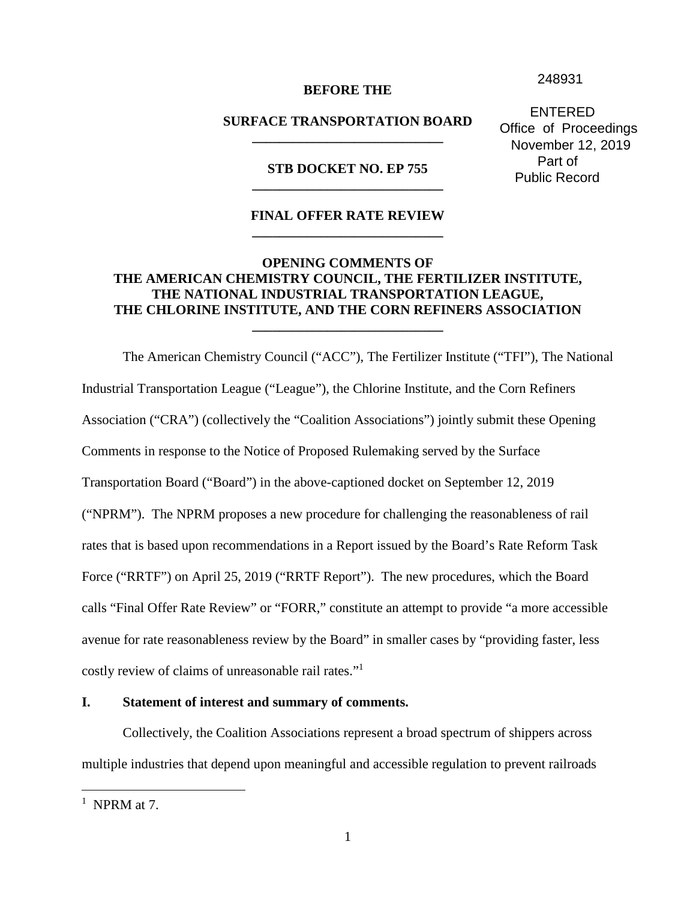248931

#### **BEFORE THE**

### **SURFACE TRANSPORTATION BOARD \_\_\_\_\_\_\_\_\_\_\_\_\_\_\_\_\_\_\_\_\_\_\_\_\_\_\_\_**

**STB DOCKET NO. EP 755 \_\_\_\_\_\_\_\_\_\_\_\_\_\_\_\_\_\_\_\_\_\_\_\_\_\_\_\_** 

### **FINAL OFFER RATE REVIEW \_\_\_\_\_\_\_\_\_\_\_\_\_\_\_\_\_\_\_\_\_\_\_\_\_\_\_\_**

## **OPENING COMMENTS OF THE AMERICAN CHEMISTRY COUNCIL, THE FERTILIZER INSTITUTE, THE NATIONAL INDUSTRIAL TRANSPORTATION LEAGUE, THE CHLORINE INSTITUTE, AND THE CORN REFINERS ASSOCIATION**

**\_\_\_\_\_\_\_\_\_\_\_\_\_\_\_\_\_\_\_\_\_\_\_\_\_\_\_\_** 

The American Chemistry Council ("ACC"), The Fertilizer Institute ("TFI"), The National Industrial Transportation League ("League"), the Chlorine Institute, and the Corn Refiners Association ("CRA") (collectively the "Coalition Associations") jointly submit these Opening Comments in response to the Notice of Proposed Rulemaking served by the Surface Transportation Board ("Board") in the above-captioned docket on September 12, 2019 ("NPRM"). The NPRM proposes a new procedure for challenging the reasonableness of rail rates that is based upon recommendations in a Report issued by the Board's Rate Reform Task Force ("RRTF") on April 25, 2019 ("RRTF Report"). The new procedures, which the Board calls "Final Offer Rate Review" or "FORR," constitute an attempt to provide "a more accessible avenue for rate reasonableness review by the Board" in smaller cases by "providing faster, less costly review of claims of unreasonable rail rates."<sup>1</sup>

#### **I. Statement of interest and summary of comments.**

Collectively, the Coalition Associations represent a broad spectrum of shippers across multiple industries that depend upon meaningful and accessible regulation to prevent railroads

 ENTERED Office of Proceedings November 12, 2019 Part of Public Record

 $<sup>1</sup>$  NPRM at 7.</sup>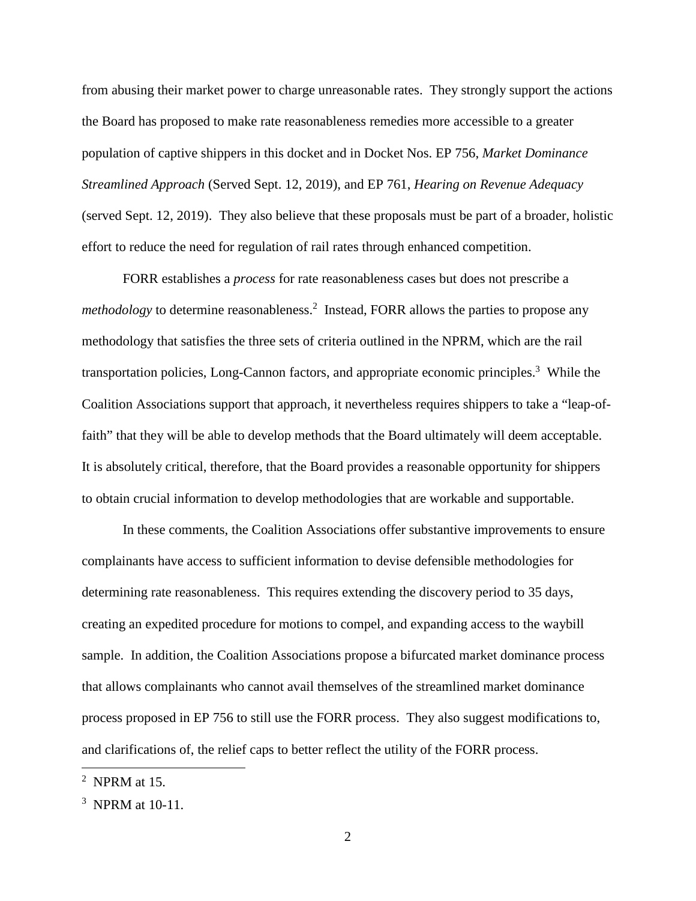from abusing their market power to charge unreasonable rates. They strongly support the actions the Board has proposed to make rate reasonableness remedies more accessible to a greater population of captive shippers in this docket and in Docket Nos. EP 756, *Market Dominance Streamlined Approach* (Served Sept. 12, 2019), and EP 761, *Hearing on Revenue Adequacy*  (served Sept. 12, 2019). They also believe that these proposals must be part of a broader, holistic effort to reduce the need for regulation of rail rates through enhanced competition.

FORR establishes a *process* for rate reasonableness cases but does not prescribe a *methodology* to determine reasonableness.<sup>2</sup> Instead, FORR allows the parties to propose any methodology that satisfies the three sets of criteria outlined in the NPRM, which are the rail transportation policies, Long-Cannon factors, and appropriate economic principles.<sup>3</sup> While the Coalition Associations support that approach, it nevertheless requires shippers to take a "leap-offaith" that they will be able to develop methods that the Board ultimately will deem acceptable. It is absolutely critical, therefore, that the Board provides a reasonable opportunity for shippers to obtain crucial information to develop methodologies that are workable and supportable.

In these comments, the Coalition Associations offer substantive improvements to ensure complainants have access to sufficient information to devise defensible methodologies for determining rate reasonableness. This requires extending the discovery period to 35 days, creating an expedited procedure for motions to compel, and expanding access to the waybill sample. In addition, the Coalition Associations propose a bifurcated market dominance process that allows complainants who cannot avail themselves of the streamlined market dominance process proposed in EP 756 to still use the FORR process. They also suggest modifications to, and clarifications of, the relief caps to better reflect the utility of the FORR process.

<sup>2</sup> NPRM at 15.

 $3$  NPRM at 10-11.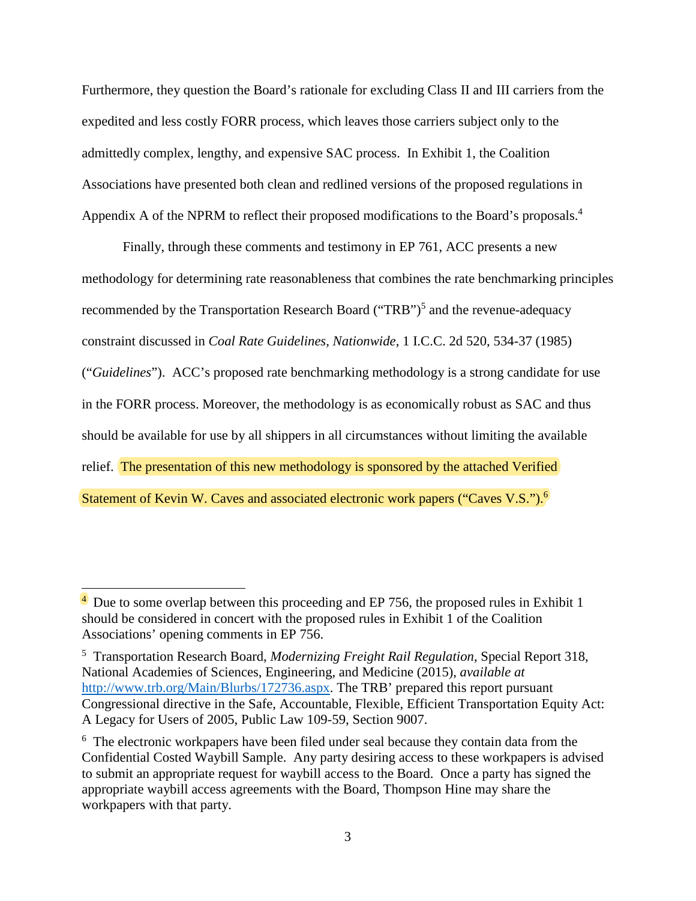Furthermore, they question the Board's rationale for excluding Class II and III carriers from the expedited and less costly FORR process, which leaves those carriers subject only to the admittedly complex, lengthy, and expensive SAC process. In Exhibit 1, the Coalition Associations have presented both clean and redlined versions of the proposed regulations in Appendix A of the NPRM to reflect their proposed modifications to the Board's proposals.<sup>4</sup>

Finally, through these comments and testimony in EP 761, ACC presents a new methodology for determining rate reasonableness that combines the rate benchmarking principles recommended by the Transportation Research Board ("TRB")<sup>5</sup> and the revenue-adequacy constraint discussed in *Coal Rate Guidelines, Nationwide*, 1 I.C.C. 2d 520, 534-37 (1985) ("*Guidelines*"). ACC's proposed rate benchmarking methodology is a strong candidate for use in the FORR process. Moreover, the methodology is as economically robust as SAC and thus should be available for use by all shippers in all circumstances without limiting the available relief. The presentation of this new methodology is sponsored by the attached Verified Statement of Kevin W. Caves and associated electronic work papers ("Caves V.S.").<sup>6</sup>

 $4$  Due to some overlap between this proceeding and EP 756, the proposed rules in Exhibit 1 should be considered in concert with the proposed rules in Exhibit 1 of the Coalition Associations' opening comments in EP 756.

<sup>5</sup> Transportation Research Board, *Modernizing Freight Rail Regulation*, Special Report 318, National Academies of Sciences, Engineering, and Medicine (2015), *available at*  http://www.trb.org/Main/Blurbs/172736.aspx. The TRB' prepared this report pursuant Congressional directive in the Safe, Accountable, Flexible, Efficient Transportation Equity Act: A Legacy for Users of 2005, Public Law 109-59, Section 9007.

<sup>&</sup>lt;sup>6</sup> The electronic workpapers have been filed under seal because they contain data from the Confidential Costed Waybill Sample. Any party desiring access to these workpapers is advised to submit an appropriate request for waybill access to the Board. Once a party has signed the appropriate waybill access agreements with the Board, Thompson Hine may share the workpapers with that party.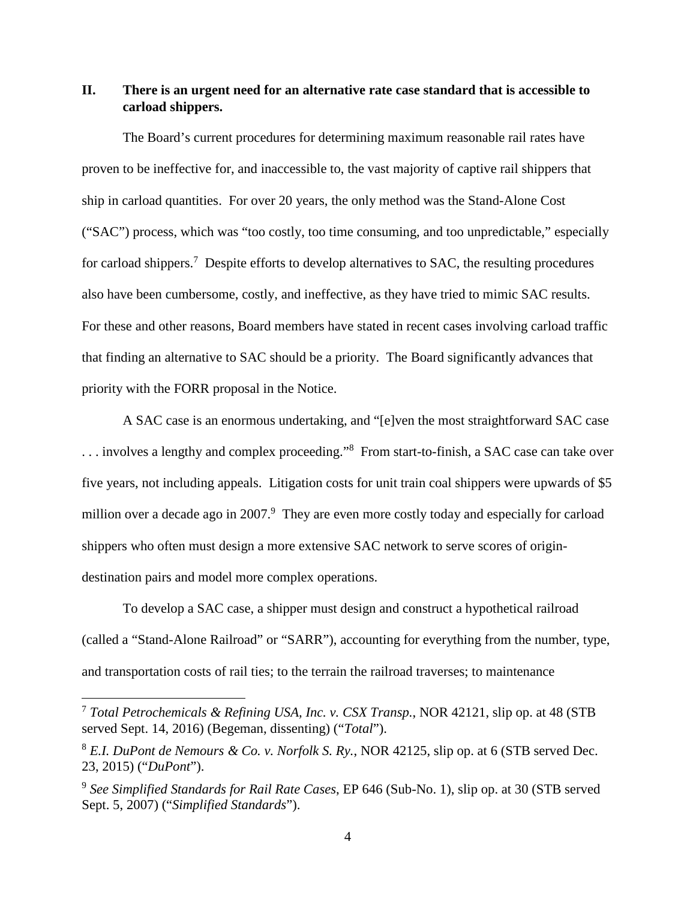## **II. There is an urgent need for an alternative rate case standard that is accessible to carload shippers.**

The Board's current procedures for determining maximum reasonable rail rates have proven to be ineffective for, and inaccessible to, the vast majority of captive rail shippers that ship in carload quantities. For over 20 years, the only method was the Stand-Alone Cost ("SAC") process, which was "too costly, too time consuming, and too unpredictable," especially for carload shippers.<sup>7</sup> Despite efforts to develop alternatives to SAC, the resulting procedures also have been cumbersome, costly, and ineffective, as they have tried to mimic SAC results. For these and other reasons, Board members have stated in recent cases involving carload traffic that finding an alternative to SAC should be a priority. The Board significantly advances that priority with the FORR proposal in the Notice.

A SAC case is an enormous undertaking, and "[e]ven the most straightforward SAC case ... involves a lengthy and complex proceeding."<sup>8</sup> From start-to-finish, a SAC case can take over five years, not including appeals. Litigation costs for unit train coal shippers were upwards of \$5 million over a decade ago in 2007.<sup>9</sup> They are even more costly today and especially for carload shippers who often must design a more extensive SAC network to serve scores of origindestination pairs and model more complex operations.

To develop a SAC case, a shipper must design and construct a hypothetical railroad (called a "Stand-Alone Railroad" or "SARR"), accounting for everything from the number, type, and transportation costs of rail ties; to the terrain the railroad traverses; to maintenance

<sup>7</sup> *Total Petrochemicals & Refining USA, Inc. v. CSX Transp.*, NOR 42121, slip op. at 48 (STB served Sept. 14, 2016) (Begeman, dissenting) ("*Total*").

<sup>8</sup> *E.I. DuPont de Nemours & Co. v. Norfolk S. Ry.*, NOR 42125, slip op. at 6 (STB served Dec. 23, 2015) ("*DuPont*").

<sup>9</sup> *See Simplified Standards for Rail Rate Cases*, EP 646 (Sub-No. 1), slip op. at 30 (STB served Sept. 5, 2007) ("*Simplified Standards*").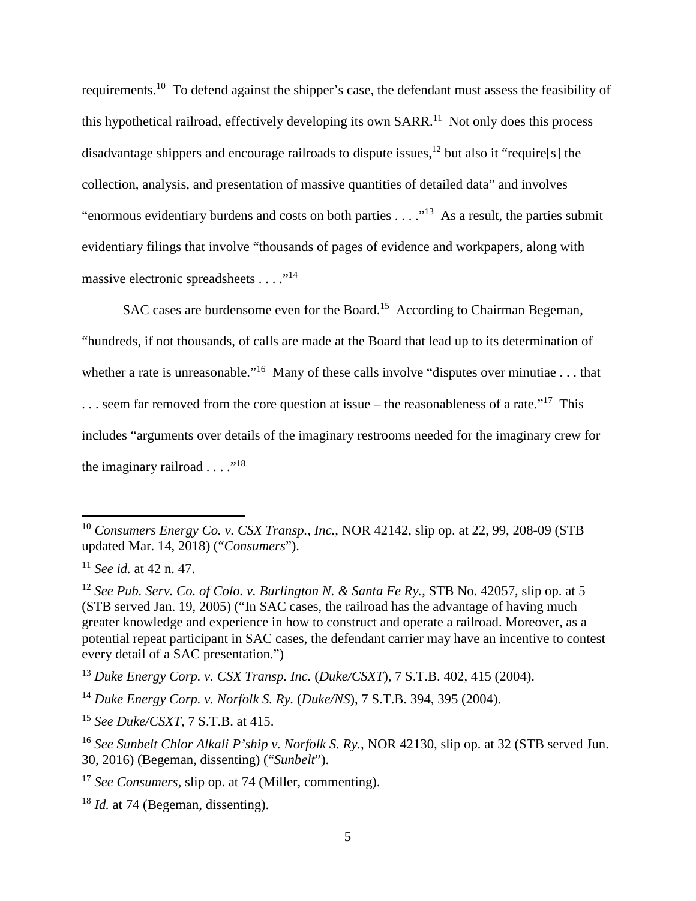requirements.<sup>10</sup> To defend against the shipper's case, the defendant must assess the feasibility of this hypothetical railroad, effectively developing its own  $SARR<sup>11</sup>$  Not only does this process disadvantage shippers and encourage railroads to dispute issues,<sup>12</sup> but also it "require[s] the collection, analysis, and presentation of massive quantities of detailed data" and involves "enormous evidentiary burdens and costs on both parties . . . ."<sup>13</sup> As a result, the parties submit evidentiary filings that involve "thousands of pages of evidence and workpapers, along with massive electronic spreadsheets . . . . "<sup>14</sup>

SAC cases are burdensome even for the Board.<sup>15</sup> According to Chairman Begeman, "hundreds, if not thousands, of calls are made at the Board that lead up to its determination of whether a rate is unreasonable."<sup>16</sup> Many of these calls involve "disputes over minutiae . . . that ... seem far removed from the core question at issue – the reasonableness of a rate."<sup>17</sup> This includes "arguments over details of the imaginary restrooms needed for the imaginary crew for the imaginary railroad  $\ldots$  ...<sup>18</sup>

<sup>10</sup> *Consumers Energy Co. v. CSX Transp., Inc.*, NOR 42142, slip op. at 22, 99, 208-09 (STB updated Mar. 14, 2018) ("*Consumers*").

<sup>11</sup> *See id.* at 42 n. 47.

<sup>12</sup> *See Pub. Serv. Co. of Colo. v. Burlington N. & Santa Fe Ry.*, STB No. 42057, slip op. at 5 (STB served Jan. 19, 2005) ("In SAC cases, the railroad has the advantage of having much greater knowledge and experience in how to construct and operate a railroad. Moreover, as a potential repeat participant in SAC cases, the defendant carrier may have an incentive to contest every detail of a SAC presentation.")

<sup>13</sup> *Duke Energy Corp. v. CSX Transp. Inc.* (*Duke/CSXT*), 7 S.T.B. 402, 415 (2004).

<sup>14</sup> *Duke Energy Corp. v. Norfolk S. Ry.* (*Duke/NS*), 7 S.T.B. 394, 395 (2004).

<sup>15</sup> *See Duke/CSXT*, 7 S.T.B. at 415.

<sup>16</sup> *See Sunbelt Chlor Alkali P'ship v. Norfolk S. Ry.,* NOR 42130*,* slip op. at 32 (STB served Jun. 30, 2016) (Begeman, dissenting) ("*Sunbelt*").

<sup>17</sup> *See Consumers*, slip op. at 74 (Miller, commenting).

<sup>&</sup>lt;sup>18</sup> *Id.* at 74 (Begeman, dissenting).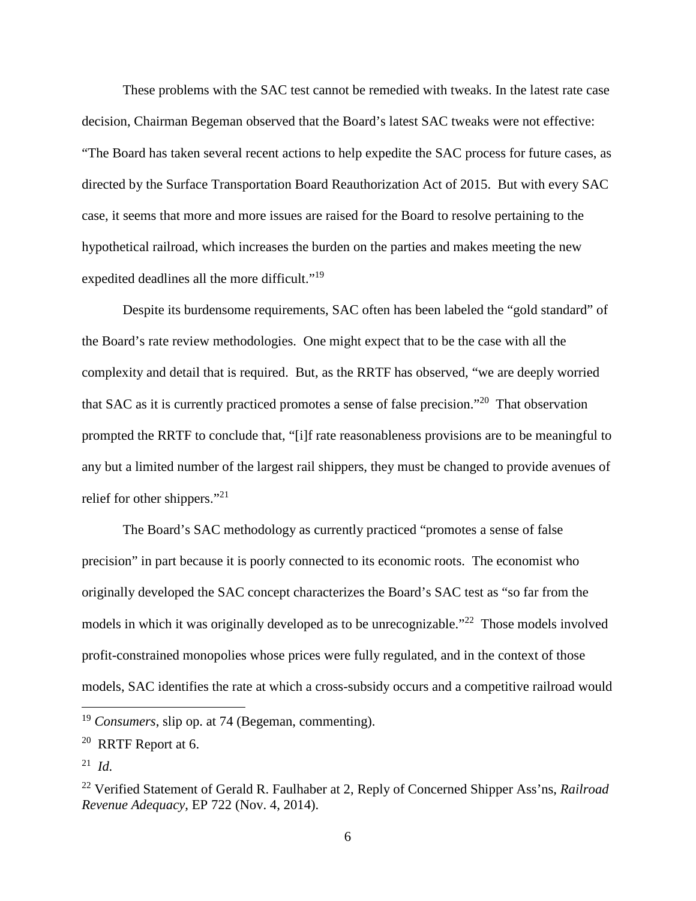These problems with the SAC test cannot be remedied with tweaks. In the latest rate case decision, Chairman Begeman observed that the Board's latest SAC tweaks were not effective: "The Board has taken several recent actions to help expedite the SAC process for future cases, as directed by the Surface Transportation Board Reauthorization Act of 2015. But with every SAC case, it seems that more and more issues are raised for the Board to resolve pertaining to the hypothetical railroad, which increases the burden on the parties and makes meeting the new expedited deadlines all the more difficult."<sup>19</sup>

Despite its burdensome requirements, SAC often has been labeled the "gold standard" of the Board's rate review methodologies. One might expect that to be the case with all the complexity and detail that is required. But, as the RRTF has observed, "we are deeply worried that SAC as it is currently practiced promotes a sense of false precision."<sup>20</sup> That observation prompted the RRTF to conclude that, "[i]f rate reasonableness provisions are to be meaningful to any but a limited number of the largest rail shippers, they must be changed to provide avenues of relief for other shippers."<sup>21</sup>

The Board's SAC methodology as currently practiced "promotes a sense of false precision" in part because it is poorly connected to its economic roots. The economist who originally developed the SAC concept characterizes the Board's SAC test as "so far from the models in which it was originally developed as to be unrecognizable."<sup>22</sup> Those models involved profit-constrained monopolies whose prices were fully regulated, and in the context of those models, SAC identifies the rate at which a cross-subsidy occurs and a competitive railroad would

<sup>19</sup> *Consumers*, slip op. at 74 (Begeman, commenting).

<sup>20</sup> RRTF Report at 6.

<sup>21</sup> *Id.*

<sup>22</sup> Verified Statement of Gerald R. Faulhaber at 2, Reply of Concerned Shipper Ass'ns, *Railroad Revenue Adequacy*, EP 722 (Nov. 4, 2014).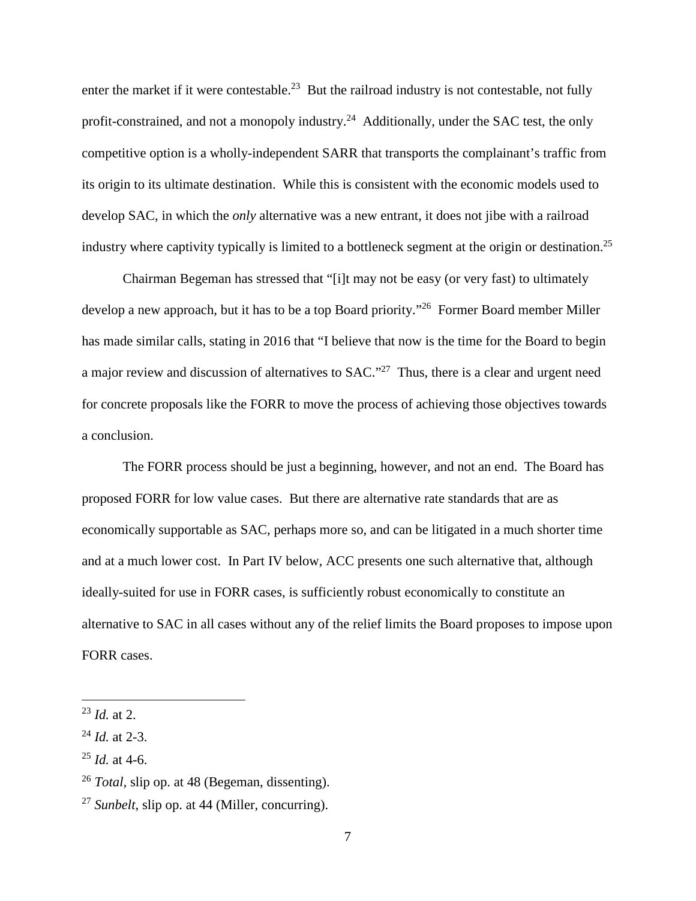enter the market if it were contestable.<sup>23</sup> But the railroad industry is not contestable, not fully profit-constrained, and not a monopoly industry.<sup>24</sup> Additionally, under the SAC test, the only competitive option is a wholly-independent SARR that transports the complainant's traffic from its origin to its ultimate destination. While this is consistent with the economic models used to develop SAC, in which the *only* alternative was a new entrant, it does not jibe with a railroad industry where captivity typically is limited to a bottleneck segment at the origin or destination.<sup>25</sup>

Chairman Begeman has stressed that "[i]t may not be easy (or very fast) to ultimately develop a new approach, but it has to be a top Board priority."<sup>26</sup> Former Board member Miller has made similar calls, stating in 2016 that "I believe that now is the time for the Board to begin a major review and discussion of alternatives to SAC."<sup>27</sup> Thus, there is a clear and urgent need for concrete proposals like the FORR to move the process of achieving those objectives towards a conclusion.

The FORR process should be just a beginning, however, and not an end. The Board has proposed FORR for low value cases. But there are alternative rate standards that are as economically supportable as SAC, perhaps more so, and can be litigated in a much shorter time and at a much lower cost. In Part IV below, ACC presents one such alternative that, although ideally-suited for use in FORR cases, is sufficiently robust economically to constitute an alternative to SAC in all cases without any of the relief limits the Board proposes to impose upon FORR cases.

<sup>23</sup> *Id.* at 2.

<sup>24</sup> *Id.* at 2-3.

<sup>25</sup> *Id.* at 4-6.

<sup>26</sup> *Total,* slip op. at 48 (Begeman, dissenting).

<sup>27</sup> *Sunbelt*, slip op. at 44 (Miller, concurring).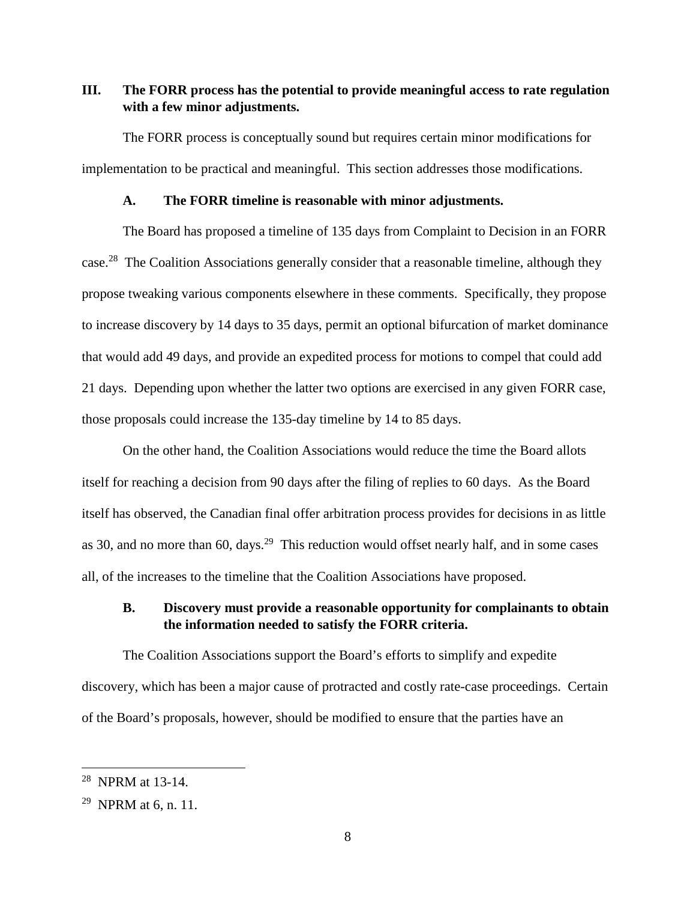## **III. The FORR process has the potential to provide meaningful access to rate regulation with a few minor adjustments.**

The FORR process is conceptually sound but requires certain minor modifications for implementation to be practical and meaningful. This section addresses those modifications.

### **A. The FORR timeline is reasonable with minor adjustments.**

The Board has proposed a timeline of 135 days from Complaint to Decision in an FORR case.<sup>28</sup> The Coalition Associations generally consider that a reasonable timeline, although they propose tweaking various components elsewhere in these comments. Specifically, they propose to increase discovery by 14 days to 35 days, permit an optional bifurcation of market dominance that would add 49 days, and provide an expedited process for motions to compel that could add 21 days. Depending upon whether the latter two options are exercised in any given FORR case, those proposals could increase the 135-day timeline by 14 to 85 days.

On the other hand, the Coalition Associations would reduce the time the Board allots itself for reaching a decision from 90 days after the filing of replies to 60 days. As the Board itself has observed, the Canadian final offer arbitration process provides for decisions in as little as 30, and no more than 60, days.<sup>29</sup> This reduction would offset nearly half, and in some cases all, of the increases to the timeline that the Coalition Associations have proposed.

### **B. Discovery must provide a reasonable opportunity for complainants to obtain the information needed to satisfy the FORR criteria.**

The Coalition Associations support the Board's efforts to simplify and expedite discovery, which has been a major cause of protracted and costly rate-case proceedings. Certain of the Board's proposals, however, should be modified to ensure that the parties have an

<sup>28</sup> NPRM at 13-14.

<sup>&</sup>lt;sup>29</sup> NPRM at 6, n, 11.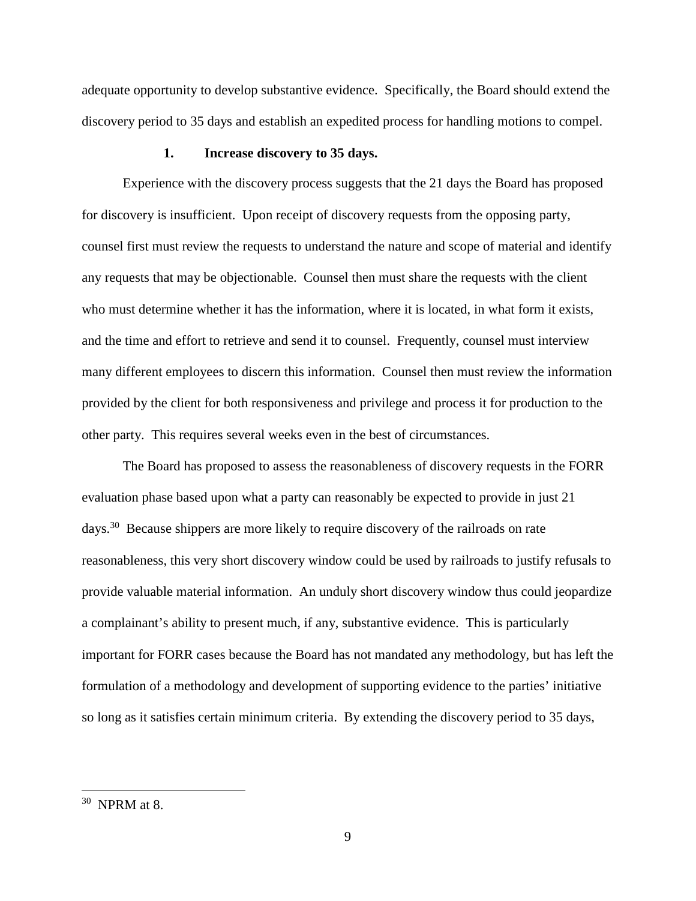adequate opportunity to develop substantive evidence. Specifically, the Board should extend the discovery period to 35 days and establish an expedited process for handling motions to compel.

#### **1. Increase discovery to 35 days.**

Experience with the discovery process suggests that the 21 days the Board has proposed for discovery is insufficient. Upon receipt of discovery requests from the opposing party, counsel first must review the requests to understand the nature and scope of material and identify any requests that may be objectionable. Counsel then must share the requests with the client who must determine whether it has the information, where it is located, in what form it exists, and the time and effort to retrieve and send it to counsel. Frequently, counsel must interview many different employees to discern this information. Counsel then must review the information provided by the client for both responsiveness and privilege and process it for production to the other party. This requires several weeks even in the best of circumstances.

The Board has proposed to assess the reasonableness of discovery requests in the FORR evaluation phase based upon what a party can reasonably be expected to provide in just 21 days.<sup>30</sup> Because shippers are more likely to require discovery of the railroads on rate reasonableness, this very short discovery window could be used by railroads to justify refusals to provide valuable material information. An unduly short discovery window thus could jeopardize a complainant's ability to present much, if any, substantive evidence. This is particularly important for FORR cases because the Board has not mandated any methodology, but has left the formulation of a methodology and development of supporting evidence to the parties' initiative so long as it satisfies certain minimum criteria. By extending the discovery period to 35 days,

<sup>30</sup> NPRM at 8.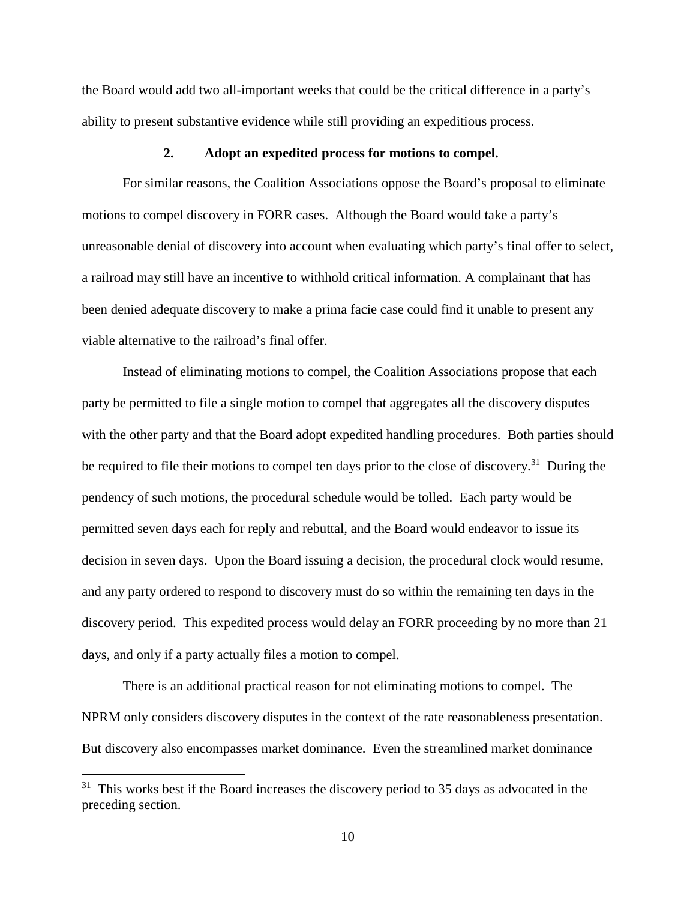the Board would add two all-important weeks that could be the critical difference in a party's ability to present substantive evidence while still providing an expeditious process.

#### **2. Adopt an expedited process for motions to compel.**

For similar reasons, the Coalition Associations oppose the Board's proposal to eliminate motions to compel discovery in FORR cases. Although the Board would take a party's unreasonable denial of discovery into account when evaluating which party's final offer to select, a railroad may still have an incentive to withhold critical information. A complainant that has been denied adequate discovery to make a prima facie case could find it unable to present any viable alternative to the railroad's final offer.

Instead of eliminating motions to compel, the Coalition Associations propose that each party be permitted to file a single motion to compel that aggregates all the discovery disputes with the other party and that the Board adopt expedited handling procedures. Both parties should be required to file their motions to compel ten days prior to the close of discovery.<sup>31</sup> During the pendency of such motions, the procedural schedule would be tolled. Each party would be permitted seven days each for reply and rebuttal, and the Board would endeavor to issue its decision in seven days. Upon the Board issuing a decision, the procedural clock would resume, and any party ordered to respond to discovery must do so within the remaining ten days in the discovery period. This expedited process would delay an FORR proceeding by no more than 21 days, and only if a party actually files a motion to compel.

There is an additional practical reason for not eliminating motions to compel. The NPRM only considers discovery disputes in the context of the rate reasonableness presentation. But discovery also encompasses market dominance. Even the streamlined market dominance

 $31$  This works best if the Board increases the discovery period to 35 days as advocated in the preceding section.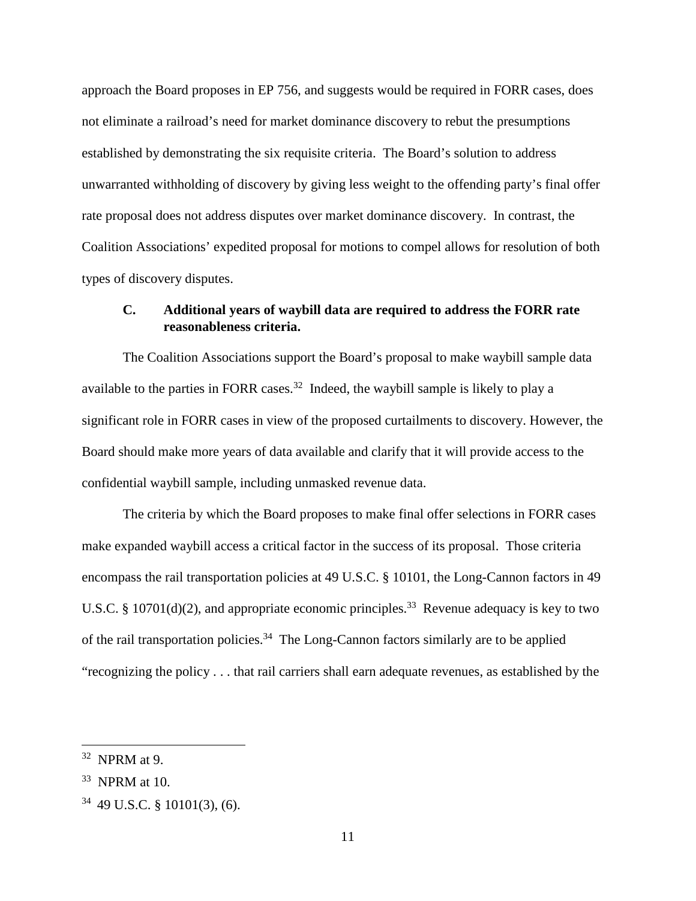approach the Board proposes in EP 756, and suggests would be required in FORR cases, does not eliminate a railroad's need for market dominance discovery to rebut the presumptions established by demonstrating the six requisite criteria. The Board's solution to address unwarranted withholding of discovery by giving less weight to the offending party's final offer rate proposal does not address disputes over market dominance discovery. In contrast, the Coalition Associations' expedited proposal for motions to compel allows for resolution of both types of discovery disputes.

### **C. Additional years of waybill data are required to address the FORR rate reasonableness criteria.**

The Coalition Associations support the Board's proposal to make waybill sample data available to the parties in FORR cases.<sup>32</sup> Indeed, the waybill sample is likely to play a significant role in FORR cases in view of the proposed curtailments to discovery. However, the Board should make more years of data available and clarify that it will provide access to the confidential waybill sample, including unmasked revenue data.

The criteria by which the Board proposes to make final offer selections in FORR cases make expanded waybill access a critical factor in the success of its proposal. Those criteria encompass the rail transportation policies at 49 U.S.C. § 10101, the Long-Cannon factors in 49 U.S.C. § 10701(d)(2), and appropriate economic principles.<sup>33</sup> Revenue adequacy is key to two of the rail transportation policies.<sup>34</sup> The Long-Cannon factors similarly are to be applied "recognizing the policy . . . that rail carriers shall earn adequate revenues, as established by the

 $32$  NPRM at 9.

<sup>33</sup> NPRM at 10.

<sup>34</sup> 49 U.S.C. § 10101(3), (6).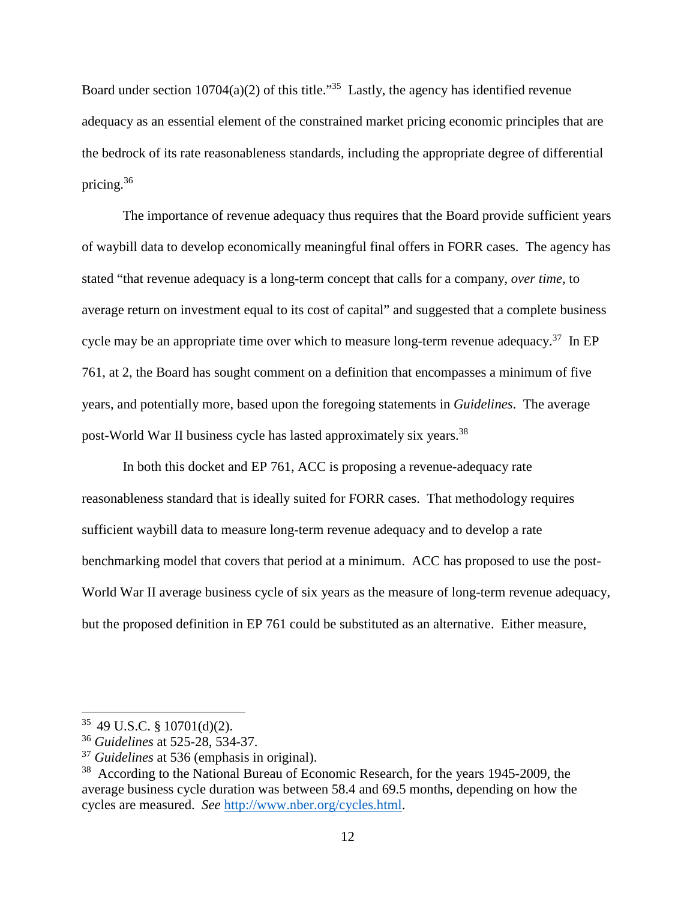Board under section  $10704(a)(2)$  of this title."<sup>35</sup> Lastly, the agency has identified revenue adequacy as an essential element of the constrained market pricing economic principles that are the bedrock of its rate reasonableness standards, including the appropriate degree of differential pricing.<sup>36</sup>

The importance of revenue adequacy thus requires that the Board provide sufficient years of waybill data to develop economically meaningful final offers in FORR cases. The agency has stated "that revenue adequacy is a long-term concept that calls for a company, *over time,* to average return on investment equal to its cost of capital" and suggested that a complete business cycle may be an appropriate time over which to measure long-term revenue adequacy.<sup>37</sup> In EP 761, at 2, the Board has sought comment on a definition that encompasses a minimum of five years, and potentially more, based upon the foregoing statements in *Guidelines*. The average post-World War II business cycle has lasted approximately six years.<sup>38</sup>

In both this docket and EP 761, ACC is proposing a revenue-adequacy rate reasonableness standard that is ideally suited for FORR cases. That methodology requires sufficient waybill data to measure long-term revenue adequacy and to develop a rate benchmarking model that covers that period at a minimum. ACC has proposed to use the post-World War II average business cycle of six years as the measure of long-term revenue adequacy, but the proposed definition in EP 761 could be substituted as an alternative. Either measure,

 $35$  49 U.S.C. § 10701(d)(2).

<sup>36</sup> *Guidelines* at 525-28, 534-37.

<sup>37</sup> *Guidelines* at 536 (emphasis in original).

<sup>&</sup>lt;sup>38</sup> According to the National Bureau of Economic Research, for the years 1945-2009, the average business cycle duration was between 58.4 and 69.5 months, depending on how the cycles are measured. *See* http://www.nber.org/cycles.html.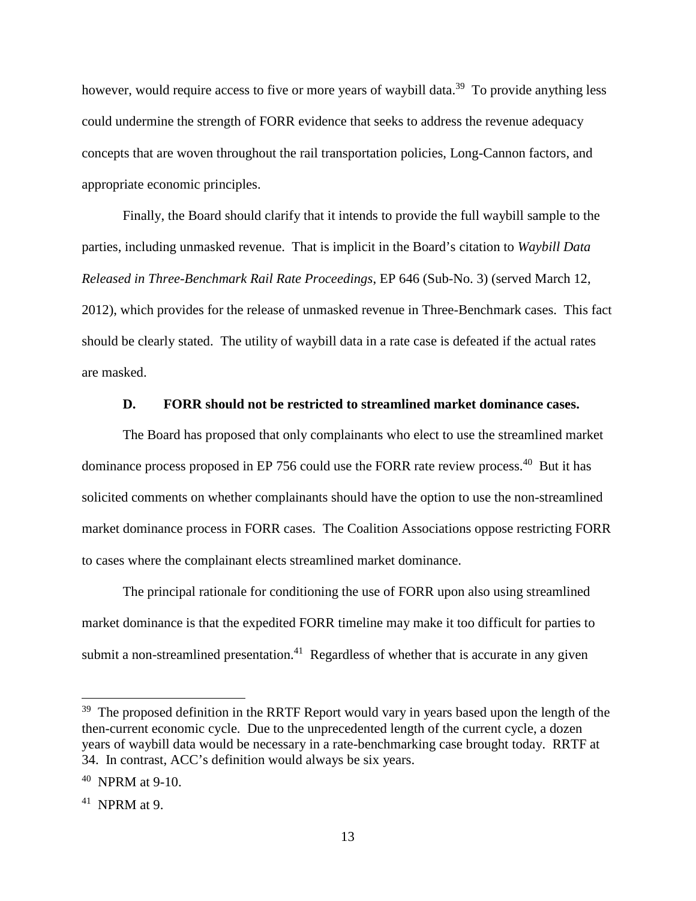however, would require access to five or more years of waybill data.<sup>39</sup> To provide anything less could undermine the strength of FORR evidence that seeks to address the revenue adequacy concepts that are woven throughout the rail transportation policies, Long-Cannon factors, and appropriate economic principles.

Finally, the Board should clarify that it intends to provide the full waybill sample to the parties, including unmasked revenue. That is implicit in the Board's citation to *Waybill Data Released in Three-Benchmark Rail Rate Proceedings*, EP 646 (Sub-No. 3) (served March 12, 2012), which provides for the release of unmasked revenue in Three-Benchmark cases. This fact should be clearly stated. The utility of waybill data in a rate case is defeated if the actual rates are masked.

#### **D. FORR should not be restricted to streamlined market dominance cases.**

The Board has proposed that only complainants who elect to use the streamlined market dominance process proposed in EP 756 could use the FORR rate review process.<sup>40</sup> But it has solicited comments on whether complainants should have the option to use the non-streamlined market dominance process in FORR cases. The Coalition Associations oppose restricting FORR to cases where the complainant elects streamlined market dominance.

The principal rationale for conditioning the use of FORR upon also using streamlined market dominance is that the expedited FORR timeline may make it too difficult for parties to submit a non-streamlined presentation.<sup>41</sup> Regardless of whether that is accurate in any given

<sup>&</sup>lt;sup>39</sup> The proposed definition in the RRTF Report would vary in years based upon the length of the then-current economic cycle. Due to the unprecedented length of the current cycle, a dozen years of waybill data would be necessary in a rate-benchmarking case brought today. RRTF at 34. In contrast, ACC's definition would always be six years.

<sup>40</sup> NPRM at 9-10.

<sup>41</sup> NPRM at 9.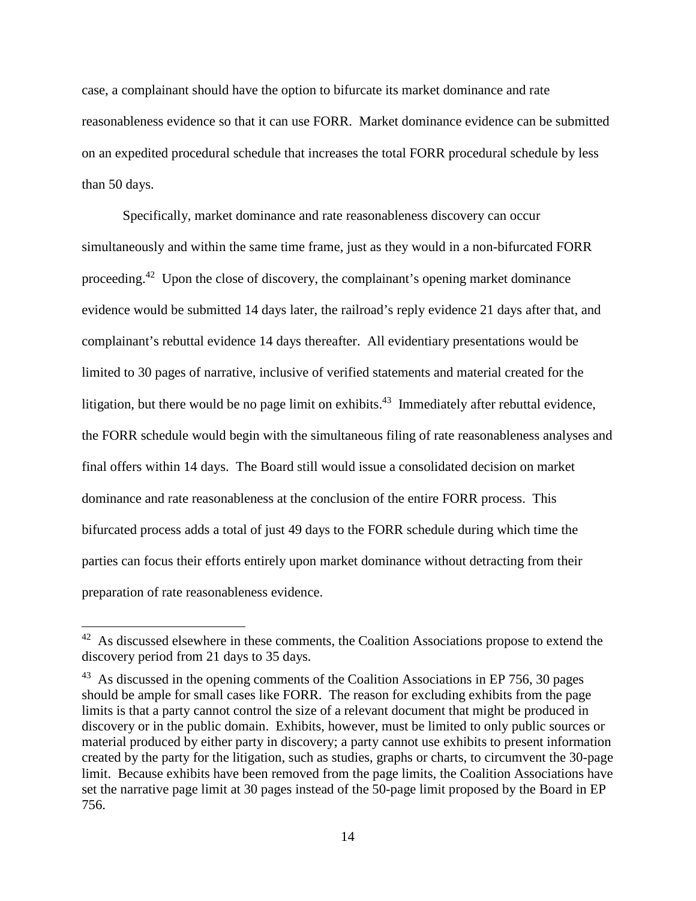case, a complainant should have the option to bifurcate its market dominance and rate reasonableness evidence so that it can use FORR. Market dominance evidence can be submitted on an expedited procedural schedule that increases the total FORR procedural schedule by less than 50 days.

Specifically, market dominance and rate reasonableness discovery can occur simultaneously and within the same time frame, just as they would in a non-bifurcated FORR proceeding.<sup>42</sup> Upon the close of discovery, the complainant's opening market dominance evidence would be submitted 14 days later, the railroad's reply evidence 21 days after that, and complainant's rebuttal evidence 14 days thereafter. All evidentiary presentations would be limited to 30 pages of narrative, inclusive of verified statements and material created for the litigation, but there would be no page limit on exhibits.<sup>43</sup> Immediately after rebuttal evidence, the FORR schedule would begin with the simultaneous filing of rate reasonableness analyses and final offers within 14 days. The Board still would issue a consolidated decision on market dominance and rate reasonableness at the conclusion of the entire FORR process. This bifurcated process adds a total of just 49 days to the FORR schedule during which time the parties can focus their efforts entirely upon market dominance without detracting from their preparation of rate reasonableness evidence.

 $42$  As discussed elsewhere in these comments, the Coalition Associations propose to extend the discovery period from 21 days to 35 days.

 $43$  As discussed in the opening comments of the Coalition Associations in EP 756, 30 pages should be ample for small cases like FORR. The reason for excluding exhibits from the page limits is that a party cannot control the size of a relevant document that might be produced in discovery or in the public domain. Exhibits, however, must be limited to only public sources or material produced by either party in discovery; a party cannot use exhibits to present information created by the party for the litigation, such as studies, graphs or charts, to circumvent the 30-page limit. Because exhibits have been removed from the page limits, the Coalition Associations have set the narrative page limit at 30 pages instead of the 50-page limit proposed by the Board in EP 756.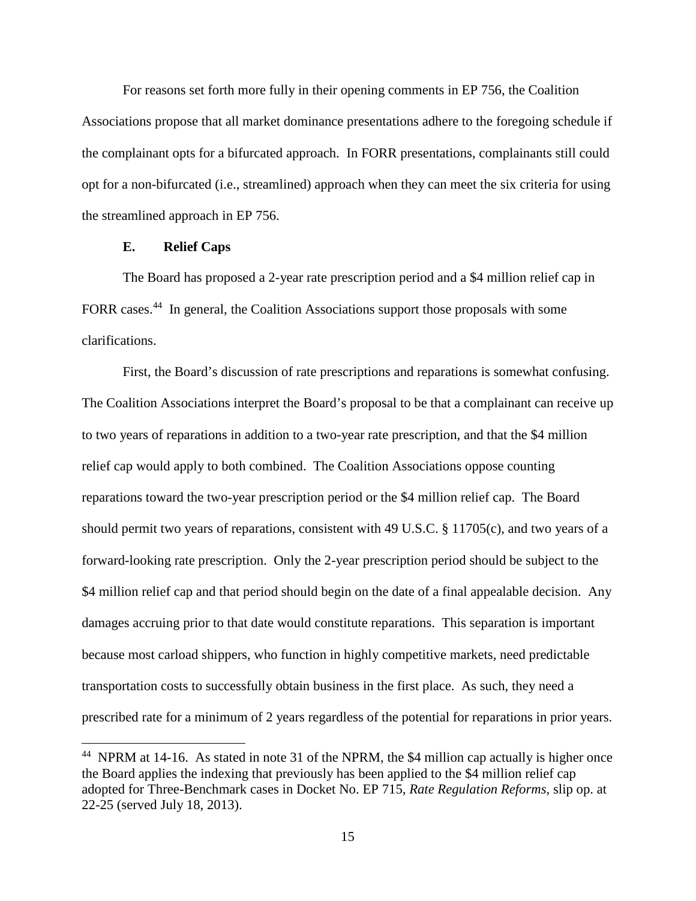For reasons set forth more fully in their opening comments in EP 756, the Coalition Associations propose that all market dominance presentations adhere to the foregoing schedule if the complainant opts for a bifurcated approach. In FORR presentations, complainants still could opt for a non-bifurcated (i.e., streamlined) approach when they can meet the six criteria for using the streamlined approach in EP 756.

### **E. Relief Caps**

The Board has proposed a 2-year rate prescription period and a \$4 million relief cap in FORR cases.<sup>44</sup> In general, the Coalition Associations support those proposals with some clarifications.

First, the Board's discussion of rate prescriptions and reparations is somewhat confusing. The Coalition Associations interpret the Board's proposal to be that a complainant can receive up to two years of reparations in addition to a two-year rate prescription, and that the \$4 million relief cap would apply to both combined. The Coalition Associations oppose counting reparations toward the two-year prescription period or the \$4 million relief cap. The Board should permit two years of reparations, consistent with 49 U.S.C. § 11705(c), and two years of a forward-looking rate prescription. Only the 2-year prescription period should be subject to the \$4 million relief cap and that period should begin on the date of a final appealable decision. Any damages accruing prior to that date would constitute reparations. This separation is important because most carload shippers, who function in highly competitive markets, need predictable transportation costs to successfully obtain business in the first place. As such, they need a prescribed rate for a minimum of 2 years regardless of the potential for reparations in prior years.

 $44$  NPRM at 14-16. As stated in note 31 of the NPRM, the \$4 million cap actually is higher once the Board applies the indexing that previously has been applied to the \$4 million relief cap adopted for Three-Benchmark cases in Docket No. EP 715, *Rate Regulation Reforms*, slip op. at 22-25 (served July 18, 2013).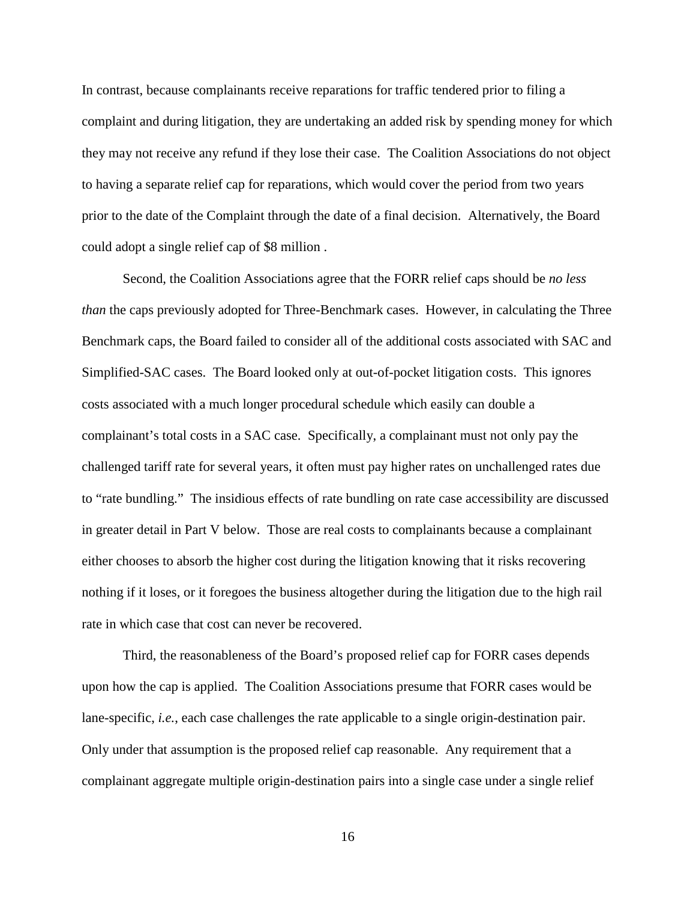In contrast, because complainants receive reparations for traffic tendered prior to filing a complaint and during litigation, they are undertaking an added risk by spending money for which they may not receive any refund if they lose their case. The Coalition Associations do not object to having a separate relief cap for reparations, which would cover the period from two years prior to the date of the Complaint through the date of a final decision. Alternatively, the Board could adopt a single relief cap of \$8 million .

Second, the Coalition Associations agree that the FORR relief caps should be *no less than* the caps previously adopted for Three-Benchmark cases. However, in calculating the Three Benchmark caps, the Board failed to consider all of the additional costs associated with SAC and Simplified-SAC cases. The Board looked only at out-of-pocket litigation costs. This ignores costs associated with a much longer procedural schedule which easily can double a complainant's total costs in a SAC case. Specifically, a complainant must not only pay the challenged tariff rate for several years, it often must pay higher rates on unchallenged rates due to "rate bundling." The insidious effects of rate bundling on rate case accessibility are discussed in greater detail in Part V below. Those are real costs to complainants because a complainant either chooses to absorb the higher cost during the litigation knowing that it risks recovering nothing if it loses, or it foregoes the business altogether during the litigation due to the high rail rate in which case that cost can never be recovered.

Third, the reasonableness of the Board's proposed relief cap for FORR cases depends upon how the cap is applied. The Coalition Associations presume that FORR cases would be lane-specific, *i.e.*, each case challenges the rate applicable to a single origin-destination pair. Only under that assumption is the proposed relief cap reasonable. Any requirement that a complainant aggregate multiple origin-destination pairs into a single case under a single relief

16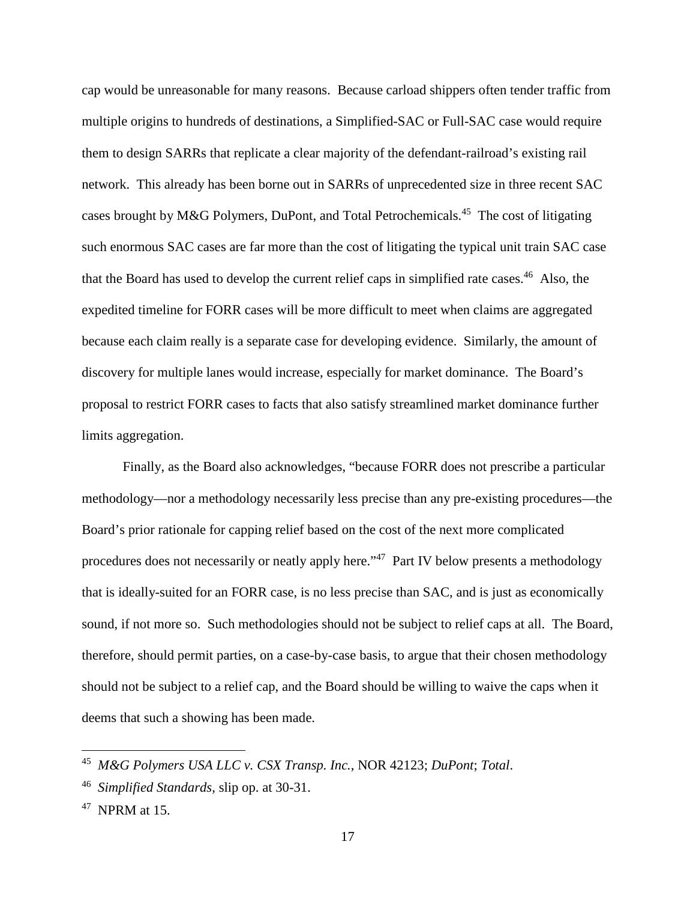cap would be unreasonable for many reasons. Because carload shippers often tender traffic from multiple origins to hundreds of destinations, a Simplified-SAC or Full-SAC case would require them to design SARRs that replicate a clear majority of the defendant-railroad's existing rail network. This already has been borne out in SARRs of unprecedented size in three recent SAC cases brought by M&G Polymers, DuPont, and Total Petrochemicals.<sup>45</sup> The cost of litigating such enormous SAC cases are far more than the cost of litigating the typical unit train SAC case that the Board has used to develop the current relief caps in simplified rate cases.<sup>46</sup> Also, the expedited timeline for FORR cases will be more difficult to meet when claims are aggregated because each claim really is a separate case for developing evidence. Similarly, the amount of discovery for multiple lanes would increase, especially for market dominance. The Board's proposal to restrict FORR cases to facts that also satisfy streamlined market dominance further limits aggregation.

Finally, as the Board also acknowledges, "because FORR does not prescribe a particular methodology—nor a methodology necessarily less precise than any pre-existing procedures—the Board's prior rationale for capping relief based on the cost of the next more complicated procedures does not necessarily or neatly apply here."<sup>47</sup> Part IV below presents a methodology that is ideally-suited for an FORR case, is no less precise than SAC, and is just as economically sound, if not more so. Such methodologies should not be subject to relief caps at all. The Board, therefore, should permit parties, on a case-by-case basis, to argue that their chosen methodology should not be subject to a relief cap, and the Board should be willing to waive the caps when it deems that such a showing has been made.

<sup>45</sup> *M&G Polymers USA LLC v. CSX Transp. Inc.*, NOR 42123; *DuPont*; *Total*.

<sup>46</sup> *Simplified Standards,* slip op. at 30-31.

 $47$  NPRM at 15.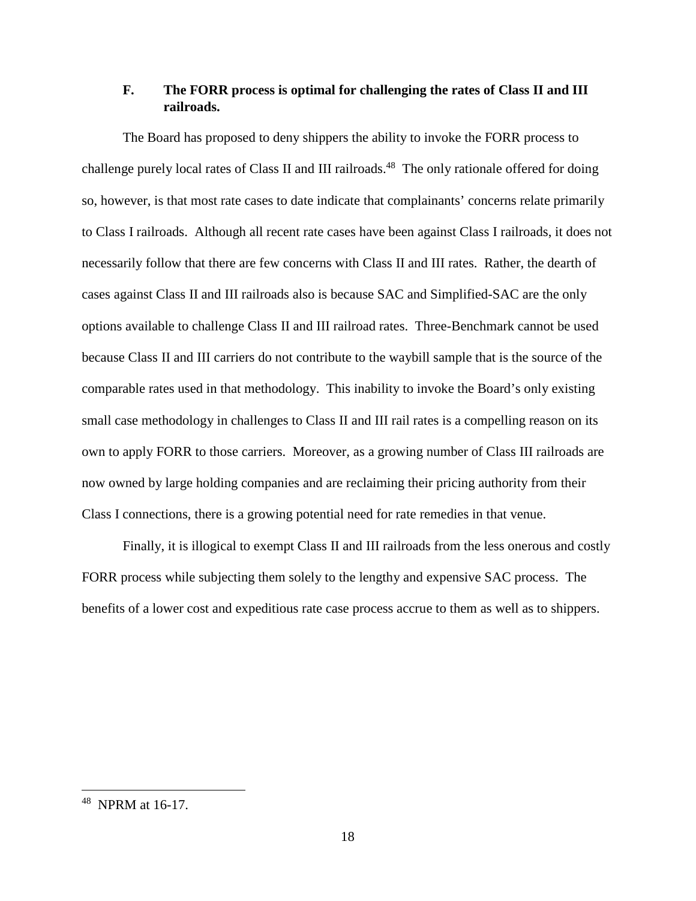## **F. The FORR process is optimal for challenging the rates of Class II and III railroads.**

The Board has proposed to deny shippers the ability to invoke the FORR process to challenge purely local rates of Class II and III railroads.<sup>48</sup> The only rationale offered for doing so, however, is that most rate cases to date indicate that complainants' concerns relate primarily to Class I railroads. Although all recent rate cases have been against Class I railroads, it does not necessarily follow that there are few concerns with Class II and III rates. Rather, the dearth of cases against Class II and III railroads also is because SAC and Simplified-SAC are the only options available to challenge Class II and III railroad rates. Three-Benchmark cannot be used because Class II and III carriers do not contribute to the waybill sample that is the source of the comparable rates used in that methodology. This inability to invoke the Board's only existing small case methodology in challenges to Class II and III rail rates is a compelling reason on its own to apply FORR to those carriers. Moreover, as a growing number of Class III railroads are now owned by large holding companies and are reclaiming their pricing authority from their Class I connections, there is a growing potential need for rate remedies in that venue.

Finally, it is illogical to exempt Class II and III railroads from the less onerous and costly FORR process while subjecting them solely to the lengthy and expensive SAC process. The benefits of a lower cost and expeditious rate case process accrue to them as well as to shippers.

<sup>48</sup> NPRM at 16-17.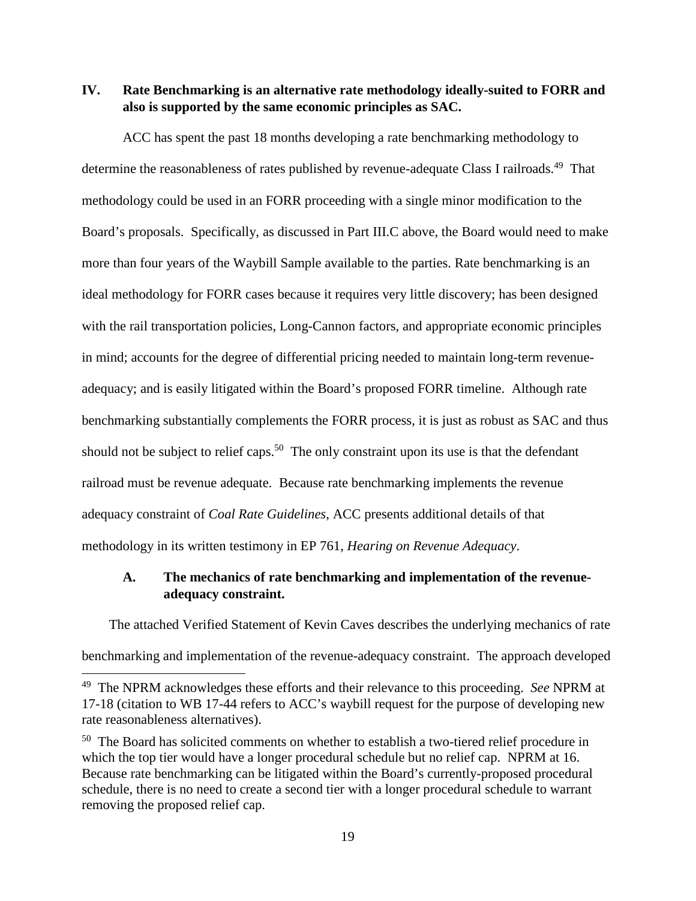**IV. Rate Benchmarking is an alternative rate methodology ideally-suited to FORR and also is supported by the same economic principles as SAC.** 

ACC has spent the past 18 months developing a rate benchmarking methodology to determine the reasonableness of rates published by revenue-adequate Class I railroads.<sup>49</sup> That methodology could be used in an FORR proceeding with a single minor modification to the Board's proposals. Specifically, as discussed in Part III.C above, the Board would need to make more than four years of the Waybill Sample available to the parties. Rate benchmarking is an ideal methodology for FORR cases because it requires very little discovery; has been designed with the rail transportation policies, Long-Cannon factors, and appropriate economic principles in mind; accounts for the degree of differential pricing needed to maintain long-term revenueadequacy; and is easily litigated within the Board's proposed FORR timeline. Although rate benchmarking substantially complements the FORR process, it is just as robust as SAC and thus should not be subject to relief caps.<sup>50</sup> The only constraint upon its use is that the defendant railroad must be revenue adequate. Because rate benchmarking implements the revenue adequacy constraint of *Coal Rate Guidelines*, ACC presents additional details of that methodology in its written testimony in EP 761, *Hearing on Revenue Adequacy*.

## **A. The mechanics of rate benchmarking and implementation of the revenueadequacy constraint.**

The attached Verified Statement of Kevin Caves describes the underlying mechanics of rate benchmarking and implementation of the revenue-adequacy constraint. The approach developed

<sup>49</sup> The NPRM acknowledges these efforts and their relevance to this proceeding. *See* NPRM at 17-18 (citation to WB 17-44 refers to ACC's waybill request for the purpose of developing new rate reasonableness alternatives).

<sup>&</sup>lt;sup>50</sup> The Board has solicited comments on whether to establish a two-tiered relief procedure in which the top tier would have a longer procedural schedule but no relief cap. NPRM at 16. Because rate benchmarking can be litigated within the Board's currently-proposed procedural schedule, there is no need to create a second tier with a longer procedural schedule to warrant removing the proposed relief cap.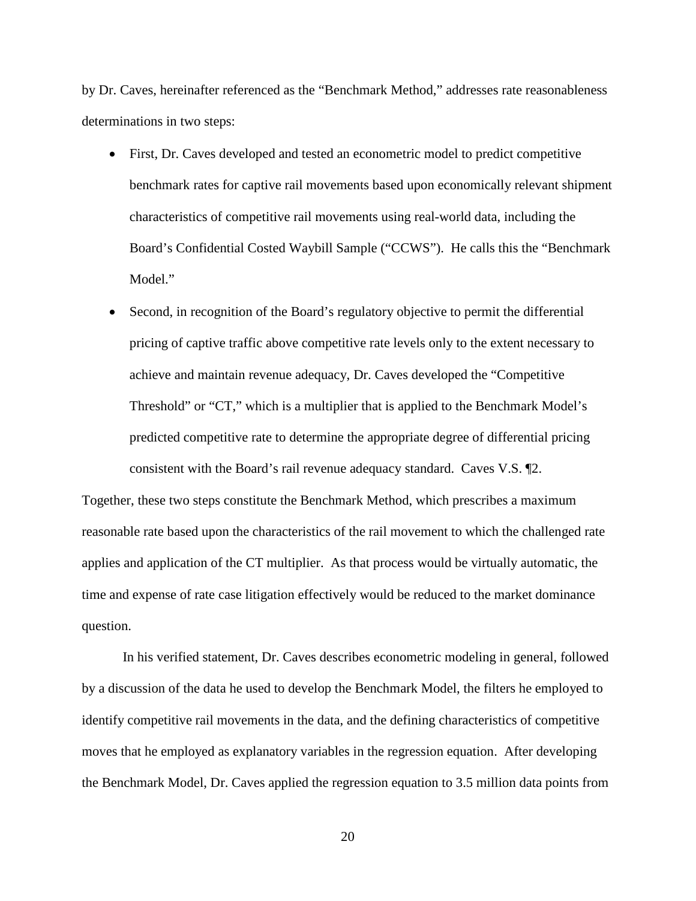by Dr. Caves, hereinafter referenced as the "Benchmark Method," addresses rate reasonableness determinations in two steps:

- First, Dr. Caves developed and tested an econometric model to predict competitive benchmark rates for captive rail movements based upon economically relevant shipment characteristics of competitive rail movements using real-world data, including the Board's Confidential Costed Waybill Sample ("CCWS"). He calls this the "Benchmark Model."
- Second, in recognition of the Board's regulatory objective to permit the differential pricing of captive traffic above competitive rate levels only to the extent necessary to achieve and maintain revenue adequacy, Dr. Caves developed the "Competitive Threshold" or "CT," which is a multiplier that is applied to the Benchmark Model's predicted competitive rate to determine the appropriate degree of differential pricing consistent with the Board's rail revenue adequacy standard. Caves V.S. ¶2.

Together, these two steps constitute the Benchmark Method, which prescribes a maximum reasonable rate based upon the characteristics of the rail movement to which the challenged rate applies and application of the CT multiplier. As that process would be virtually automatic, the time and expense of rate case litigation effectively would be reduced to the market dominance question.

In his verified statement, Dr. Caves describes econometric modeling in general, followed by a discussion of the data he used to develop the Benchmark Model, the filters he employed to identify competitive rail movements in the data, and the defining characteristics of competitive moves that he employed as explanatory variables in the regression equation. After developing the Benchmark Model, Dr. Caves applied the regression equation to 3.5 million data points from

20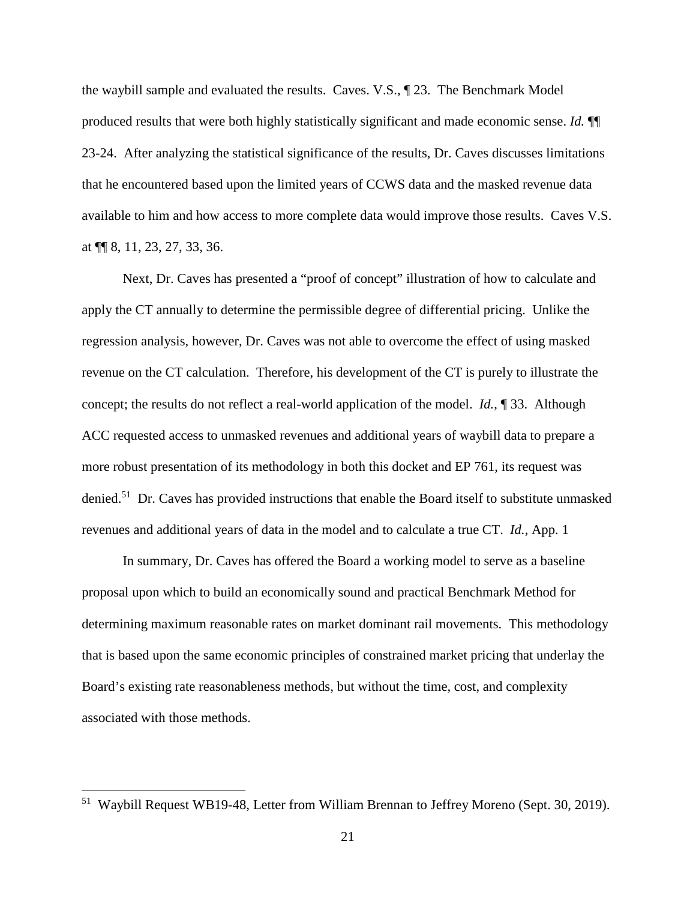the waybill sample and evaluated the results. Caves. V.S., ¶ 23. The Benchmark Model produced results that were both highly statistically significant and made economic sense. *Id.* ¶¶ 23-24. After analyzing the statistical significance of the results, Dr. Caves discusses limitations that he encountered based upon the limited years of CCWS data and the masked revenue data available to him and how access to more complete data would improve those results. Caves V.S. at ¶¶ 8, 11, 23, 27, 33, 36.

Next, Dr. Caves has presented a "proof of concept" illustration of how to calculate and apply the CT annually to determine the permissible degree of differential pricing. Unlike the regression analysis, however, Dr. Caves was not able to overcome the effect of using masked revenue on the CT calculation. Therefore, his development of the CT is purely to illustrate the concept; the results do not reflect a real-world application of the model. *Id.*, ¶ 33. Although ACC requested access to unmasked revenues and additional years of waybill data to prepare a more robust presentation of its methodology in both this docket and EP 761, its request was denied.<sup>51</sup> Dr. Caves has provided instructions that enable the Board itself to substitute unmasked revenues and additional years of data in the model and to calculate a true CT. *Id.*, App. 1

In summary, Dr. Caves has offered the Board a working model to serve as a baseline proposal upon which to build an economically sound and practical Benchmark Method for determining maximum reasonable rates on market dominant rail movements. This methodology that is based upon the same economic principles of constrained market pricing that underlay the Board's existing rate reasonableness methods, but without the time, cost, and complexity associated with those methods.

<sup>51</sup> Waybill Request WB19-48, Letter from William Brennan to Jeffrey Moreno (Sept. 30, 2019).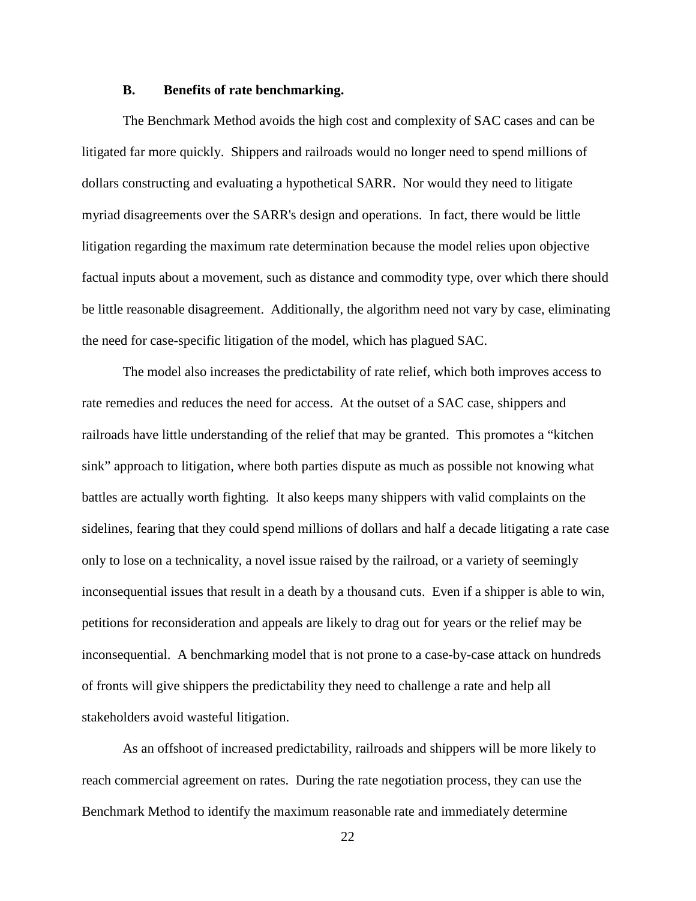#### **B. Benefits of rate benchmarking.**

The Benchmark Method avoids the high cost and complexity of SAC cases and can be litigated far more quickly. Shippers and railroads would no longer need to spend millions of dollars constructing and evaluating a hypothetical SARR. Nor would they need to litigate myriad disagreements over the SARR's design and operations. In fact, there would be little litigation regarding the maximum rate determination because the model relies upon objective factual inputs about a movement, such as distance and commodity type, over which there should be little reasonable disagreement. Additionally, the algorithm need not vary by case, eliminating the need for case-specific litigation of the model, which has plagued SAC.

The model also increases the predictability of rate relief, which both improves access to rate remedies and reduces the need for access. At the outset of a SAC case, shippers and railroads have little understanding of the relief that may be granted. This promotes a "kitchen sink" approach to litigation, where both parties dispute as much as possible not knowing what battles are actually worth fighting. It also keeps many shippers with valid complaints on the sidelines, fearing that they could spend millions of dollars and half a decade litigating a rate case only to lose on a technicality, a novel issue raised by the railroad, or a variety of seemingly inconsequential issues that result in a death by a thousand cuts. Even if a shipper is able to win, petitions for reconsideration and appeals are likely to drag out for years or the relief may be inconsequential. A benchmarking model that is not prone to a case-by-case attack on hundreds of fronts will give shippers the predictability they need to challenge a rate and help all stakeholders avoid wasteful litigation.

As an offshoot of increased predictability, railroads and shippers will be more likely to reach commercial agreement on rates. During the rate negotiation process, they can use the Benchmark Method to identify the maximum reasonable rate and immediately determine

22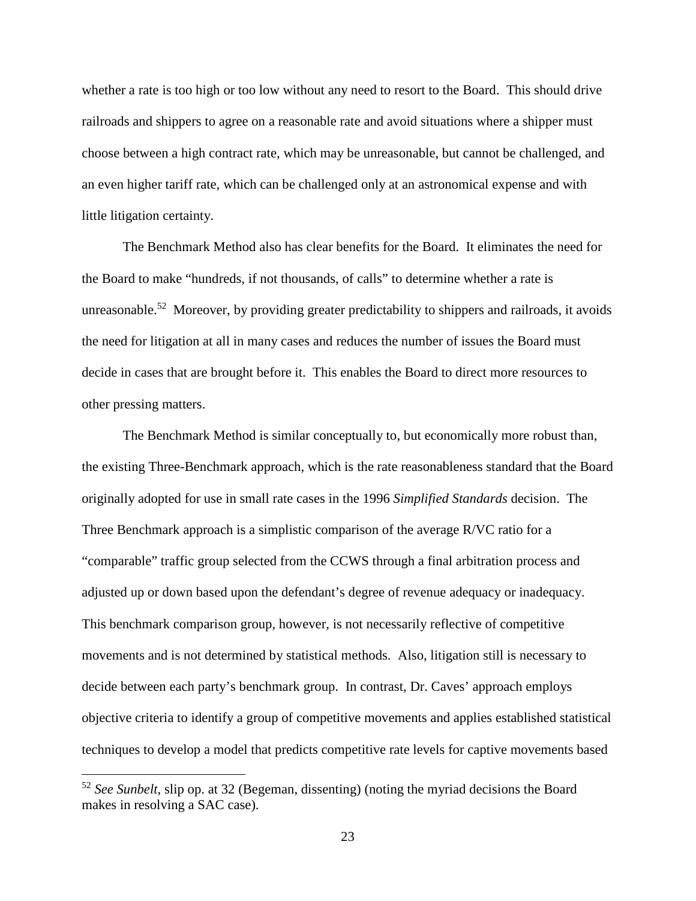whether a rate is too high or too low without any need to resort to the Board. This should drive railroads and shippers to agree on a reasonable rate and avoid situations where a shipper must choose between a high contract rate, which may be unreasonable, but cannot be challenged, and an even higher tariff rate, which can be challenged only at an astronomical expense and with little litigation certainty.

The Benchmark Method also has clear benefits for the Board. It eliminates the need for the Board to make "hundreds, if not thousands, of calls" to determine whether a rate is unreasonable.<sup>52</sup> Moreover, by providing greater predictability to shippers and railroads, it avoids the need for litigation at all in many cases and reduces the number of issues the Board must decide in cases that are brought before it. This enables the Board to direct more resources to other pressing matters.

The Benchmark Method is similar conceptually to, but economically more robust than, the existing Three-Benchmark approach, which is the rate reasonableness standard that the Board originally adopted for use in small rate cases in the 1996 *Simplified Standards* decision. The Three Benchmark approach is a simplistic comparison of the average R/VC ratio for a "comparable" traffic group selected from the CCWS through a final arbitration process and adjusted up or down based upon the defendant's degree of revenue adequacy or inadequacy. This benchmark comparison group, however, is not necessarily reflective of competitive movements and is not determined by statistical methods. Also, litigation still is necessary to decide between each party's benchmark group. In contrast, Dr. Caves' approach employs objective criteria to identify a group of competitive movements and applies established statistical techniques to develop a model that predicts competitive rate levels for captive movements based

<sup>52</sup> *See Sunbelt*, slip op. at 32 (Begeman, dissenting) (noting the myriad decisions the Board makes in resolving a SAC case).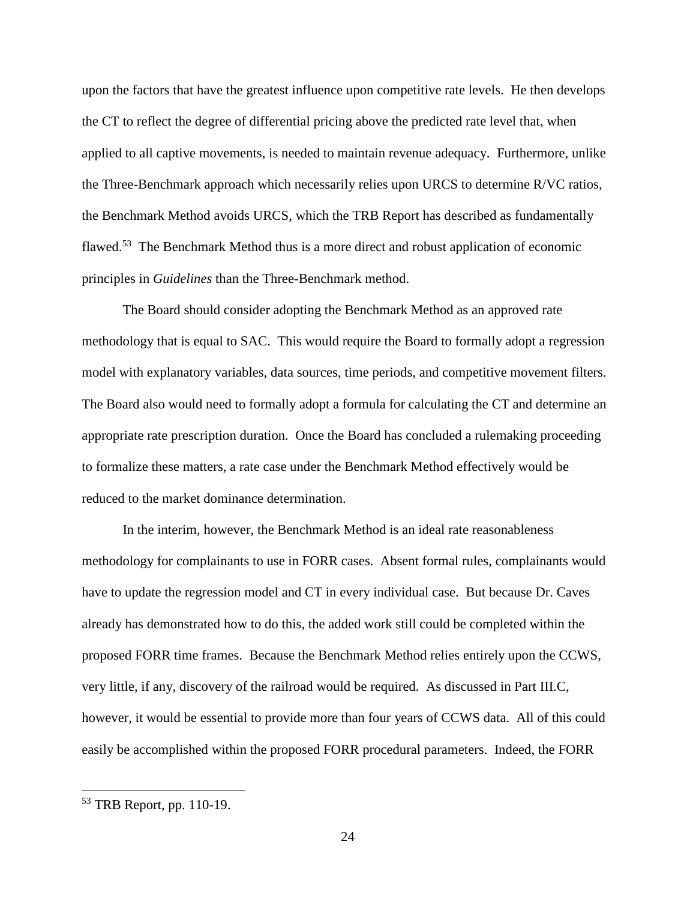upon the factors that have the greatest influence upon competitive rate levels. He then develops the CT to reflect the degree of differential pricing above the predicted rate level that, when applied to all captive movements, is needed to maintain revenue adequacy. Furthermore, unlike the Three-Benchmark approach which necessarily relies upon URCS to determine R/VC ratios, the Benchmark Method avoids URCS, which the TRB Report has described as fundamentally flawed.<sup>53</sup> The Benchmark Method thus is a more direct and robust application of economic principles in *Guidelines* than the Three-Benchmark method.

The Board should consider adopting the Benchmark Method as an approved rate methodology that is equal to SAC. This would require the Board to formally adopt a regression model with explanatory variables, data sources, time periods, and competitive movement filters. The Board also would need to formally adopt a formula for calculating the CT and determine an appropriate rate prescription duration. Once the Board has concluded a rulemaking proceeding to formalize these matters, a rate case under the Benchmark Method effectively would be reduced to the market dominance determination.

In the interim, however, the Benchmark Method is an ideal rate reasonableness methodology for complainants to use in FORR cases. Absent formal rules, complainants would have to update the regression model and CT in every individual case. But because Dr. Caves already has demonstrated how to do this, the added work still could be completed within the proposed FORR time frames. Because the Benchmark Method relies entirely upon the CCWS, very little, if any, discovery of the railroad would be required. As discussed in Part III.C, however, it would be essential to provide more than four years of CCWS data. All of this could easily be accomplished within the proposed FORR procedural parameters. Indeed, the FORR

<sup>53</sup> TRB Report, pp. 110-19.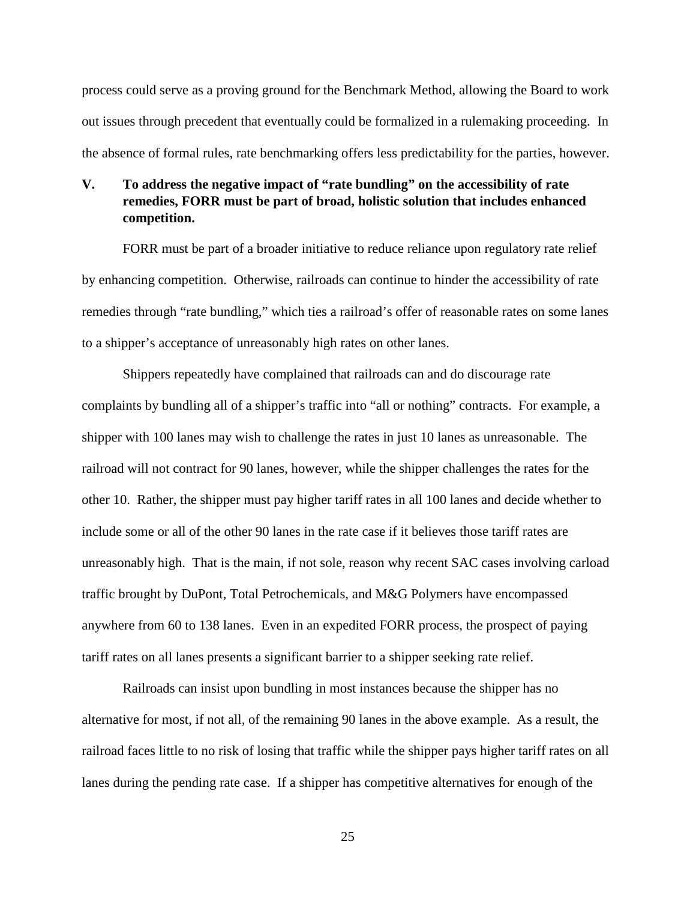process could serve as a proving ground for the Benchmark Method, allowing the Board to work out issues through precedent that eventually could be formalized in a rulemaking proceeding. In the absence of formal rules, rate benchmarking offers less predictability for the parties, however.

## **V. To address the negative impact of "rate bundling" on the accessibility of rate remedies, FORR must be part of broad, holistic solution that includes enhanced competition.**

FORR must be part of a broader initiative to reduce reliance upon regulatory rate relief by enhancing competition. Otherwise, railroads can continue to hinder the accessibility of rate remedies through "rate bundling," which ties a railroad's offer of reasonable rates on some lanes to a shipper's acceptance of unreasonably high rates on other lanes.

Shippers repeatedly have complained that railroads can and do discourage rate complaints by bundling all of a shipper's traffic into "all or nothing" contracts. For example, a shipper with 100 lanes may wish to challenge the rates in just 10 lanes as unreasonable. The railroad will not contract for 90 lanes, however, while the shipper challenges the rates for the other 10. Rather, the shipper must pay higher tariff rates in all 100 lanes and decide whether to include some or all of the other 90 lanes in the rate case if it believes those tariff rates are unreasonably high. That is the main, if not sole, reason why recent SAC cases involving carload traffic brought by DuPont, Total Petrochemicals, and M&G Polymers have encompassed anywhere from 60 to 138 lanes. Even in an expedited FORR process, the prospect of paying tariff rates on all lanes presents a significant barrier to a shipper seeking rate relief.

Railroads can insist upon bundling in most instances because the shipper has no alternative for most, if not all, of the remaining 90 lanes in the above example. As a result, the railroad faces little to no risk of losing that traffic while the shipper pays higher tariff rates on all lanes during the pending rate case. If a shipper has competitive alternatives for enough of the

25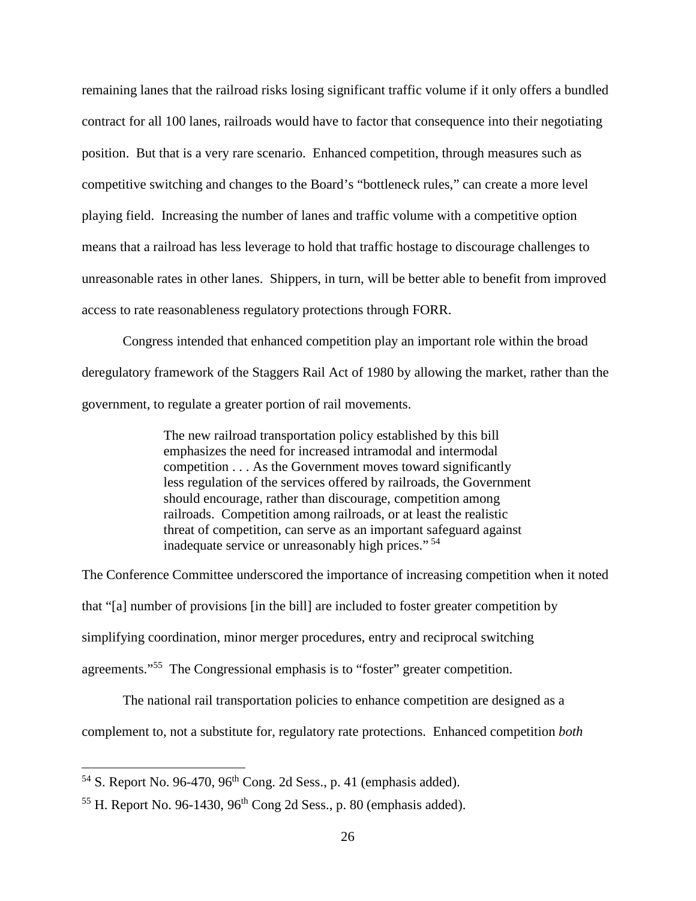remaining lanes that the railroad risks losing significant traffic volume if it only offers a bundled contract for all 100 lanes, railroads would have to factor that consequence into their negotiating position. But that is a very rare scenario. Enhanced competition, through measures such as competitive switching and changes to the Board's "bottleneck rules," can create a more level playing field. Increasing the number of lanes and traffic volume with a competitive option means that a railroad has less leverage to hold that traffic hostage to discourage challenges to unreasonable rates in other lanes. Shippers, in turn, will be better able to benefit from improved access to rate reasonableness regulatory protections through FORR.

Congress intended that enhanced competition play an important role within the broad deregulatory framework of the Staggers Rail Act of 1980 by allowing the market, rather than the government, to regulate a greater portion of rail movements.

> The new railroad transportation policy established by this bill emphasizes the need for increased intramodal and intermodal competition . . . As the Government moves toward significantly less regulation of the services offered by railroads, the Government should encourage, rather than discourage, competition among railroads. Competition among railroads, or at least the realistic threat of competition, can serve as an important safeguard against inadequate service or unreasonably high prices."<sup>54</sup>

The Conference Committee underscored the importance of increasing competition when it noted that "[a] number of provisions [in the bill] are included to foster greater competition by simplifying coordination, minor merger procedures, entry and reciprocal switching agreements."<sup>55</sup> The Congressional emphasis is to "foster" greater competition.

The national rail transportation policies to enhance competition are designed as a complement to, not a substitute for, regulatory rate protections. Enhanced competition *both*

 $54$  S. Report No. 96-470, 96<sup>th</sup> Cong. 2d Sess., p. 41 (emphasis added).

 $55$  H. Report No. 96-1430, 96<sup>th</sup> Cong 2d Sess., p. 80 (emphasis added).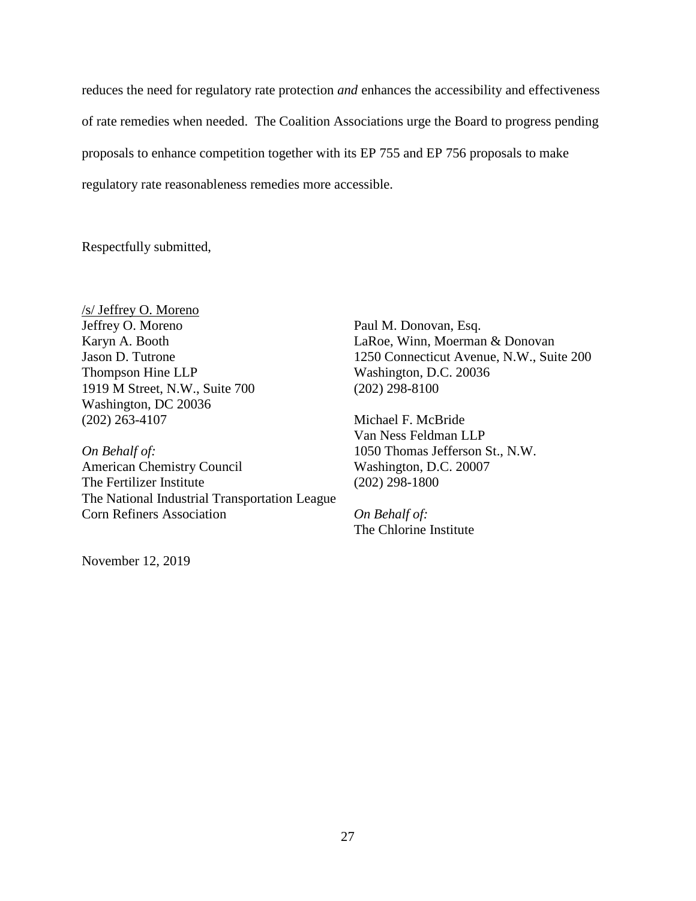reduces the need for regulatory rate protection *and* enhances the accessibility and effectiveness of rate remedies when needed. The Coalition Associations urge the Board to progress pending proposals to enhance competition together with its EP 755 and EP 756 proposals to make regulatory rate reasonableness remedies more accessible.

Respectfully submitted,

/s/ Jeffrey O. Moreno Jeffrey O. Moreno Karyn A. Booth Jason D. Tutrone Thompson Hine LLP 1919 M Street, N.W., Suite 700 Washington, DC 20036 (202) 263-4107

*On Behalf of:*  American Chemistry Council The Fertilizer Institute The National Industrial Transportation League Corn Refiners Association

November 12, 2019

Paul M. Donovan, Esq. LaRoe, Winn, Moerman & Donovan 1250 Connecticut Avenue, N.W., Suite 200 Washington, D.C. 20036 (202) 298-8100

Michael F. McBride Van Ness Feldman LLP 1050 Thomas Jefferson St., N.W. Washington, D.C. 20007 (202) 298-1800

*On Behalf of:*  The Chlorine Institute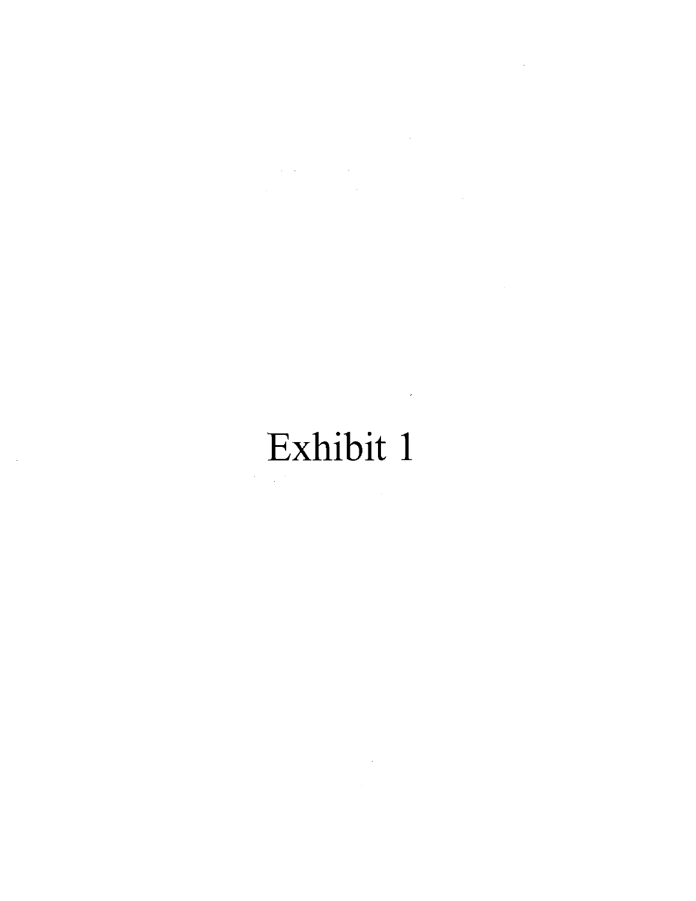$\label{eq:2.1} \frac{1}{\sqrt{2}}\int_{\mathbb{R}^3}\frac{1}{\sqrt{2}}\left(\frac{1}{\sqrt{2}}\right)^2\frac{1}{\sqrt{2}}\left(\frac{1}{\sqrt{2}}\right)^2\frac{1}{\sqrt{2}}\left(\frac{1}{\sqrt{2}}\right)^2\frac{1}{\sqrt{2}}\left(\frac{1}{\sqrt{2}}\right)^2.$  $\label{eq:2.1} \begin{split} \mathcal{L}_{\text{max}}(\mathcal{L}_{\text{max}}(\mathbf{X}, \mathbf{X})) = \mathcal{L}_{\text{max}}(\mathbf{X}, \mathbf{X}) \\ \mathcal{L}_{\text{max}}(\mathbf{X}, \mathbf{X}) = \mathcal{L}_{\text{max}}(\mathbf{X}, \mathbf{X}) \\ \mathcal{L}_{\text{max}}(\mathbf{X}, \mathbf{X}) = \mathcal{L}_{\text{max}}(\mathbf{X}, \mathbf{X}) \\ \mathcal{L}_{\text{max}}(\mathbf{X}, \mathbf{X}) = \mathcal{L}_{\text{max}}(\mathbf{X}, \mathbf{X}) \\ \mathcal$ 

> $\mathcal{L}^{\text{max}}_{\text{max}}$ Exhibit 1

> > $\sim 100$

 $\hat{\mathcal{A}}$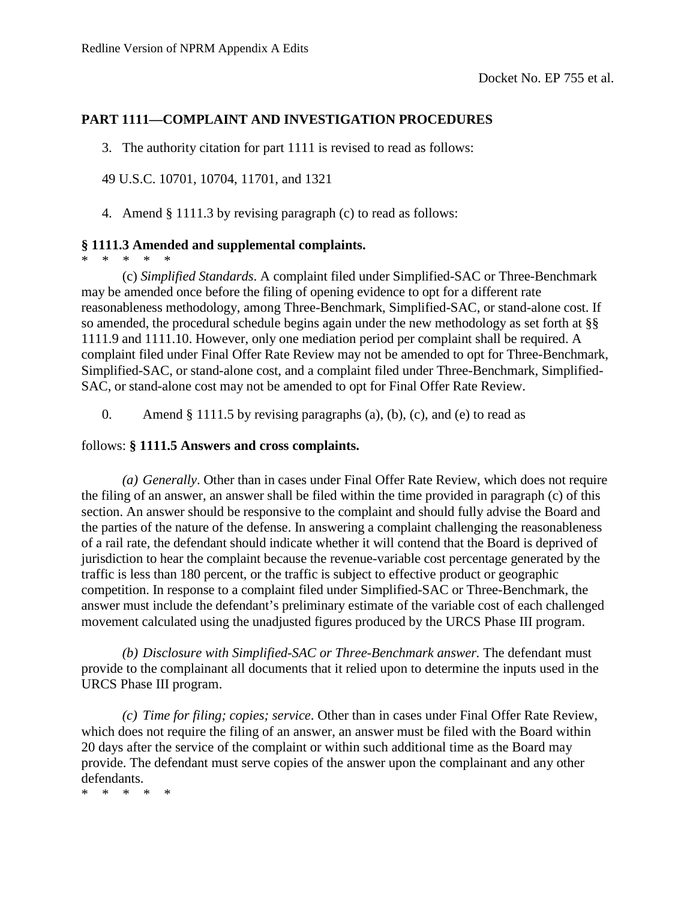### **PART 1111—COMPLAINT AND INVESTIGATION PROCEDURES**

3. The authority citation for part 1111 is revised to read as follows:

49 U.S.C. 10701, 10704, 11701, and 1321

4. Amend § 1111.3 by revising paragraph (c) to read as follows:

### **§ 1111.3 Amended and supplemental complaints.**

\* \* \* \* \*

(c) *Simplified Standards*. A complaint filed under Simplified-SAC or Three-Benchmark may be amended once before the filing of opening evidence to opt for a different rate reasonableness methodology, among Three-Benchmark, Simplified-SAC, or stand-alone cost. If so amended, the procedural schedule begins again under the new methodology as set forth at §§ 1111.9 and 1111.10. However, only one mediation period per complaint shall be required. A complaint filed under Final Offer Rate Review may not be amended to opt for Three-Benchmark, Simplified-SAC, or stand-alone cost, and a complaint filed under Three-Benchmark, Simplified-SAC, or stand-alone cost may not be amended to opt for Final Offer Rate Review.

0. Amend  $§$  1111.5 by revising paragraphs (a), (b), (c), and (e) to read as

#### follows: **§ 1111.5 Answers and cross complaints.**

*(a) Generally*. Other than in cases under Final Offer Rate Review, which does not require the filing of an answer, an answer shall be filed within the time provided in paragraph (c) of this section. An answer should be responsive to the complaint and should fully advise the Board and the parties of the nature of the defense. In answering a complaint challenging the reasonableness of a rail rate, the defendant should indicate whether it will contend that the Board is deprived of jurisdiction to hear the complaint because the revenue-variable cost percentage generated by the traffic is less than 180 percent, or the traffic is subject to effective product or geographic competition. In response to a complaint filed under Simplified-SAC or Three-Benchmark, the answer must include the defendant's preliminary estimate of the variable cost of each challenged movement calculated using the unadjusted figures produced by the URCS Phase III program.

*(b) Disclosure with Simplified-SAC or Three-Benchmark answer.* The defendant must provide to the complainant all documents that it relied upon to determine the inputs used in the URCS Phase III program.

*(c) Time for filing; copies; service*. Other than in cases under Final Offer Rate Review, which does not require the filing of an answer, an answer must be filed with the Board within 20 days after the service of the complaint or within such additional time as the Board may provide. The defendant must serve copies of the answer upon the complainant and any other defendants.

\* \* \* \* \*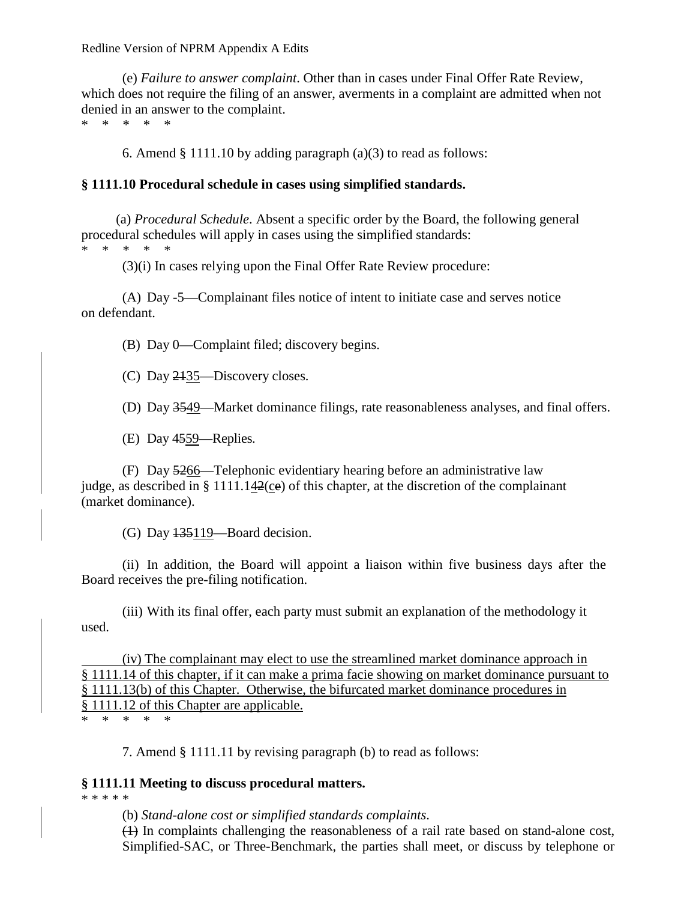Redline Version of NPRM Appendix A Edits

(e) *Failure to answer complaint*. Other than in cases under Final Offer Rate Review, which does not require the filing of an answer, averments in a complaint are admitted when not denied in an answer to the complaint.

\* \* \* \* \*

6. Amend § 1111.10 by adding paragraph (a)(3) to read as follows:

### **§ 1111.10 Procedural schedule in cases using simplified standards.**

(a) *Procedural Schedule*. Absent a specific order by the Board, the following general procedural schedules will apply in cases using the simplified standards:

\* \* \* \* \*

(3)(i) In cases relying upon the Final Offer Rate Review procedure:

(A) Day -5—Complainant files notice of intent to initiate case and serves notice on defendant.

(B) Day 0—Complaint filed; discovery begins.

(C) Day 2135—Discovery closes.

(D) Day 3549—Market dominance filings, rate reasonableness analyses, and final offers.

(E) Day 4559—Replies.

(F) Day 5266—Telephonic evidentiary hearing before an administrative law judge, as described in § 1111.142(ce) of this chapter, at the discretion of the complainant (market dominance).

(G) Day 135119—Board decision.

(ii) In addition, the Board will appoint a liaison within five business days after the Board receives the pre-filing notification.

(iii) With its final offer, each party must submit an explanation of the methodology it used.

(iv) The complainant may elect to use the streamlined market dominance approach in § 1111.14 of this chapter, if it can make a prima facie showing on market dominance pursuant to § 1111.13(b) of this Chapter. Otherwise, the bifurcated market dominance procedures in § 1111.12 of this Chapter are applicable. \* \* \* \* \*

7. Amend § 1111.11 by revising paragraph (b) to read as follows:

### **§ 1111.11 Meeting to discuss procedural matters.**

\* \* \* \* \*

(b) *Stand-alone cost or simplified standards complaints*.

(1) In complaints challenging the reasonableness of a rail rate based on stand-alone cost, Simplified-SAC, or Three-Benchmark, the parties shall meet, or discuss by telephone or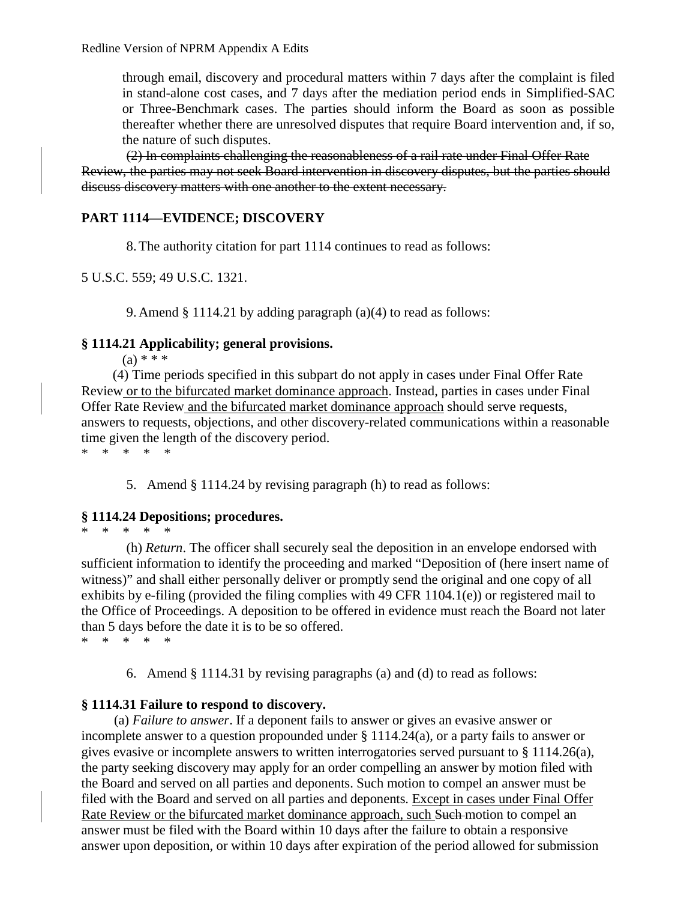through email, discovery and procedural matters within 7 days after the complaint is filed in stand-alone cost cases, and 7 days after the mediation period ends in Simplified-SAC or Three-Benchmark cases. The parties should inform the Board as soon as possible thereafter whether there are unresolved disputes that require Board intervention and, if so, the nature of such disputes.

(2) In complaints challenging the reasonableness of a rail rate under Final Offer Rate Review, the parties may not seek Board intervention in discovery disputes, but the parties should discuss discovery matters with one another to the extent necessary.

## **PART 1114—EVIDENCE; DISCOVERY**

8.The authority citation for part 1114 continues to read as follows:

5 U.S.C. 559; 49 U.S.C. 1321.

9. Amend § 1114.21 by adding paragraph (a)(4) to read as follows:

### **§ 1114.21 Applicability; general provisions.**

 $(a) * * *$ 

(4) Time periods specified in this subpart do not apply in cases under Final Offer Rate Review or to the bifurcated market dominance approach. Instead, parties in cases under Final Offer Rate Review and the bifurcated market dominance approach should serve requests, answers to requests, objections, and other discovery-related communications within a reasonable time given the length of the discovery period. \* \* \* \* \*

5. Amend § 1114.24 by revising paragraph (h) to read as follows:

### **§ 1114.24 Depositions; procedures.**

\* \* \* \* \*

(h) *Return*. The officer shall securely seal the deposition in an envelope endorsed with sufficient information to identify the proceeding and marked "Deposition of (here insert name of witness)" and shall either personally deliver or promptly send the original and one copy of all exhibits by e-filing (provided the filing complies with 49 CFR 1104.1(e)) or registered mail to the Office of Proceedings. A deposition to be offered in evidence must reach the Board not later than 5 days before the date it is to be so offered. \* \* \* \* \*

6. Amend § 1114.31 by revising paragraphs (a) and (d) to read as follows:

### **§ 1114.31 Failure to respond to discovery.**

(a) *Failure to answer*. If a deponent fails to answer or gives an evasive answer or incomplete answer to a question propounded under § 1114.24(a), or a party fails to answer or gives evasive or incomplete answers to written interrogatories served pursuant to § 1114.26(a), the party seeking discovery may apply for an order compelling an answer by motion filed with the Board and served on all parties and deponents. Such motion to compel an answer must be filed with the Board and served on all parties and deponents. Except in cases under Final Offer Rate Review or the bifurcated market dominance approach, such Such motion to compel an answer must be filed with the Board within 10 days after the failure to obtain a responsive answer upon deposition, or within 10 days after expiration of the period allowed for submission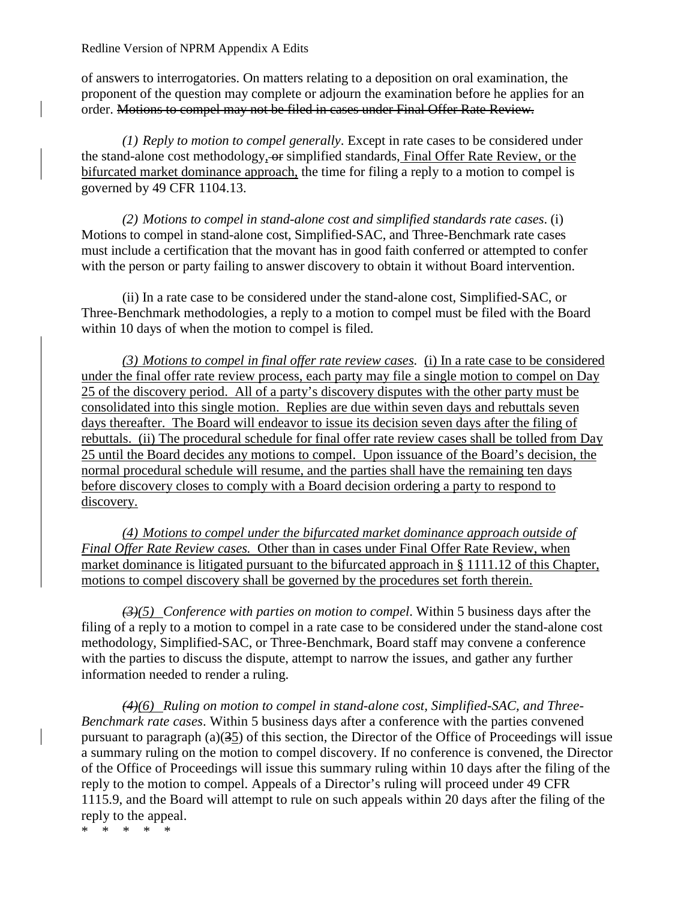Redline Version of NPRM Appendix A Edits

of answers to interrogatories. On matters relating to a deposition on oral examination, the proponent of the question may complete or adjourn the examination before he applies for an order. Motions to compel may not be filed in cases under Final Offer Rate Review.

*(1) Reply to motion to compel generally*. Except in rate cases to be considered under the stand-alone cost methodology, or simplified standards, Final Offer Rate Review, or the bifurcated market dominance approach, the time for filing a reply to a motion to compel is governed by 49 CFR 1104.13.

*(2) Motions to compel in stand-alone cost and simplified standards rate cases*. (i) Motions to compel in stand-alone cost, Simplified-SAC, and Three-Benchmark rate cases must include a certification that the movant has in good faith conferred or attempted to confer with the person or party failing to answer discovery to obtain it without Board intervention.

(ii) In a rate case to be considered under the stand-alone cost, Simplified-SAC, or Three-Benchmark methodologies, a reply to a motion to compel must be filed with the Board within 10 days of when the motion to compel is filed.

*(3) Motions to compel in final offer rate review cases.* (i) In a rate case to be considered under the final offer rate review process, each party may file a single motion to compel on Day 25 of the discovery period. All of a party's discovery disputes with the other party must be consolidated into this single motion. Replies are due within seven days and rebuttals seven days thereafter. The Board will endeavor to issue its decision seven days after the filing of rebuttals. (ii) The procedural schedule for final offer rate review cases shall be tolled from Day 25 until the Board decides any motions to compel. Upon issuance of the Board's decision, the normal procedural schedule will resume, and the parties shall have the remaining ten days before discovery closes to comply with a Board decision ordering a party to respond to discovery.

*(4) Motions to compel under the bifurcated market dominance approach outside of Final Offer Rate Review cases.* Other than in cases under Final Offer Rate Review, when market dominance is litigated pursuant to the bifurcated approach in § 1111.12 of this Chapter, motions to compel discovery shall be governed by the procedures set forth therein.

*(3)(5) Conference with parties on motion to compel*. Within 5 business days after the filing of a reply to a motion to compel in a rate case to be considered under the stand-alone cost methodology, Simplified-SAC, or Three-Benchmark, Board staff may convene a conference with the parties to discuss the dispute, attempt to narrow the issues, and gather any further information needed to render a ruling.

*(4)(6) Ruling on motion to compel in stand-alone cost, Simplified-SAC, and Three-Benchmark rate cases*. Within 5 business days after a conference with the parties convened pursuant to paragraph  $(a)(35)$  of this section, the Director of the Office of Proceedings will issue a summary ruling on the motion to compel discovery. If no conference is convened, the Director of the Office of Proceedings will issue this summary ruling within 10 days after the filing of the reply to the motion to compel. Appeals of a Director's ruling will proceed under 49 CFR 1115.9, and the Board will attempt to rule on such appeals within 20 days after the filing of the reply to the appeal.

\* \* \* \* \*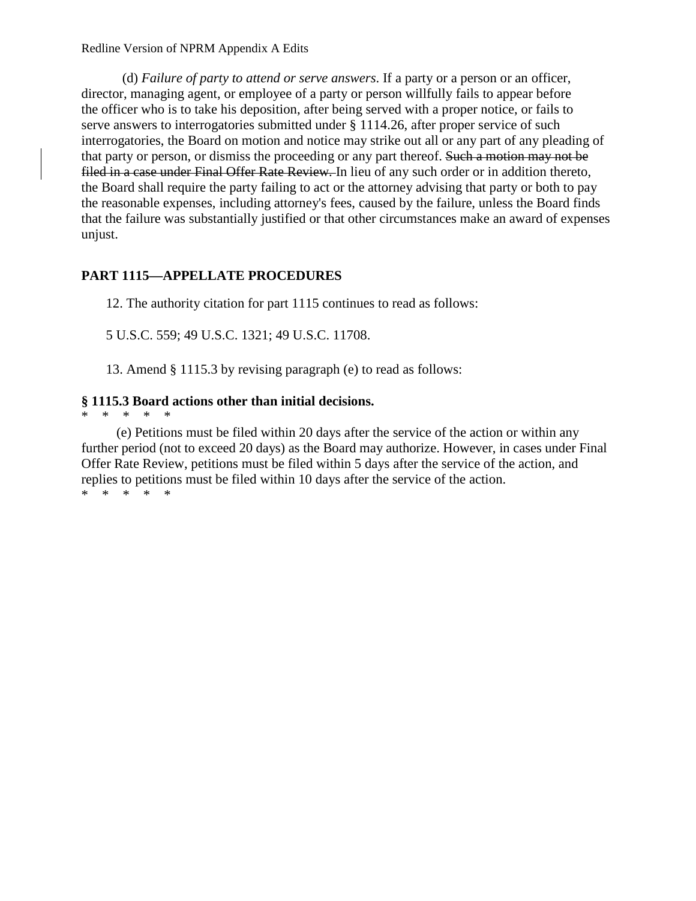Redline Version of NPRM Appendix A Edits

(d) *Failure of party to attend or serve answers*. If a party or a person or an officer, director, managing agent, or employee of a party or person willfully fails to appear before the officer who is to take his deposition, after being served with a proper notice, or fails to serve answers to interrogatories submitted under § 1114.26, after proper service of such interrogatories, the Board on motion and notice may strike out all or any part of any pleading of that party or person, or dismiss the proceeding or any part thereof. Such a motion may not be filed in a case under Final Offer Rate Review. In lieu of any such order or in addition thereto, the Board shall require the party failing to act or the attorney advising that party or both to pay the reasonable expenses, including attorney's fees, caused by the failure, unless the Board finds that the failure was substantially justified or that other circumstances make an award of expenses unjust.

# **PART 1115—APPELLATE PROCEDURES**

12. The authority citation for part 1115 continues to read as follows:

5 U.S.C. 559; 49 U.S.C. 1321; 49 U.S.C. 11708.

13. Amend § 1115.3 by revising paragraph (e) to read as follows:

## **§ 1115.3 Board actions other than initial decisions.**

\* \* \* \* \*

(e) Petitions must be filed within 20 days after the service of the action or within any further period (not to exceed 20 days) as the Board may authorize. However, in cases under Final Offer Rate Review, petitions must be filed within 5 days after the service of the action, and replies to petitions must be filed within 10 days after the service of the action. \* \* \* \* \*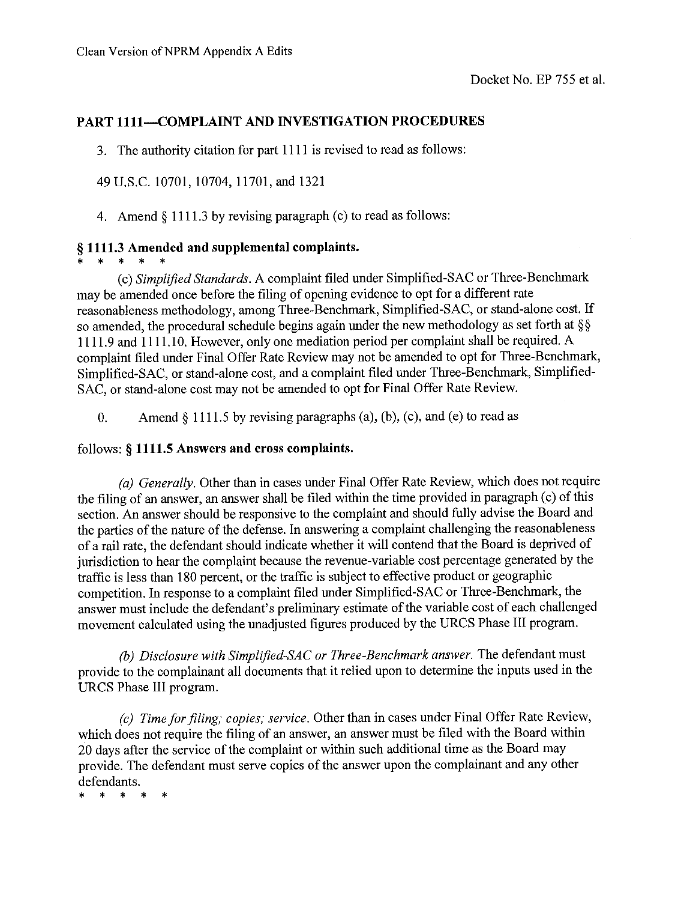## **PART 1111-COMPLAINT AND INVESTIGATION PROCEDURES**

3. The authority citation for part 1111 is revised to read as follows:

49 U.S.C. 10701, 10704, 11701, and 1321

4. Amend  $\S 1111.3$  by revising paragraph (c) to read as follows:

## § 1111.3 Amended and supplemental complaints.

 $\star$ 

(c) Simplified Standards. A complaint filed under Simplified-SAC or Three-Benchmark may be amended once before the filing of opening evidence to opt for a different rate reasonableness methodology, among Three-Benchmark, Simplified-SAC, or stand-alone cost. If so amended, the procedural schedule begins again under the new methodology as set forth at  $\S$ 1111.9 and 1111.10. However, only one mediation period per complaint shall be required. A complaint filed under Final Offer Rate Review may not be amended to opt for Three-Benchmark, Simplified-SAC, or stand-alone cost, and a complaint filed under Three-Benchmark, Simplified-SAC, or stand-alone cost may not be amended to opt for Final Offer Rate Review.

Amend  $\S$  1111.5 by revising paragraphs (a), (b), (c), and (e) to read as  $0<sub>1</sub>$ 

## follows: § 1111.5 Answers and cross complaints.

(a) Generally. Other than in cases under Final Offer Rate Review, which does not require the filing of an answer, an answer shall be filed within the time provided in paragraph (c) of this section. An answer should be responsive to the complaint and should fully advise the Board and the parties of the nature of the defense. In answering a complaint challenging the reasonableness of a rail rate, the defendant should indicate whether it will contend that the Board is deprived of jurisdiction to hear the complaint because the revenue-variable cost percentage generated by the traffic is less than 180 percent, or the traffic is subject to effective product or geographic competition. In response to a complaint filed under Simplified-SAC or Three-Benchmark, the answer must include the defendant's preliminary estimate of the variable cost of each challenged movement calculated using the unadjusted figures produced by the URCS Phase III program.

(b) Disclosure with Simplified-SAC or Three-Benchmark answer. The defendant must provide to the complainant all documents that it relied upon to determine the inputs used in the URCS Phase III program.

(c) Time for filing; copies; service. Other than in cases under Final Offer Rate Review, which does not require the filing of an answer, an answer must be filed with the Board within 20 days after the service of the complaint or within such additional time as the Board may provide. The defendant must serve copies of the answer upon the complainant and any other defendants.

 $\mathbf{r}$  $\mathbf{r}$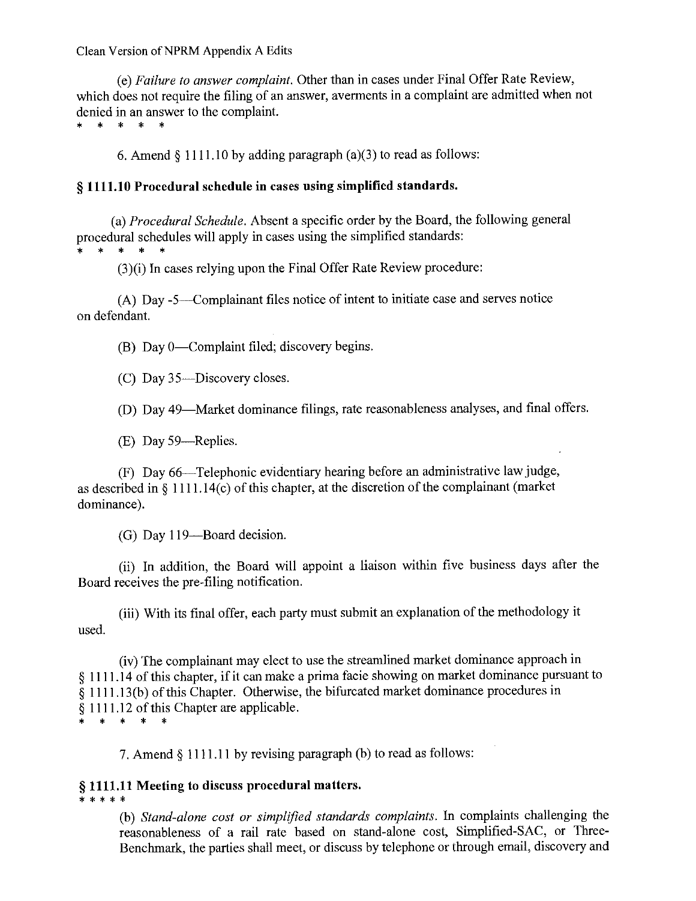Clean Version of NPRM Appendix A Edits

(e) Failure to answer complaint. Other than in cases under Final Offer Rate Review, which does not require the filing of an answer, averments in a complaint are admitted when not denied in an answer to the complaint.

\* \* \* \* \*

6. Amend  $\S$  1111.10 by adding paragraph (a)(3) to read as follows:

#### § 1111.10 Procedural schedule in cases using simplified standards.

(a) *Procedural Schedule*. Absent a specific order by the Board, the following general procedural schedules will apply in cases using the simplified standards:

 $\ast$ \* \* \*

(3)(i) In cases relying upon the Final Offer Rate Review procedure:

(A) Day -5—Complainant files notice of intent to initiate case and serves notice on defendant.

(B) Day 0—Complaint filed; discovery begins.

(C) Day 35-Discovery closes.

(D) Day 49—Market dominance filings, rate reasonableness analyses, and final offers.

(E) Day 59—Replies.

(F) Day 66—Telephonic evidentiary hearing before an administrative law judge, as described in  $\S$  1111.14(c) of this chapter, at the discretion of the complainant (market dominance).

(G) Day 119-Board decision.

(ii) In addition, the Board will appoint a liaison within five business days after the Board receives the pre-filing notification.

(iii) With its final offer, each party must submit an explanation of the methodology it used.

(iv) The complainant may elect to use the streamlined market dominance approach in § 1111.14 of this chapter, if it can make a prima facie showing on market dominance pursuant to § 1111.13(b) of this Chapter. Otherwise, the bifurcated market dominance procedures in § 1111.12 of this Chapter are applicable. \* \* \* \*

7. Amend § 1111.11 by revising paragraph (b) to read as follows:

#### § 1111.11 Meeting to discuss procedural matters. \* \* \* \* \*

(b) Stand-alone cost or simplified standards complaints. In complaints challenging the reasonableness of a rail rate based on stand-alone cost, Simplified-SAC, or Three-Benchmark, the parties shall meet, or discuss by telephone or through email, discovery and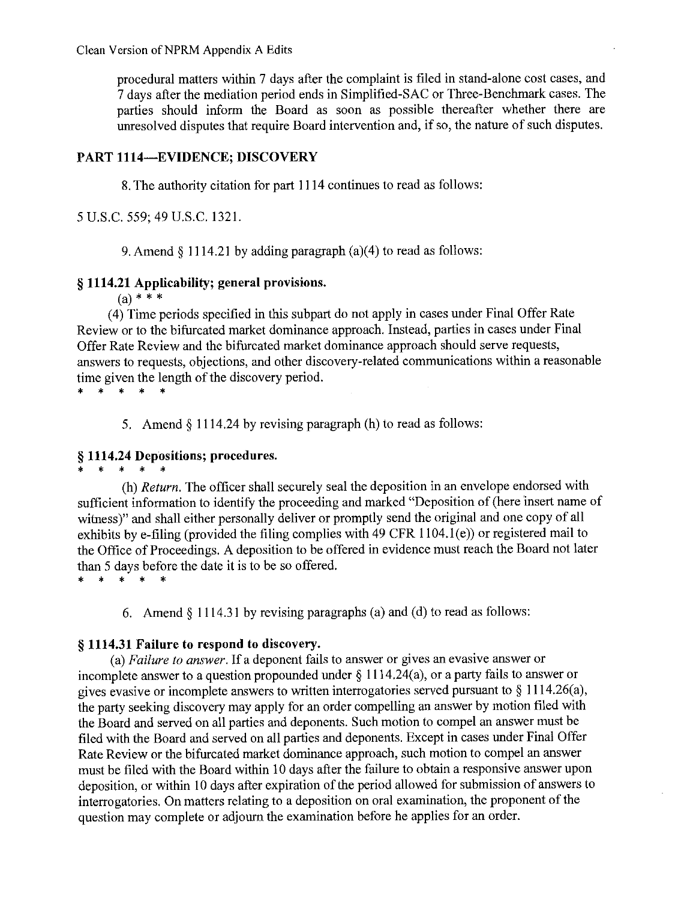procedural matters within 7 days after the complaint is filed in stand-alone cost cases, and 7 days after the mediation period ends in Simplified-SAC or Three-Benchmark cases. The parties should inform the Board as soon as possible thereafter whether there are unresolved disputes that require Board intervention and, if so, the nature of such disputes.

### **PART 1114-EVIDENCE; DISCOVERY**

8. The authority citation for part 1114 continues to read as follows:

5 U.S.C. 559; 49 U.S.C. 1321.

9. Amend  $\S$  1114.21 by adding paragraph (a)(4) to read as follows:

## § 1114.21 Applicability; general provisions.

 $(a) * * * *$ 

(4) Time periods specified in this subpart do not apply in cases under Final Offer Rate Review or to the bifurcated market dominance approach. Instead, parties in cases under Final Offer Rate Review and the bifurcated market dominance approach should serve requests, answers to requests, objections, and other discovery-related communications within a reasonable time given the length of the discovery period.

 $\star$  $* - *$ 

5. Amend § 1114.24 by revising paragraph (h) to read as follows:

## § 1114.24 Depositions; procedures.

 $\star$  $\star$  $\rightarrow$ 

(h) Return. The officer shall securely seal the deposition in an envelope endorsed with sufficient information to identify the proceeding and marked "Deposition of (here insert name of witness)" and shall either personally deliver or promptly send the original and one copy of all exhibits by e-filing (provided the filing complies with 49 CFR 1104.1(e)) or registered mail to the Office of Proceedings. A deposition to be offered in evidence must reach the Board not later than 5 days before the date it is to be so offered.

 $\star$  $*$   $*$ 

6. Amend  $\S$  1114.31 by revising paragraphs (a) and (d) to read as follows:

## § 1114.31 Failure to respond to discovery.

(a) Failure to answer. If a deponent fails to answer or gives an evasive answer or incomplete answer to a question propounded under  $\S 1114.24(a)$ , or a party fails to answer or gives evasive or incomplete answers to written interrogatories served pursuant to  $\S$  1114.26(a), the party seeking discovery may apply for an order compelling an answer by motion filed with the Board and served on all parties and deponents. Such motion to compel an answer must be filed with the Board and served on all parties and deponents. Except in cases under Final Offer Rate Review or the bifurcated market dominance approach, such motion to compel an answer must be filed with the Board within 10 days after the failure to obtain a responsive answer upon deposition, or within 10 days after expiration of the period allowed for submission of answers to interrogatories. On matters relating to a deposition on oral examination, the proponent of the question may complete or adjourn the examination before he applies for an order.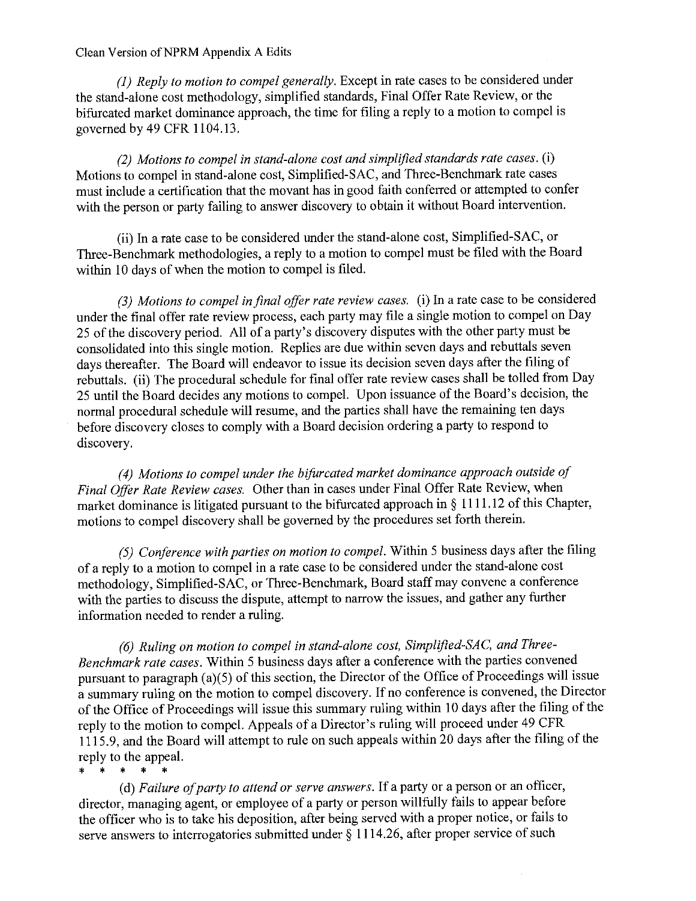### Clean Version of NPRM Appendix A Edits

(1) Reply to motion to compel generally. Except in rate cases to be considered under the stand-alone cost methodology, simplified standards, Final Offer Rate Review, or the bifurcated market dominance approach, the time for filing a reply to a motion to compel is governed by 49 CFR 1104.13.

(2) Motions to compel in stand-alone cost and simplified standards rate cases. (i) Motions to compel in stand-alone cost, Simplified-SAC, and Three-Benchmark rate cases must include a certification that the movant has in good faith conferred or attempted to confer with the person or party failing to answer discovery to obtain it without Board intervention.

(ii) In a rate case to be considered under the stand-alone cost, Simplified-SAC, or Three-Benchmark methodologies, a reply to a motion to compel must be filed with the Board within 10 days of when the motion to compel is filed.

(3) Motions to compel in final offer rate review cases. (i) In a rate case to be considered under the final offer rate review process, each party may file a single motion to compel on Day 25 of the discovery period. All of a party's discovery disputes with the other party must be consolidated into this single motion. Replies are due within seven days and rebuttals seven days thereafter. The Board will endeavor to issue its decision seven days after the filing of rebuttals. (ii) The procedural schedule for final offer rate review cases shall be tolled from Day 25 until the Board decides any motions to compel. Upon issuance of the Board's decision, the normal procedural schedule will resume, and the parties shall have the remaining ten days before discovery closes to comply with a Board decision ordering a party to respond to discovery.

(4) Motions to compel under the bifurcated market dominance approach outside of Final Offer Rate Review cases. Other than in cases under Final Offer Rate Review, when market dominance is litigated pursuant to the bifurcated approach in § 1111.12 of this Chapter, motions to compel discovery shall be governed by the procedures set forth therein.

(5) Conference with parties on motion to compel. Within 5 business days after the filing of a reply to a motion to compel in a rate case to be considered under the stand-alone cost methodology, Simplified-SAC, or Three-Benchmark, Board staff may convene a conference with the parties to discuss the dispute, attempt to narrow the issues, and gather any further information needed to render a ruling.

(6) Ruling on motion to compel in stand-alone cost, Simplified-SAC, and Three-Benchmark rate cases. Within 5 business days after a conference with the parties convened pursuant to paragraph (a)(5) of this section, the Director of the Office of Proceedings will issue a summary ruling on the motion to compel discovery. If no conference is convened, the Director of the Office of Proceedings will issue this summary ruling within 10 days after the filing of the reply to the motion to compel. Appeals of a Director's ruling will proceed under 49 CFR 1115.9, and the Board will attempt to rule on such appeals within 20 days after the filing of the reply to the appeal.

 $\star$   $\star$  $\ast$  $\star$  $\mathbf{a}$ 

(d) Failure of party to attend or serve answers. If a party or a person or an officer, director, managing agent, or employee of a party or person willfully fails to appear before the officer who is to take his deposition, after being served with a proper notice, or fails to serve answers to interrogatories submitted under  $\widetilde{\S}$  1114.26, after proper service of such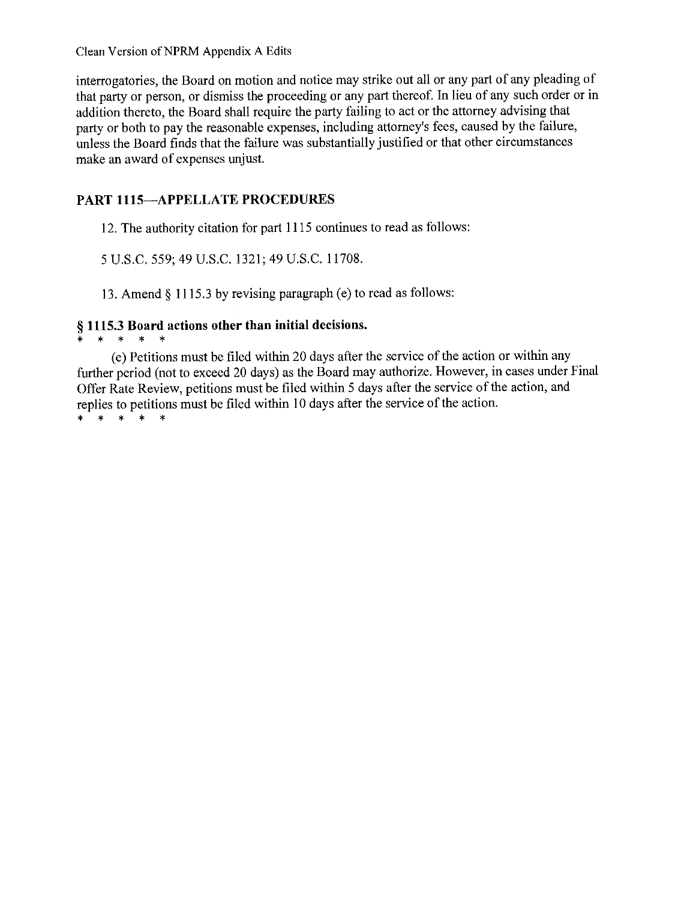Clean Version of NPRM Appendix A Edits

interrogatories, the Board on motion and notice may strike out all or any part of any pleading of that party or person, or dismiss the proceeding or any part thereof. In lieu of any such order or in addition thereto, the Board shall require the party failing to act or the attorney advising that party or both to pay the reasonable expenses, including attorney's fees, caused by the failure, unless the Board finds that the failure was substantially justified or that other circumstances make an award of expenses unjust.

# **PART 1115-APPELLATE PROCEDURES**

12. The authority citation for part 1115 continues to read as follows:

5 U.S.C. 559; 49 U.S.C. 1321; 49 U.S.C. 11708.

13. Amend § 1115.3 by revising paragraph (e) to read as follows:

# § 1115.3 Board actions other than initial decisions.

\* \* \* \* \*

(e) Petitions must be filed within 20 days after the service of the action or within any further period (not to exceed 20 days) as the Board may authorize. However, in cases under Final Offer Rate Review, petitions must be filed within 5 days after the service of the action, and replies to petitions must be filed within 10 days after the service of the action.

\* \* \* \*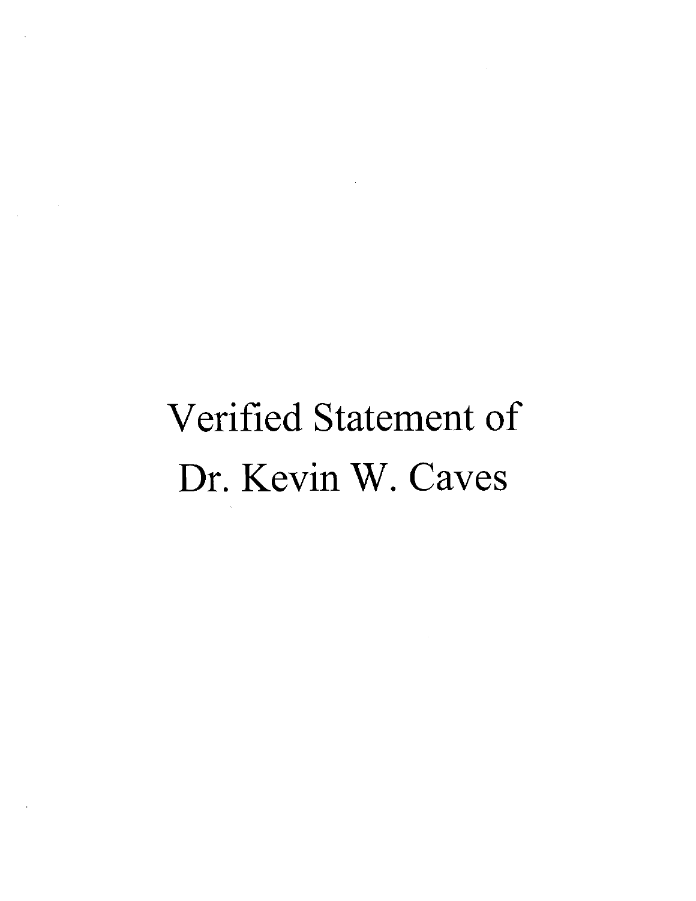# Verified Statement of Dr. Kevin W. Caves

 $\sim 10^6$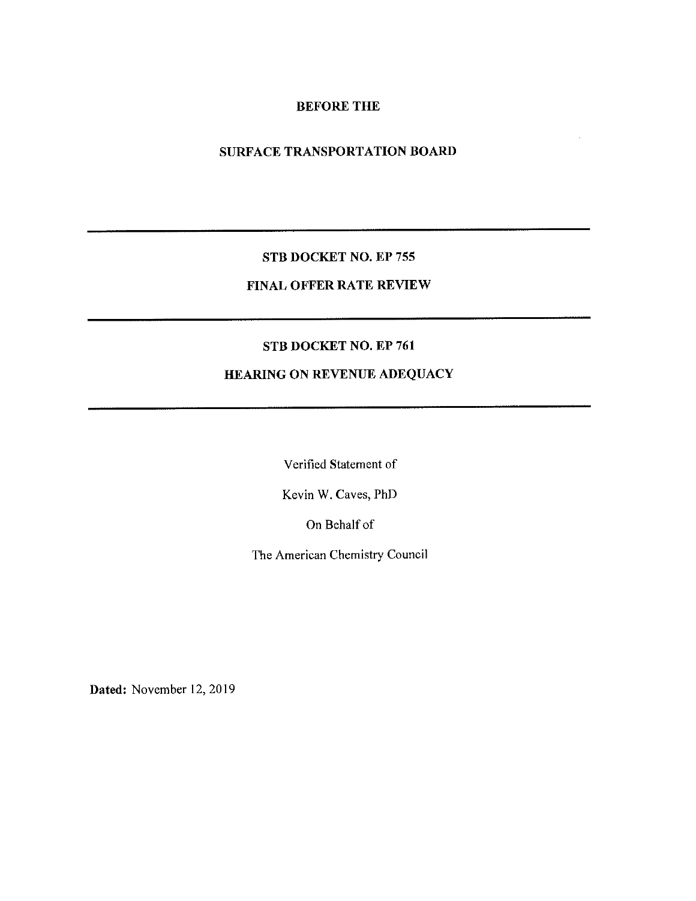## **BEFORE THE**

# SURFACE TRANSPORTATION BOARD

## STB DOCKET NO. EP 755

# FINAL OFFER RATE REVIEW

## STB DOCKET NO. EP 761

# HEARING ON REVENUE ADEQUACY

Verified Statement of

Kevin W. Caves, PhD

On Behalf of

The American Chemistry Council

Dated: November 12, 2019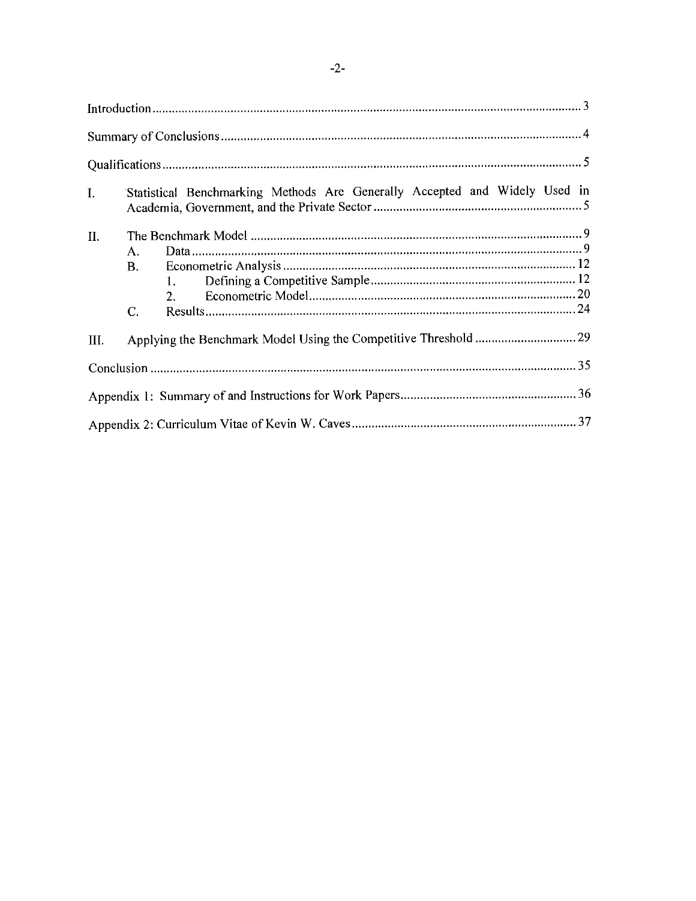| I.  |                | Statistical Benchmarking Methods Are Generally Accepted and Widely Used in |  |
|-----|----------------|----------------------------------------------------------------------------|--|
| II. | $\mathsf{A}$ . |                                                                            |  |
|     | В.             | 2.                                                                         |  |
|     | C.             |                                                                            |  |
| Ш.  |                |                                                                            |  |
|     |                |                                                                            |  |
|     |                |                                                                            |  |
|     |                |                                                                            |  |

# $-2-$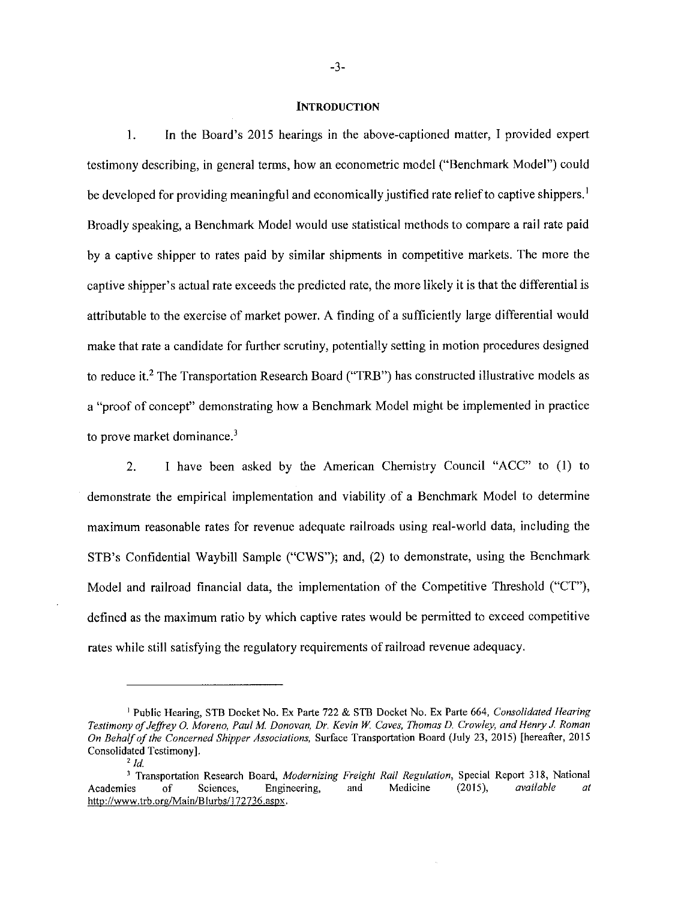#### **INTRODUCTION**

In the Board's 2015 hearings in the above-captioned matter, I provided expert  $\mathbf{1}$ . testimony describing, in general terms, how an econometric model ("Benchmark Model") could be developed for providing meaningful and economically justified rate relief to captive shippers.<sup>1</sup> Broadly speaking, a Benchmark Model would use statistical methods to compare a rail rate paid by a captive shipper to rates paid by similar shipments in competitive markets. The more the captive shipper's actual rate exceeds the predicted rate, the more likely it is that the differential is attributable to the exercise of market power. A finding of a sufficiently large differential would make that rate a candidate for further scrutiny, potentially setting in motion procedures designed to reduce it.<sup>2</sup> The Transportation Research Board ("TRB") has constructed illustrative models as a "proof of concept" demonstrating how a Benchmark Model might be implemented in practice to prove market dominance.<sup>3</sup>

I have been asked by the American Chemistry Council "ACC" to (1) to  $2.$ demonstrate the empirical implementation and viability of a Benchmark Model to determine maximum reasonable rates for revenue adequate railroads using real-world data, including the STB's Confidential Waybill Sample ("CWS"); and, (2) to demonstrate, using the Benchmark Model and railroad financial data, the implementation of the Competitive Threshold ("CT"), defined as the maximum ratio by which captive rates would be permitted to exceed competitive rates while still satisfying the regulatory requirements of railroad revenue adequacy.

<sup>&</sup>lt;sup>1</sup> Public Hearing, STB Docket No. Ex Parte 722 & STB Docket No. Ex Parte 664, Consolidated Hearing Testimony of Jeffrey O. Moreno, Paul M. Donovan, Dr. Kevin W. Caves, Thomas D. Crowley, and Henry J. Roman On Behalf of the Concerned Shipper Associations, Surface Transportation Board (July 23, 2015) [hereafter, 2015 Consolidated Testimony].

 $2/d$ 

<sup>&</sup>lt;sup>3</sup> Transportation Research Board, Modernizing Freight Rail Regulation, Special Report 318, National  $\sigma$ Sciences. Engineering, and Medicine  $(2015),$ available at Academies http://www.trb.org/Main/Blurbs/172736.aspx.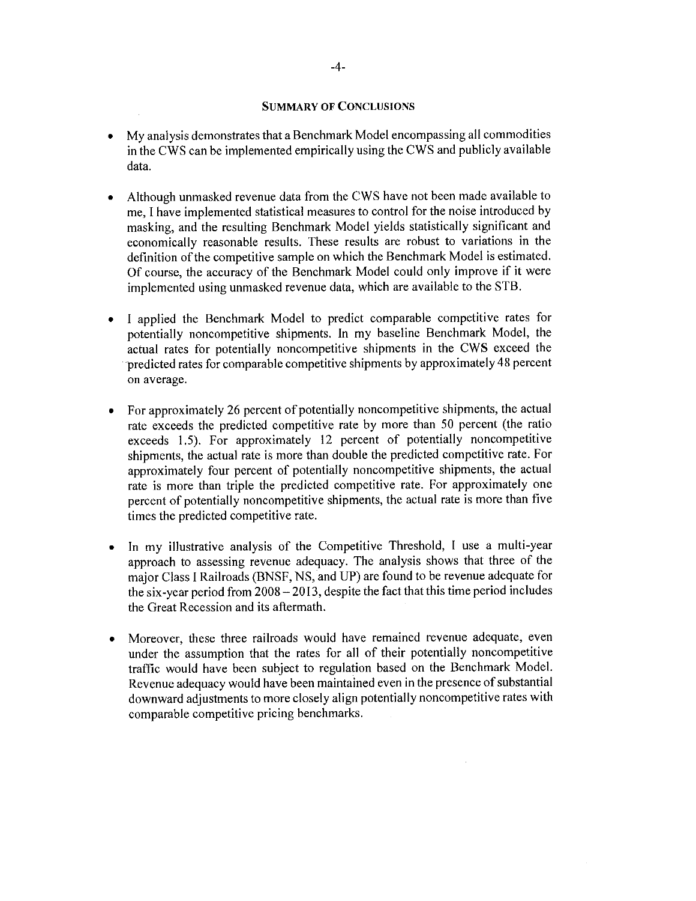## **SUMMARY OF CONCLUSIONS**

- My analysis demonstrates that a Benchmark Model encompassing all commodities  $\bullet$ in the CWS can be implemented empirically using the CWS and publicly available data.
- Although unmasked revenue data from the CWS have not been made available to  $\bullet$ me, I have implemented statistical measures to control for the noise introduced by masking, and the resulting Benchmark Model yields statistically significant and economically reasonable results. These results are robust to variations in the definition of the competitive sample on which the Benchmark Model is estimated. Of course, the accuracy of the Benchmark Model could only improve if it were implemented using unmasked revenue data, which are available to the STB.
- I applied the Benchmark Model to predict comparable competitive rates for  $\bullet$ potentially noncompetitive shipments. In my baseline Benchmark Model, the actual rates for potentially noncompetitive shipments in the CWS exceed the predicted rates for comparable competitive shipments by approximately 48 percent on average.
- For approximately 26 percent of potentially noncompetitive shipments, the actual  $\bullet$ rate exceeds the predicted competitive rate by more than 50 percent (the ratio exceeds 1.5). For approximately 12 percent of potentially noncompetitive shipments, the actual rate is more than double the predicted competitive rate. For approximately four percent of potentially noncompetitive shipments, the actual rate is more than triple the predicted competitive rate. For approximately one percent of potentially noncompetitive shipments, the actual rate is more than five times the predicted competitive rate.
- In my illustrative analysis of the Competitive Threshold, I use a multi-year approach to assessing revenue adequacy. The analysis shows that three of the major Class I Railroads (BNSF, NS, and UP) are found to be revenue adequate for the six-year period from 2008 - 2013, despite the fact that this time period includes the Great Recession and its aftermath.
- Moreover, these three railroads would have remained revenue adequate, even  $\bullet$ under the assumption that the rates for all of their potentially noncompetitive traffic would have been subject to regulation based on the Benchmark Model. Revenue adequacy would have been maintained even in the presence of substantial downward adjustments to more closely align potentially noncompetitive rates with comparable competitive pricing benchmarks.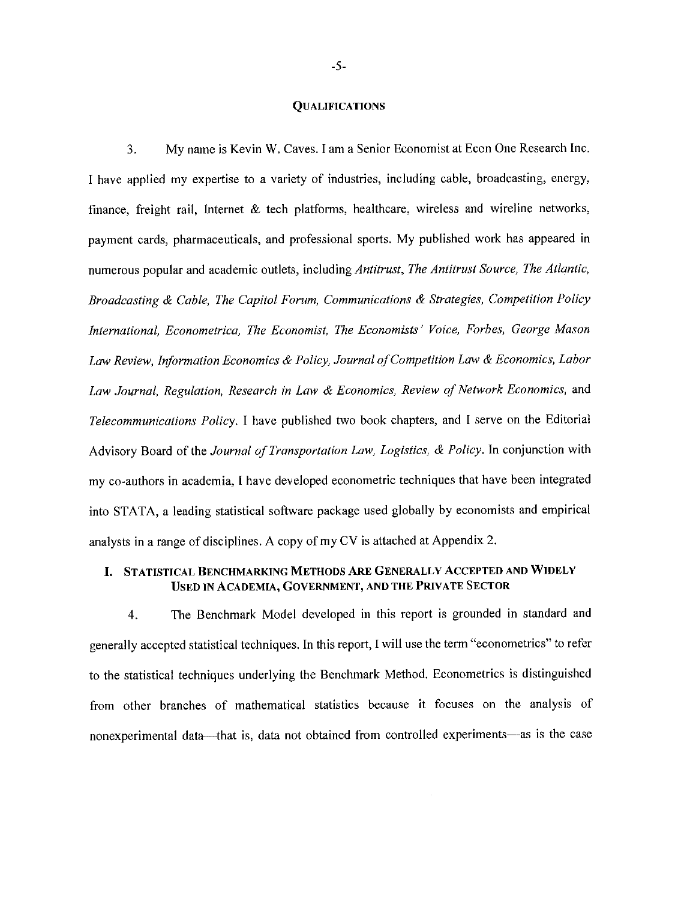#### **QUALIFICATIONS**

My name is Kevin W. Caves. I am a Senior Economist at Econ One Research Inc. 3. I have applied my expertise to a variety of industries, including cable, broadcasting, energy, finance, freight rail, Internet & tech platforms, healthcare, wireless and wireline networks, payment cards, pharmaceuticals, and professional sports. My published work has appeared in numerous popular and academic outlets, including Antitrust, The Antitrust Source, The Atlantic, Broadcasting & Cable, The Capitol Forum, Communications & Strategies, Competition Policy International, Econometrica, The Economist, The Economists' Voice, Forbes, George Mason Law Review, Information Economics & Policy, Journal of Competition Law & Economics, Labor Law Journal, Regulation, Research in Law & Economics, Review of Network Economics, and Telecommunications Policy. I have published two book chapters, and I serve on the Editorial Advisory Board of the Journal of Transportation Law, Logistics, & Policy. In conjunction with my co-authors in academia, I have developed econometric techniques that have been integrated into STATA, a leading statistical software package used globally by economists and empirical analysts in a range of disciplines. A copy of my CV is attached at Appendix 2.

## I. STATISTICAL BENCHMARKING METHODS ARE GENERALLY ACCEPTED AND WIDELY USED IN ACADEMIA, GOVERNMENT, AND THE PRIVATE SECTOR

The Benchmark Model developed in this report is grounded in standard and  $4.$ generally accepted statistical techniques. In this report, I will use the term "econometrics" to refer to the statistical techniques underlying the Benchmark Method. Econometrics is distinguished from other branches of mathematical statistics because it focuses on the analysis of nonexperimental data—that is, data not obtained from controlled experiments—as is the case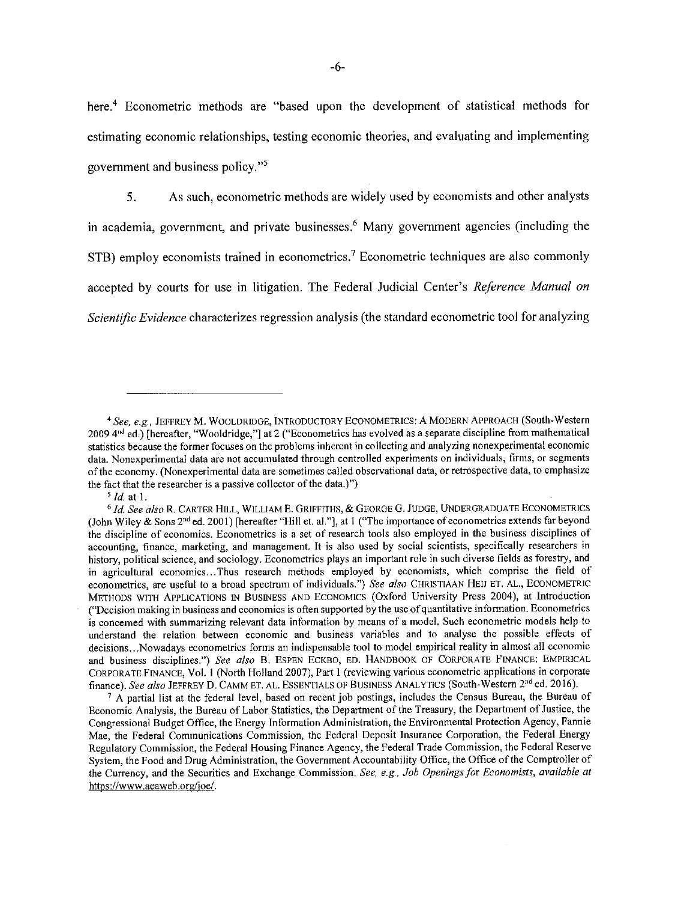here.<sup>4</sup> Econometric methods are "based upon the development of statistical methods for estimating economic relationships, testing economic theories, and evaluating and implementing government and business policy."<sup>5</sup>

5. As such, econometric methods are widely used by economists and other analysts in academia, government, and private businesses.<sup>6</sup> Many government agencies (including the STB) employ economists trained in econometrics.<sup>7</sup> Econometric techniques are also commonly accepted by courts for use in litigation. The Federal Judicial Center's Reference Manual on Scientific Evidence characterizes regression analysis (the standard econometric tool for analyzing

 $<sup>5</sup>$  *Id.* at 1.</sup>

<sup>&</sup>lt;sup>4</sup> See, e.g., JEFFREY M. WOOLDRIDGE, INTRODUCTORY ECONOMETRICS: A MODERN APPROACH (South-Western 2009 4<sup>nd</sup> ed.) [hereafter, "Wooldridge,"] at 2 ("Econometrics has evolved as a separate discipline from mathematical statistics because the former focuses on the problems inherent in collecting and analyzing nonexperimental economic data. Nonexperimental data are not accumulated through controlled experiments on individuals, firms, or segments of the economy. (Nonexperimental data are sometimes called observational data, or retrospective data, to emphasize the fact that the researcher is a passive collector of the data.)")

<sup>&</sup>lt;sup>6</sup> Id. See also R. CARTER HILL, WILLIAM E. GRIFFITHS, & GEORGE G. JUDGE, UNDERGRADUATE ECONOMETRICS (John Wiley & Sons  $2^{nd}$  ed. 2001) [hereafter "Hill et. al."], at 1 ("The importance of econometrics extends far beyond the discipline of economics. Econometrics is a set of research tools also employed in the business disciplines of accounting, finance, marketing, and management. It is also used by social scientists, specifically researchers in history, political science, and sociology. Econometrics plays an important role in such diverse fields as forestry, and in agricultural economics...Thus research methods employed by economists, which comprise the field of econometrics, are useful to a broad spectrum of individuals.") See also CHRISTIAAN HEIJ ET. AL., ECONOMETRIC METHODS WITH APPLICATIONS IN BUSINESS AND ECONOMICS (Oxford University Press 2004), at Introduction ("Decision making in business and economics is often supported by the use of quantitative information. Econometrics is concerned with summarizing relevant data information by means of a model. Such econometric models help to understand the relation between economic and business variables and to analyse the possible effects of decisions...Nowadays econometrics forms an indispensable tool to model empirical reality in almost all economic and business disciplines.") See also B. ESPEN ECKBO, ED. HANDBOOK OF CORPORATE FINANCE: EMPIRICAL CORPORATE FINANCE, Vol. 1 (North Holland 2007), Part 1 (reviewing various econometric applications in corporate finance). See also JEFFREY D. CAMM ET, AL. ESSENTIALS OF BUSINESS ANALYTICS (South-Western 2<sup>nd</sup> ed. 2016).

 $\frac{7}{4}$  A partial list at the federal level, based on recent job postings, includes the Census Bureau, the Bureau of Economic Analysis, the Bureau of Labor Statistics, the Department of the Treasury, the Department of Justice, the Congressional Budget Office, the Energy Information Administration, the Environmental Protection Agency, Fannie Mae, the Federal Communications Commission, the Federal Deposit Insurance Corporation, the Federal Energy Regulatory Commission, the Federal Housing Finance Agency, the Federal Trade Commission, the Federal Reserve System, the Food and Drug Administration, the Government Accountability Office, the Office of the Comptroller of the Currency, and the Securities and Exchange Commission, See, e.g., Job Openings for Economists, available at https://www.aeaweb.org/joe/.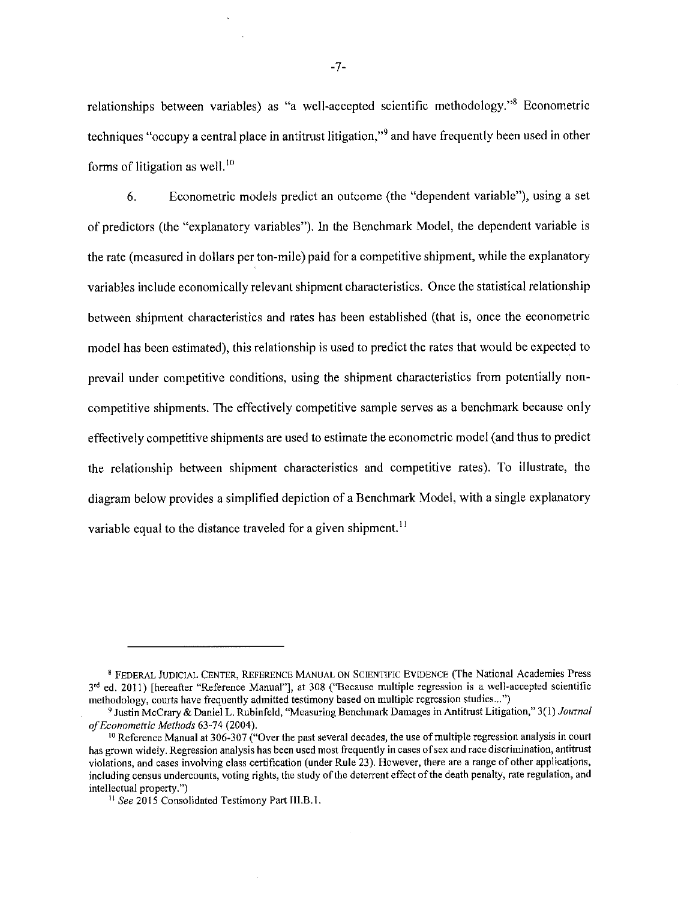relationships between variables) as "a well-accepted scientific methodology."<sup>8</sup> Econometric techniques "occupy a central place in antitrust litigation,"<sup>9</sup> and have frequently been used in other forms of litigation as well.<sup>10</sup>

6. Econometric models predict an outcome (the "dependent variable"), using a set of predictors (the "explanatory variables"). In the Benchmark Model, the dependent variable is the rate (measured in dollars per ton-mile) paid for a competitive shipment, while the explanatory variables include economically relevant shipment characteristics. Once the statistical relationship between shipment characteristics and rates has been established (that is, once the econometric model has been estimated), this relationship is used to predict the rates that would be expected to prevail under competitive conditions, using the shipment characteristics from potentially noncompetitive shipments. The effectively competitive sample serves as a benchmark because only effectively competitive shipments are used to estimate the econometric model (and thus to predict the relationship between shipment characteristics and competitive rates). To illustrate, the diagram below provides a simplified depiction of a Benchmark Model, with a single explanatory variable equal to the distance traveled for a given shipment.<sup>11</sup>

<sup>&</sup>lt;sup>8</sup> FEDERAL JUDICIAL CENTER, REFERENCE MANUAL ON SCIENTIFIC EVIDENCE (The National Academies Press 3rd ed. 2011) [hereafter "Reference Manual"], at 308 ("Because multiple regression is a well-accepted scientific methodology, courts have frequently admitted testimony based on multiple regression studies...")

<sup>&</sup>lt;sup>9</sup> Justin McCrary & Daniel L. Rubinfeld, "Measuring Benchmark Damages in Antitrust Litigation," 3(1) Journal of Econometric Methods 63-74 (2004).

<sup>&</sup>lt;sup>10</sup> Reference Manual at 306-307 ("Over the past several decades, the use of multiple regression analysis in court has grown widely. Regression analysis has been used most frequently in cases of sex and race discrimination, antitrust violations, and cases involving class certification (under Rule 23). However, there are a range of other applications, including census undercounts, voting rights, the study of the deterrent effect of the death penalty, rate regulation, and intellectual property.")

<sup>&</sup>lt;sup>11</sup> See 2015 Consolidated Testimony Part III.B.1.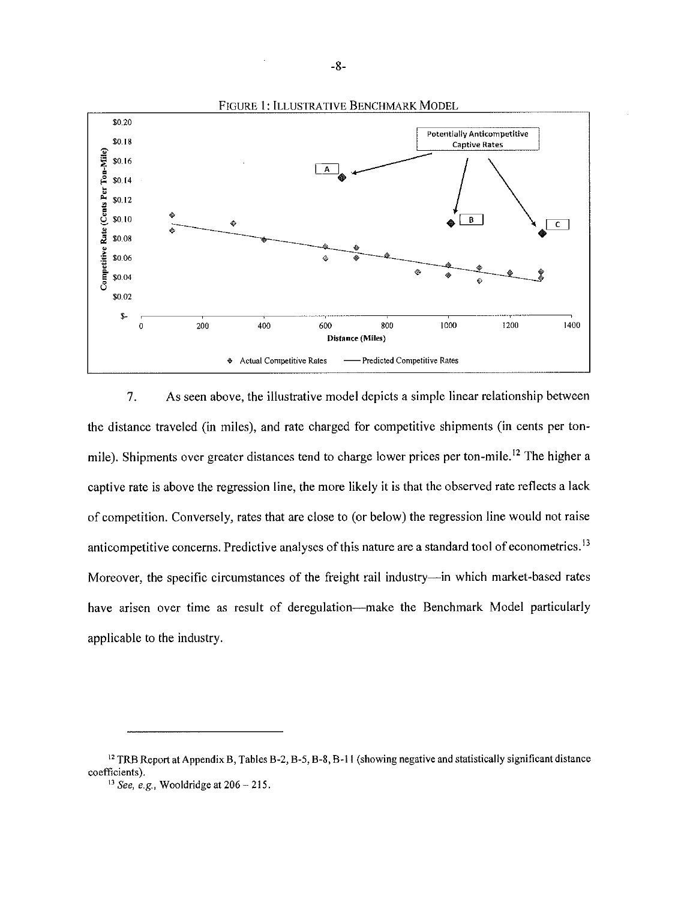

7. As seen above, the illustrative model depicts a simple linear relationship between the distance traveled (in miles), and rate charged for competitive shipments (in cents per tonmile). Shipments over greater distances tend to charge lower prices per ton-mile.<sup>12</sup> The higher a captive rate is above the regression line, the more likely it is that the observed rate reflects a lack of competition. Conversely, rates that are close to (or below) the regression line would not raise anticompetitive concerns. Predictive analyses of this nature are a standard tool of econometrics.<sup>13</sup> Moreover, the specific circumstances of the freight rail industry—in which market-based rates have arisen over time as result of deregulation—make the Benchmark Model particularly applicable to the industry.

<sup>&</sup>lt;sup>12</sup> TRB Report at Appendix B, Tables B-2, B-5, B-8, B-11 (showing negative and statistically significant distance coefficients).

<sup>&</sup>lt;sup>13</sup> See, e.g. Wooldridge at  $206 - 215$ .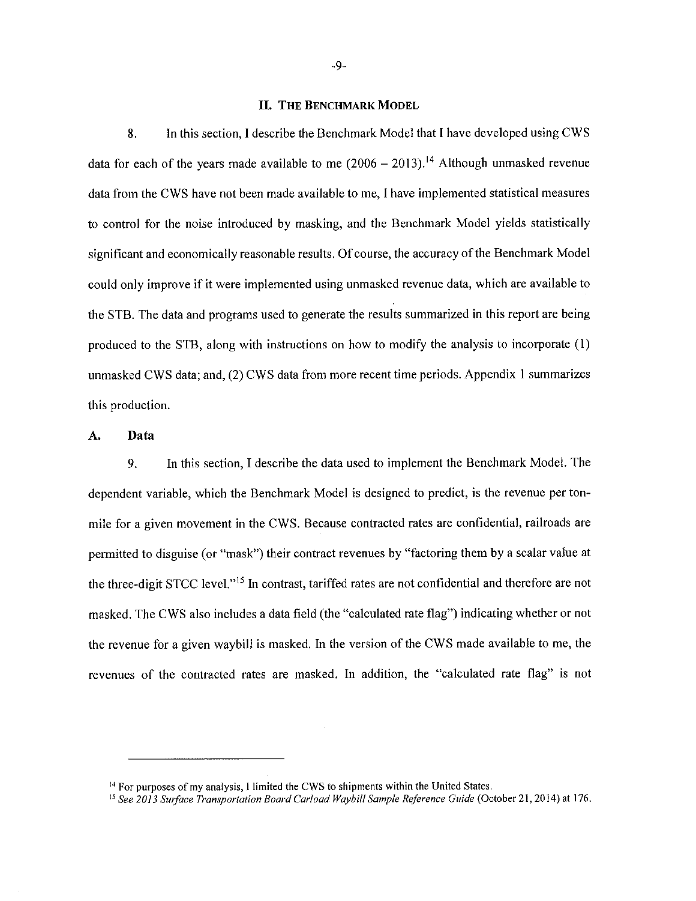#### **II. THE BENCHMARK MODEL**

8. In this section, I describe the Benchmark Model that I have developed using CWS data for each of the years made available to me  $(2006 - 2013).$ <sup>14</sup> Although unmasked revenue data from the CWS have not been made available to me, I have implemented statistical measures to control for the noise introduced by masking, and the Benchmark Model yields statistically significant and economically reasonable results. Of course, the accuracy of the Benchmark Model could only improve if it were implemented using unmasked revenue data, which are available to the STB. The data and programs used to generate the results summarized in this report are being produced to the STB, along with instructions on how to modify the analysis to incorporate (1) unmasked CWS data; and, (2) CWS data from more recent time periods. Appendix 1 summarizes this production.

#### A. Data

9. In this section, I describe the data used to implement the Benchmark Model. The dependent variable, which the Benchmark Model is designed to predict, is the revenue per tonmile for a given movement in the CWS. Because contracted rates are confidential, railroads are permitted to disguise (or "mask") their contract revenues by "factoring them by a scalar value at the three-digit STCC level."<sup>15</sup> In contrast, tariffed rates are not confidential and therefore are not masked. The CWS also includes a data field (the "calculated rate flag") indicating whether or not the revenue for a given waybill is masked. In the version of the CWS made available to me, the revenues of the contracted rates are masked. In addition, the "calculated rate flag" is not

<sup>&</sup>lt;sup>14</sup> For purposes of my analysis, I limited the CWS to shipments within the United States.

<sup>&</sup>lt;sup>15</sup> See 2013 Surface Transportation Board Carload Waybill Sample Reference Guide (October 21, 2014) at 176.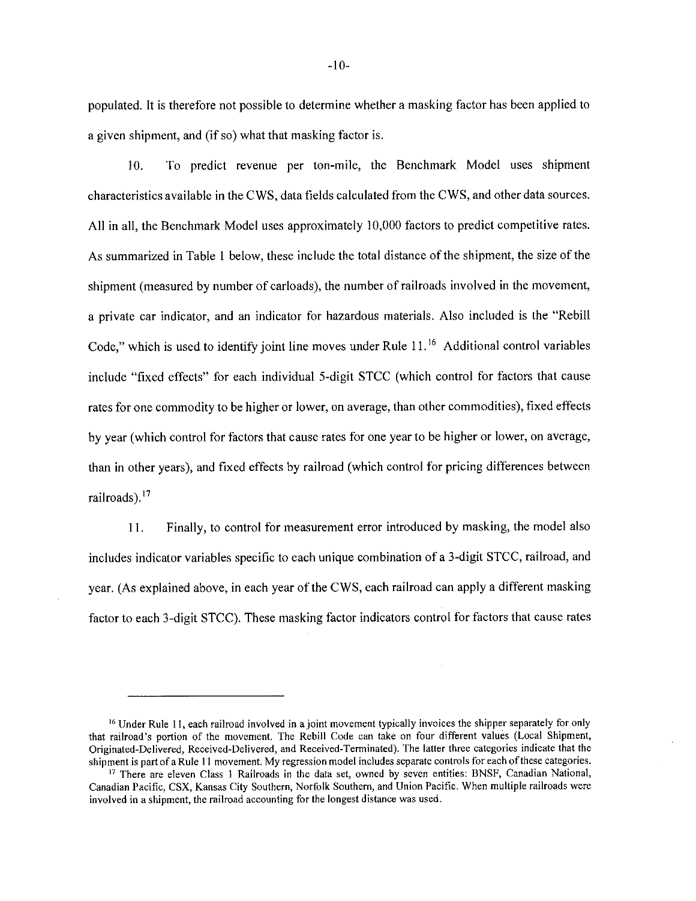populated. It is therefore not possible to determine whether a masking factor has been applied to a given shipment, and (if so) what that masking factor is.

To predict revenue per ton-mile, the Benchmark Model uses shipment 10. characteristics available in the CWS, data fields calculated from the CWS, and other data sources. All in all, the Benchmark Model uses approximately 10,000 factors to predict competitive rates. As summarized in Table 1 below, these include the total distance of the shipment, the size of the shipment (measured by number of carloads), the number of railroads involved in the movement, a private car indicator, and an indicator for hazardous materials. Also included is the "Rebill" Code," which is used to identify joint line moves under Rule 11.<sup>16</sup> Additional control variables include "fixed effects" for each individual 5-digit STCC (which control for factors that cause rates for one commodity to be higher or lower, on average, than other commodities), fixed effects by year (which control for factors that cause rates for one year to be higher or lower, on average, than in other years), and fixed effects by railroad (which control for pricing differences between railroads).<sup>17</sup>

11. Finally, to control for measurement error introduced by masking, the model also includes indicator variables specific to each unique combination of a 3-digit STCC, railroad, and year. (As explained above, in each year of the CWS, each railroad can apply a different masking factor to each 3-digit STCC). These masking factor indicators control for factors that cause rates

<sup>&</sup>lt;sup>16</sup> Under Rule 11, each railroad involved in a joint movement typically invoices the shipper separately for only that railroad's portion of the movement. The Rebill Code can take on four different values (Local Shipment, Originated-Delivered, Received-Delivered, and Received-Terminated). The latter three categories indicate that the shipment is part of a Rule 11 movement. My regression model includes separate controls for each of these categories.

<sup>&</sup>lt;sup>17</sup> There are eleven Class 1 Railroads in the data set, owned by seven entities: BNSF, Canadian National, Canadian Pacific, CSX, Kansas City Southern, Norfolk Southern, and Union Pacific. When multiple railroads were involved in a shipment, the railroad accounting for the longest distance was used.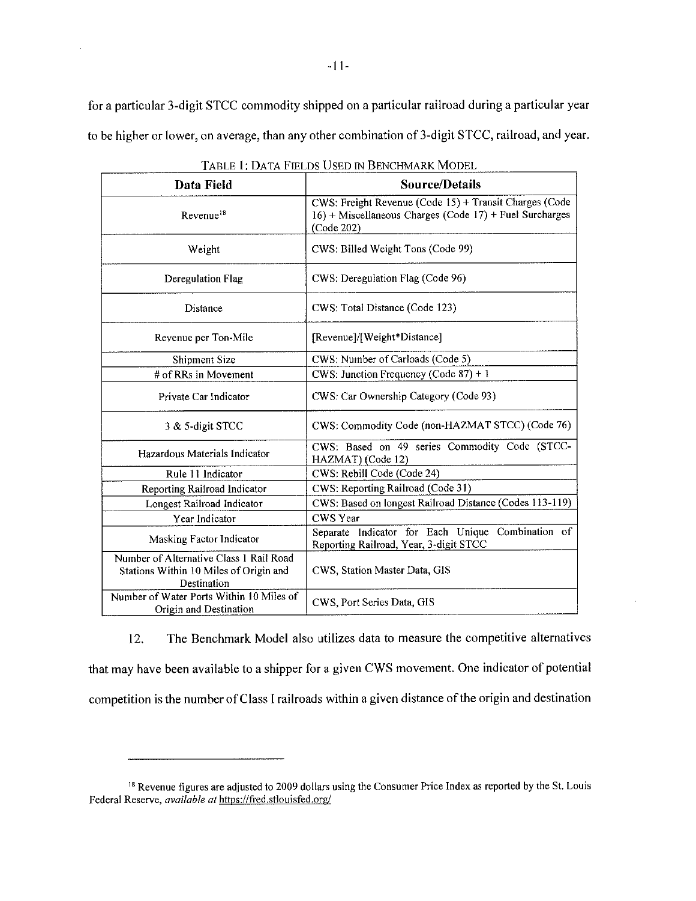for a particular 3-digit STCC commodity shipped on a particular railroad during a particular year to be higher or lower, on average, than any other combination of 3-digit STCC, railroad, and year.

| Data Field                                                                                       | <b>Source/Details</b>                                                                                                              |
|--------------------------------------------------------------------------------------------------|------------------------------------------------------------------------------------------------------------------------------------|
| Revenue <sup>18</sup>                                                                            | CWS: Freight Revenue (Code 15) + Transit Charges (Code<br>$16$ ) + Miscellaneous Charges (Code 17) + Fuel Surcharges<br>(Code 202) |
| Weight                                                                                           | CWS: Billed Weight Tons (Code 99)                                                                                                  |
| Deregulation Flag                                                                                | CWS: Deregulation Flag (Code 96)                                                                                                   |
| Distance                                                                                         | CWS: Total Distance (Code 123)                                                                                                     |
| Revenue per Ton-Mile                                                                             | [Revenue]/[Weight*Distance]                                                                                                        |
| <b>Shipment Size</b>                                                                             | CWS: Number of Carloads (Code 5)                                                                                                   |
| # of RRs in Movement                                                                             | CWS: Junction Frequency (Code $87$ ) + 1                                                                                           |
| Private Car Indicator                                                                            | CWS: Car Ownership Category (Code 93)                                                                                              |
| 3 & 5-digit STCC                                                                                 | CWS: Commodity Code (non-HAZMAT STCC) (Code 76)                                                                                    |
| Hazardous Materials Indicator                                                                    | CWS: Based on 49 series Commodity Code (STCC-<br>HAZMAT) (Code 12)                                                                 |
| Rule 11 Indicator                                                                                | CWS: Rebill Code (Code 24)                                                                                                         |
| Reporting Railroad Indicator                                                                     | CWS: Reporting Railroad (Code 31)                                                                                                  |
| Longest Railroad Indicator                                                                       | CWS: Based on longest Railroad Distance (Codes 113-119)                                                                            |
| Year Indicator                                                                                   | CWS Year                                                                                                                           |
| Masking Factor Indicator                                                                         | Separate Indicator for Each Unique Combination of<br>Reporting Railroad, Year, 3-digit STCC                                        |
| Number of Alternative Class 1 Rail Road<br>Stations Within 10 Miles of Origin and<br>Destination | CWS, Station Master Data, GIS                                                                                                      |
| Number of Water Ports Within 10 Miles of<br>Origin and Destination                               | CWS, Port Series Data, GIS                                                                                                         |

| Table 1: Data Fields Used in Benchmark Model |  |  |  |
|----------------------------------------------|--|--|--|
|----------------------------------------------|--|--|--|

12. The Benchmark Model also utilizes data to measure the competitive alternatives that may have been available to a shipper for a given CWS movement. One indicator of potential competition is the number of Class I railroads within a given distance of the origin and destination

<sup>&</sup>lt;sup>18</sup> Revenue figures are adjusted to 2009 dollars using the Consumer Price Index as reported by the St. Louis Federal Reserve, available at https://fred.stlouisfed.org/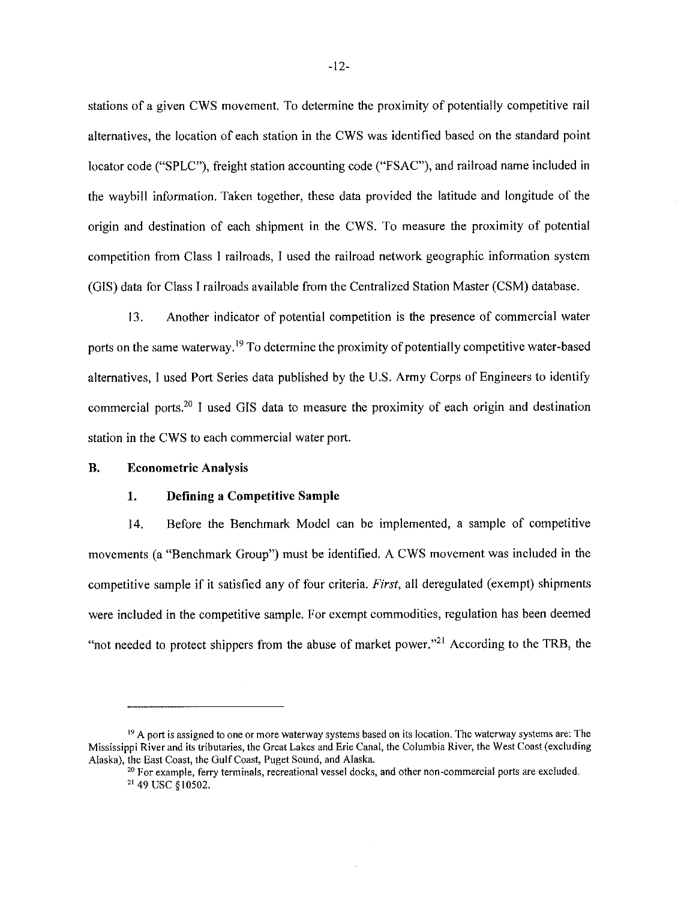stations of a given CWS movement. To determine the proximity of potentially competitive rail alternatives, the location of each station in the CWS was identified based on the standard point locator code ("SPLC"), freight station accounting code ("FSAC"), and railroad name included in the waybill information. Taken together, these data provided the latitude and longitude of the origin and destination of each shipment in the CWS. To measure the proximity of potential competition from Class I railroads, I used the railroad network geographic information system (GIS) data for Class I railroads available from the Centralized Station Master (CSM) database.

13. Another indicator of potential competition is the presence of commercial water ports on the same waterway.<sup>19</sup> To determine the proximity of potentially competitive water-based alternatives. I used Port Series data published by the U.S. Army Corps of Engineers to identify commercial ports.<sup>20</sup> I used GIS data to measure the proximity of each origin and destination station in the CWS to each commercial water port.

#### **B. Econometric Analysis**

#### $1.$ Defining a Competitive Sample

Before the Benchmark Model can be implemented, a sample of competitive 14. movements (a "Benchmark Group") must be identified. A CWS movement was included in the competitive sample if it satisfied any of four criteria. First, all deregulated (exempt) shipments were included in the competitive sample. For exempt commodities, regulation has been deemed "not needed to protect shippers from the abuse of market power."<sup>21</sup> According to the TRB, the

 $^{19}$  A port is assigned to one or more waterway systems based on its location. The waterway systems are: The Mississippi River and its tributaries, the Great Lakes and Erie Canal, the Columbia River, the West Coast (excluding Alaska), the East Coast, the Gulf Coast, Puget Sound, and Alaska.

<sup>&</sup>lt;sup>20</sup> For example, ferry terminals, recreational vessel docks, and other non-commercial ports are excluded. <sup>21</sup> 49 USC §10502.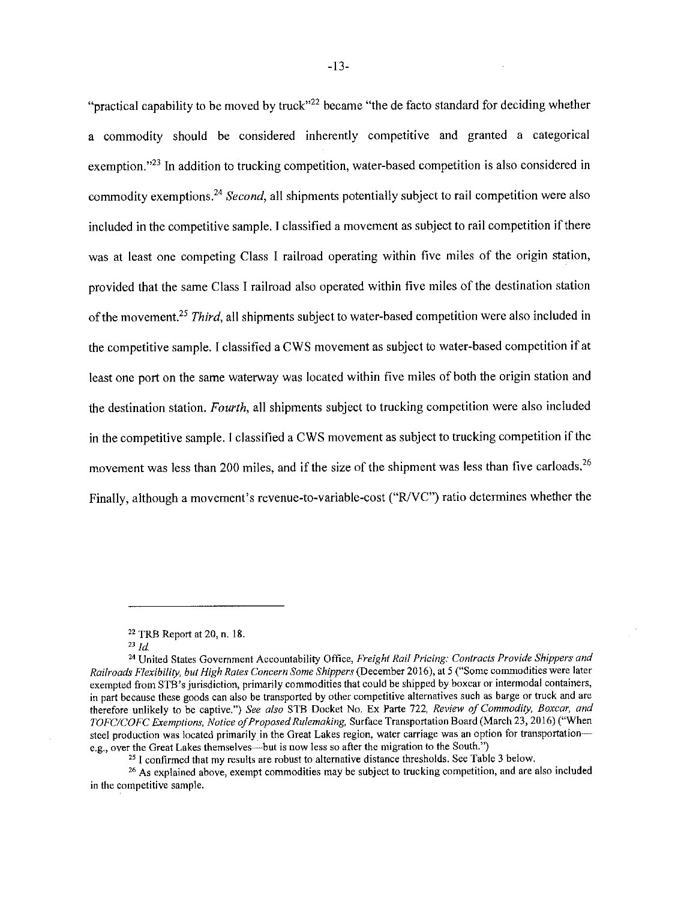"practical capability to be moved by truck"<sup>22</sup> became "the de facto standard for deciding whether a commodity should be considered inherently competitive and granted a categorical exemption."<sup>23</sup> In addition to trucking competition, water-based competition is also considered in commodity exemptions.<sup>24</sup> Second, all shipments potentially subject to rail competition were also included in the competitive sample. I classified a movement as subject to rail competition if there was at least one competing Class I railroad operating within five miles of the origin station, provided that the same Class I railroad also operated within five miles of the destination station of the movement.<sup>25</sup> Third, all shipments subject to water-based competition were also included in the competitive sample. I classified a CWS movement as subject to water-based competition if at least one port on the same waterway was located within five miles of both the origin station and the destination station. Fourth, all shipments subject to trucking competition were also included in the competitive sample. I classified a CWS movement as subject to trucking competition if the movement was less than 200 miles, and if the size of the shipment was less than five carloads.<sup>26</sup> Finally, although a movement's revenue-to-variable-cost ("R/VC") ratio determines whether the

<sup>&</sup>lt;sup>22</sup> TRB Report at 20, n, 18.

 $23$  *Id.* 

<sup>&</sup>lt;sup>24</sup> United States Government Accountability Office, Freight Rail Pricing: Contracts Provide Shippers and Railroads Flexibility, but High Rates Concern Some Shippers (December 2016), at 5 ("Some commodities were later exempted from STB's jurisdiction, primarily commodities that could be shipped by boxcar or intermodal containers, in part because these goods can also be transported by other competitive alternatives such as barge or truck and are therefore unlikely to be captive.") See also STB Docket No. Ex Parte 722, Review of Commodity, Boxcar, and TOFC/COFC Exemptions, Notice of Proposed Rulemaking, Surface Transportation Board (March 23, 2016) ("When steel production was located primarily in the Great Lakes region, water carriage was an option for transportatione.g., over the Great Lakes themselves—but is now less so after the migration to the South.")

<sup>&</sup>lt;sup>25</sup> I confirmed that my results are robust to alternative distance thresholds. See Table 3 below.

<sup>&</sup>lt;sup>26</sup> As explained above, exempt commodities may be subject to trucking competition, and are also included in the competitive sample.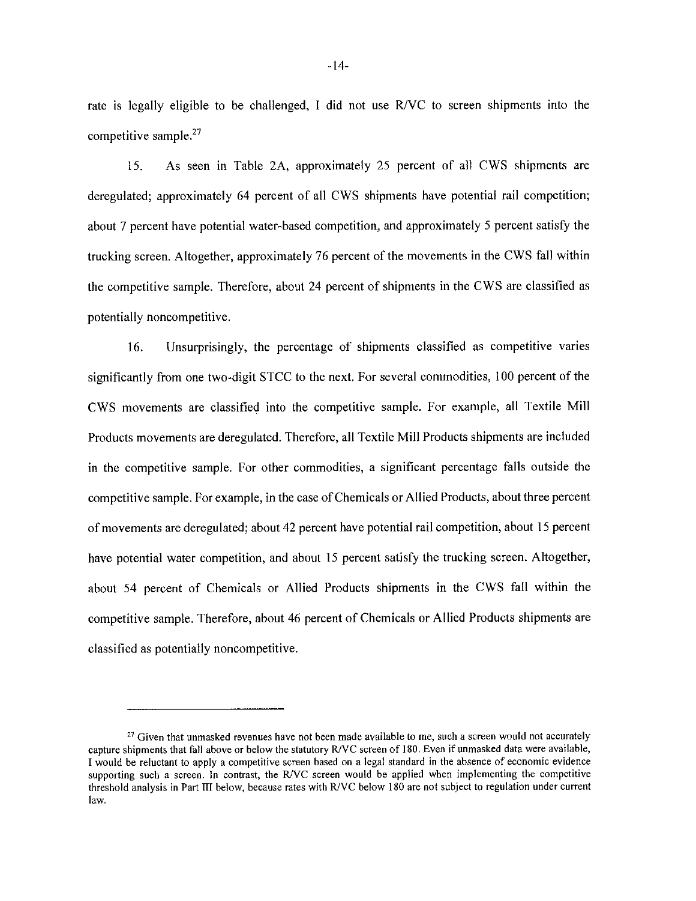rate is legally eligible to be challenged, I did not use R/VC to screen shipments into the competitive sample. $27$ 

As seen in Table 2A, approximately 25 percent of all CWS shipments are 15. deregulated; approximately 64 percent of all CWS shipments have potential rail competition; about 7 percent have potential water-based competition, and approximately 5 percent satisfy the trucking screen. Altogether, approximately 76 percent of the movements in the CWS fall within the competitive sample. Therefore, about 24 percent of shipments in the CWS are classified as potentially noncompetitive.

16. Unsurprisingly, the percentage of shipments classified as competitive varies significantly from one two-digit STCC to the next. For several commodities, 100 percent of the CWS movements are classified into the competitive sample. For example, all Textile Mill Products movements are deregulated. Therefore, all Textile Mill Products shipments are included in the competitive sample. For other commodities, a significant percentage falls outside the competitive sample. For example, in the case of Chemicals or Allied Products, about three percent of movements are deregulated; about 42 percent have potential rail competition, about 15 percent have potential water competition, and about 15 percent satisfy the trucking screen. Altogether, about 54 percent of Chemicals or Allied Products shipments in the CWS fall within the competitive sample. Therefore, about 46 percent of Chemicals or Allied Products shipments are classified as potentially noncompetitive.

<sup>&</sup>lt;sup>27</sup> Given that unmasked revenues have not been made available to me, such a screen would not accurately capture shipments that fall above or below the statutory R/VC screen of 180. Even if unmasked data were available, I would be reluctant to apply a competitive screen based on a legal standard in the absence of economic evidence supporting such a screen. In contrast, the R/VC screen would be applied when implementing the competitive threshold analysis in Part III below, because rates with R/VC below 180 are not subject to regulation under current law.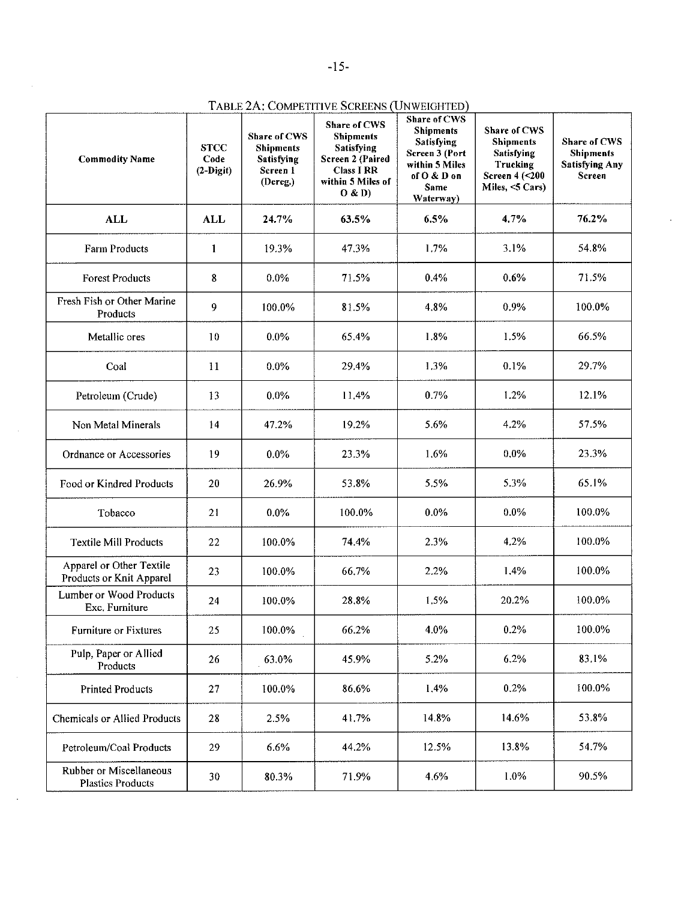| <b>Commodity Name</b>                                | <b>STCC</b><br>Code<br>$(2-Digit)$ | <b>Share of CWS</b><br><b>Shipments</b><br><b>Satisfying</b><br>Screen 1<br>(Dereg.) | Share of CWS<br><b>Shipments</b><br><b>Satisfying</b><br>Screen 2 (Paired<br><b>Class I RR</b><br>within 5 Miles of<br>O & D | <b>Share of CWS</b><br><b>Shipments</b><br>Satisfying<br>Screen 3 (Port<br>within 5 Miles<br>of O & D on<br>Same<br>Waterway) | Share of CWS<br><b>Shipments</b><br>Satisfying<br>Trucking<br>Screen 4 (< 200<br>Miles, <5 Cars) | <b>Share of CWS</b><br><b>Shipments</b><br><b>Satisfying Any</b><br>Screen |
|------------------------------------------------------|------------------------------------|--------------------------------------------------------------------------------------|------------------------------------------------------------------------------------------------------------------------------|-------------------------------------------------------------------------------------------------------------------------------|--------------------------------------------------------------------------------------------------|----------------------------------------------------------------------------|
| <b>ALL</b>                                           | <b>ALL</b>                         | 24.7%                                                                                | 63.5%                                                                                                                        | 6.5%                                                                                                                          | 4.7%                                                                                             | 76.2%                                                                      |
| <b>Farm Products</b>                                 | $\mathbf{1}$                       | 19.3%                                                                                | 47.3%                                                                                                                        | 1.7%                                                                                                                          | 3.1%                                                                                             | 54.8%                                                                      |
| <b>Forest Products</b>                               | 8                                  | 0.0%                                                                                 | 71.5%                                                                                                                        | 0.4%                                                                                                                          | 0.6%                                                                                             | 71.5%                                                                      |
| Fresh Fish or Other Marine<br>Products               | 9                                  | 100.0%                                                                               | 81.5%                                                                                                                        | 4.8%                                                                                                                          | 0.9%                                                                                             | 100.0%                                                                     |
| Metallic ores                                        | 10                                 | $0.0\%$                                                                              | 65.4%                                                                                                                        | 1.8%                                                                                                                          | 1.5%                                                                                             | 66.5%                                                                      |
| Coal                                                 | 11                                 | $0.0\%$                                                                              | 29,4%                                                                                                                        | 1.3%                                                                                                                          | 0.1%                                                                                             | 29.7%                                                                      |
| Petroleum (Crude)                                    | 13                                 | $0.0\%$                                                                              | 11.4%                                                                                                                        | 0.7%                                                                                                                          | 1.2%                                                                                             | 12.1%                                                                      |
| Non Metal Minerals                                   | 14                                 | 47.2%                                                                                | 19.2%                                                                                                                        | 5.6%                                                                                                                          | 4.2%                                                                                             | 57.5%                                                                      |
| Ordnance or Accessories                              | 19                                 | 0.0%                                                                                 | 23.3%                                                                                                                        | 1.6%                                                                                                                          | 0.0%                                                                                             | 23.3%                                                                      |
| Food or Kindred Products                             | 20                                 | 26.9%                                                                                | 53.8%                                                                                                                        | 5.5%                                                                                                                          | 5.3%                                                                                             | 65.1%                                                                      |
| Tobacco                                              | 21                                 | $0.0\%$                                                                              | 100.0%                                                                                                                       | $0.0\%$                                                                                                                       | $0.0\%$                                                                                          | 100.0%                                                                     |
| <b>Textile Mill Products</b>                         | 22                                 | 100.0%                                                                               | 74.4%                                                                                                                        | 2.3%                                                                                                                          | 4.2%                                                                                             | 100.0%                                                                     |
| Apparel or Other Textile<br>Products or Knit Apparel | 23                                 | 100.0%                                                                               | 66.7%                                                                                                                        | 2.2%                                                                                                                          | 1.4%                                                                                             | 100.0%                                                                     |
| Lumber or Wood Products<br>Exc. Furniture            | 24                                 | 100.0%                                                                               | 28.8%                                                                                                                        | 1.5%                                                                                                                          | 20.2%                                                                                            | 100.0%                                                                     |
| Furniture or Fixtures                                | 25                                 | 100.0%                                                                               | 66.2%                                                                                                                        | 4.0%                                                                                                                          | 0.2%                                                                                             | 100.0%                                                                     |
| Pulp, Paper or Allied<br>Products                    | 26                                 | 63.0%                                                                                | 45.9%                                                                                                                        | 5.2%                                                                                                                          | 6.2%                                                                                             | 83.1%                                                                      |
| <b>Printed Products</b>                              | 27                                 | 100.0%                                                                               | 86.6%                                                                                                                        | 1.4%                                                                                                                          | 0.2%                                                                                             | 100.0%                                                                     |
| <b>Chemicals or Allied Products</b>                  | 28                                 | 2.5%                                                                                 | 41.7%                                                                                                                        | 14.8%                                                                                                                         | 14.6%                                                                                            | 53.8%                                                                      |
| Petroleum/Coal Products                              | 29                                 | 6.6%                                                                                 | 44.2%                                                                                                                        | 12.5%                                                                                                                         | 13.8%                                                                                            | 54.7%                                                                      |
| Rubber or Miscellaneous<br><b>Plastics Products</b>  | 30                                 | 80.3%                                                                                | 71.9%                                                                                                                        | 4.6%                                                                                                                          | 1.0%                                                                                             | 90.5%                                                                      |

TABLE 2A: COMPETITIVE SCREENS (UNWEIGHTED)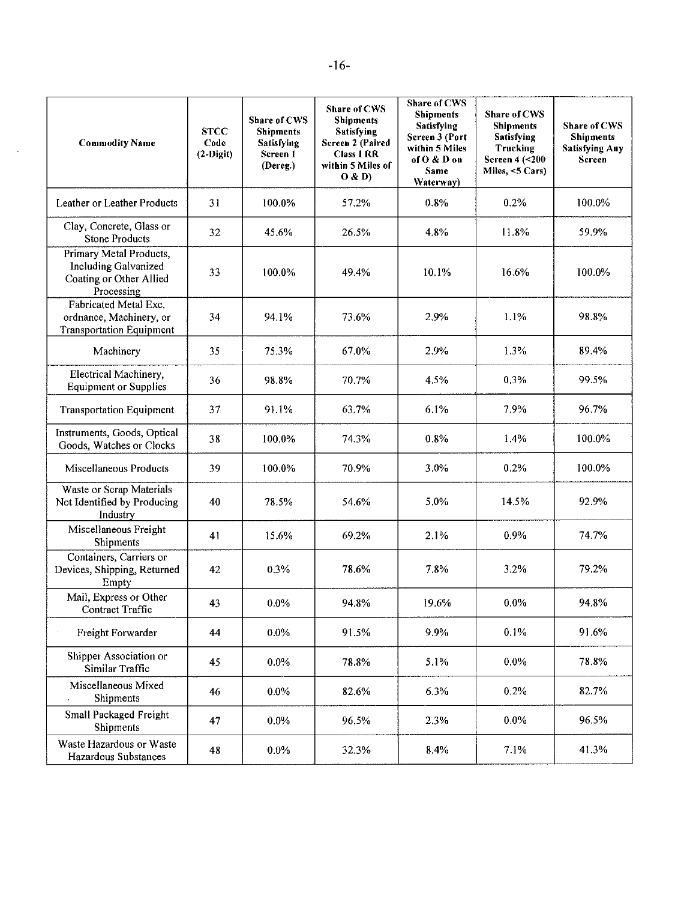| <b>Commodity Name</b>                                                                    | <b>STCC</b><br>Code<br>$(2-Digit)$ | Share of CWS<br><b>Shipments</b><br>Satisfying<br>Screen 1<br>(Dereg.) | Share of CWS<br><b>Shipments</b><br><b>Satisfying</b><br>Screen 2 (Paired<br><b>Class 1 RR</b><br>within 5 Miles of<br>O & D | <b>Share of CWS</b><br><b>Shipments</b><br><b>Satisfying</b><br>Screen 3 (Port<br>within 5 Miles<br>of O & D on<br>Same<br>Waterway) | Share of CWS<br><b>Shipments</b><br><b>Satisfying</b><br>Trucking<br>Screen 4 (< 200<br>Miles, <5 Cars) | Share of CWS<br><b>Shipments</b><br><b>Satisfying Any</b><br>Screen |
|------------------------------------------------------------------------------------------|------------------------------------|------------------------------------------------------------------------|------------------------------------------------------------------------------------------------------------------------------|--------------------------------------------------------------------------------------------------------------------------------------|---------------------------------------------------------------------------------------------------------|---------------------------------------------------------------------|
| Leather or Leather Products                                                              | 31                                 | 100.0%                                                                 | 57,2%                                                                                                                        | 0.8%                                                                                                                                 | 0.2%                                                                                                    | 100.0%                                                              |
| Clay, Concrete, Glass or<br><b>Stone Products</b>                                        | 32                                 | 45.6%                                                                  | 26.5%                                                                                                                        | 4.8%                                                                                                                                 | 11.8%                                                                                                   | 59.9%                                                               |
| Primary Metal Products,<br>Including Galvanized<br>Coating or Other Allied<br>Processing | 33                                 | 100.0%                                                                 | 49.4%                                                                                                                        | 10.1%                                                                                                                                | 16.6%                                                                                                   | 100.0%                                                              |
| Fabricated Metal Exc.<br>ordnance, Machinery, or<br><b>Transportation Equipment</b>      | 34                                 | 94.1%                                                                  | 73.6%                                                                                                                        | 2.9%                                                                                                                                 | 1.1%                                                                                                    | 98.8%                                                               |
| Machinery                                                                                | 35                                 | 75.3%                                                                  | 67.0%                                                                                                                        | 2.9%                                                                                                                                 | 1.3%                                                                                                    | 89.4%                                                               |
| Electrical Machinery,<br><b>Equipment or Supplies</b>                                    | 36                                 | 98.8%                                                                  | 70.7%                                                                                                                        | 4.5%                                                                                                                                 | 0.3%                                                                                                    | 99.5%                                                               |
| <b>Transportation Equipment</b>                                                          | 37                                 | 91.1%                                                                  | 63.7%                                                                                                                        | 6.1%                                                                                                                                 | 7.9%                                                                                                    | 96.7%                                                               |
| Instruments, Goods, Optical<br>Goods, Watches or Clocks                                  | 38                                 | 100.0%                                                                 | 74.3%                                                                                                                        | 0.8%                                                                                                                                 | 1.4%                                                                                                    | 100.0%                                                              |
| Miscellaneous Products                                                                   | 39                                 | 100.0%                                                                 | 70.9%                                                                                                                        | 3.0%                                                                                                                                 | 0.2%                                                                                                    | 100.0%                                                              |
| Waste or Scrap Materials<br>Not Identified by Producing<br>Industry                      | 40                                 | 78.5%                                                                  | 54.6%                                                                                                                        | 5.0%                                                                                                                                 | 14.5%                                                                                                   | 92.9%                                                               |
| Miscellaneous Freight<br>Shipments                                                       | 41                                 | 15.6%                                                                  | 69.2%                                                                                                                        | 2.1%                                                                                                                                 | 0.9%                                                                                                    | 74.7%                                                               |
| Containers, Carriers or<br>Devices, Shipping, Returned<br>Empty                          | 42                                 | 0.3%                                                                   | 78.6%                                                                                                                        | 7.8%                                                                                                                                 | 3.2%                                                                                                    | 79.2%                                                               |
| Mail, Express or Other<br>Contract Traffic                                               | 43                                 | $0.0\%$                                                                | 94.8%                                                                                                                        | 19.6%                                                                                                                                | $0.0\%$                                                                                                 | 94.8%                                                               |
| Freight Forwarder                                                                        | 44                                 | 0.0%                                                                   | 91.5%                                                                                                                        | 9.9%                                                                                                                                 | 0.1%                                                                                                    | 91.6%                                                               |
| Shipper Association or<br>Similar Traffic                                                | 45                                 | 0.0%                                                                   | 78.8%                                                                                                                        | 5.1%                                                                                                                                 | $0.0\%$                                                                                                 | 78.8%                                                               |
| Miscellaneous Mixed<br>Shipments                                                         | 46                                 | $0.0\%$                                                                | 82.6%                                                                                                                        | 6.3%                                                                                                                                 | 0.2%                                                                                                    | 82.7%                                                               |
| Small Packaged Freight<br><b>Shipments</b>                                               | 47                                 | $0.0\%$                                                                | 96.5%                                                                                                                        | 2.3%                                                                                                                                 | $0.0\%$                                                                                                 | 96.5%                                                               |
| Waste Hazardous or Waste<br>Hazardous Substances                                         | 48                                 | $0.0\%$                                                                | 32.3%                                                                                                                        | 8.4%                                                                                                                                 | 7.1%                                                                                                    | 41.3%                                                               |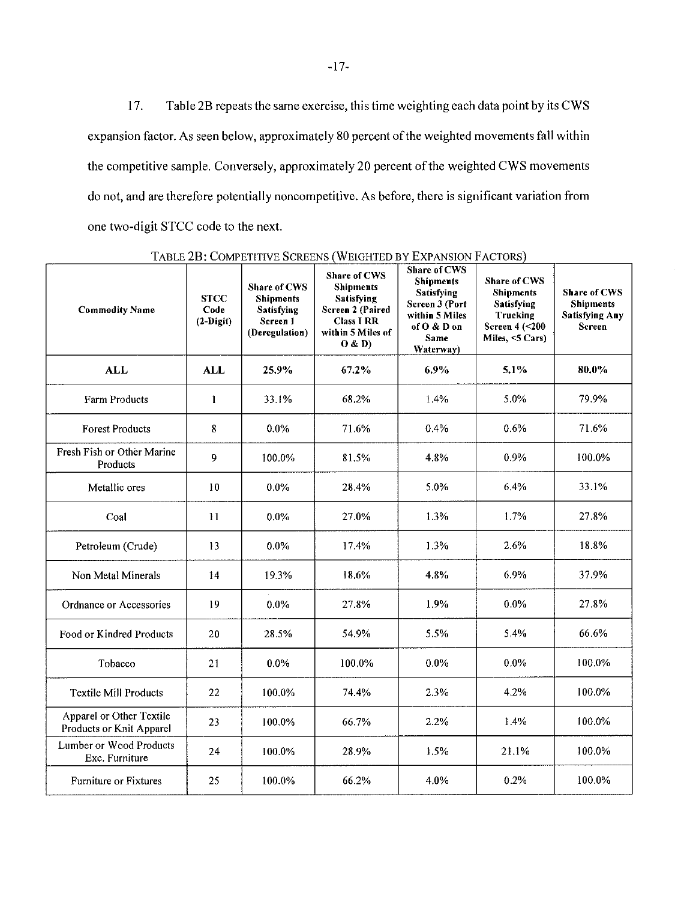Table 2B repeats the same exercise, this time weighting each data point by its CWS 17. expansion factor. As seen below, approximately 80 percent of the weighted movements fall within the competitive sample. Conversely, approximately 20 percent of the weighted CWS movements do not, and are therefore potentially noncompetitive. As before, there is significant variation from one two-digit STCC code to the next.

| <b>Commodity Name</b>                                | <b>STCC</b><br>Code<br>$(2-Digit)$ | <b>Share of CWS</b><br><b>Shipments</b><br>Satisfying<br>Screen 1<br>(Deregulation) | <b>Share of CWS</b><br><b>Shipments</b><br><b>Satisfying</b><br>Screen 2 (Paired<br><b>Class I RR</b><br>within 5 Miles of<br>0 & D | Share of CWS<br><b>Shipments</b><br><b>Satisfying</b><br>Screen 3 (Port<br>within 5 Miles<br>of O & D on<br><b>Same</b><br>Waterway) | Share of CWS<br><b>Shipments</b><br>Satisfying<br>Trucking<br>Screen 4 (< 200<br>Miles, <5 Cars) | Share of CWS<br><b>Shipments</b><br><b>Satisfying Any</b><br>Screen |
|------------------------------------------------------|------------------------------------|-------------------------------------------------------------------------------------|-------------------------------------------------------------------------------------------------------------------------------------|--------------------------------------------------------------------------------------------------------------------------------------|--------------------------------------------------------------------------------------------------|---------------------------------------------------------------------|
| <b>ALL</b>                                           | <b>ALL</b>                         | 25,9%                                                                               | 67.2%                                                                                                                               | 6.9%                                                                                                                                 | 5.1%                                                                                             | 80.0%                                                               |
| Farm Products                                        | $\mathbf{1}$                       | 33.1%                                                                               | 68,2%                                                                                                                               | 1.4%                                                                                                                                 | 5.0%                                                                                             | 79.9%                                                               |
| <b>Forest Products</b>                               | 8                                  | 0.0%                                                                                | 71.6%                                                                                                                               | 0.4%                                                                                                                                 | 0.6%                                                                                             | 71.6%                                                               |
| Fresh Fish or Other Marine<br>Products               | 9                                  | 100.0%                                                                              | 81.5%                                                                                                                               | 4.8%                                                                                                                                 | 0.9%                                                                                             | 100.0%                                                              |
| Metallic ores                                        | 10                                 | 0.0%                                                                                | 28.4%                                                                                                                               | 5.0%                                                                                                                                 | 6.4%                                                                                             | 33.1%                                                               |
| Coal                                                 | 11                                 | 0.0%                                                                                | 27.0%                                                                                                                               | 1.3%                                                                                                                                 | 1.7%                                                                                             | 27.8%                                                               |
| Petroleum (Crude)                                    | 13                                 | $0.0\%$                                                                             | 17.4%                                                                                                                               | 1.3%                                                                                                                                 | 2.6%                                                                                             | 18.8%                                                               |
| Non Metal Minerals                                   | 14                                 | 19.3%                                                                               | 18.6%                                                                                                                               | 4.8%                                                                                                                                 | 6.9%                                                                                             | 37.9%                                                               |
| Ordnance or Accessories                              | 19                                 | $0.0\%$                                                                             | 27.8%                                                                                                                               | 1.9%                                                                                                                                 | 0.0%                                                                                             | 27.8%                                                               |
| Food or Kindred Products                             | 20                                 | 28.5%                                                                               | 54.9%                                                                                                                               | 5.5%                                                                                                                                 | 5,4%                                                                                             | 66.6%                                                               |
| Tobacco                                              | 21                                 | 0.0%                                                                                | 100.0%                                                                                                                              | $0.0\%$                                                                                                                              | 0.0%                                                                                             | 100.0%                                                              |
| <b>Textile Mill Products</b>                         | 22                                 | 100.0%                                                                              | 74.4%                                                                                                                               | 2.3%                                                                                                                                 | 4.2%                                                                                             | 100.0%                                                              |
| Apparel or Other Textile<br>Products or Knit Apparel | 23                                 | 100.0%                                                                              | 66.7%                                                                                                                               | 2.2%                                                                                                                                 | 1.4%                                                                                             | 100.0%                                                              |
| Lumber or Wood Products<br>Exc. Furniture            | 24                                 | 100.0%                                                                              | 28.9%                                                                                                                               | 1.5%                                                                                                                                 | 21.1%                                                                                            | 100.0%                                                              |
| <b>Furniture or Fixtures</b>                         | 25                                 | 100.0%                                                                              | 66.2%                                                                                                                               | 4.0%                                                                                                                                 | 0.2%                                                                                             | 100.0%                                                              |

TABLE 2B: COMPETITIVE SCREENS (WEIGHTED BY EXPANSION FACTORS)

 $-17-$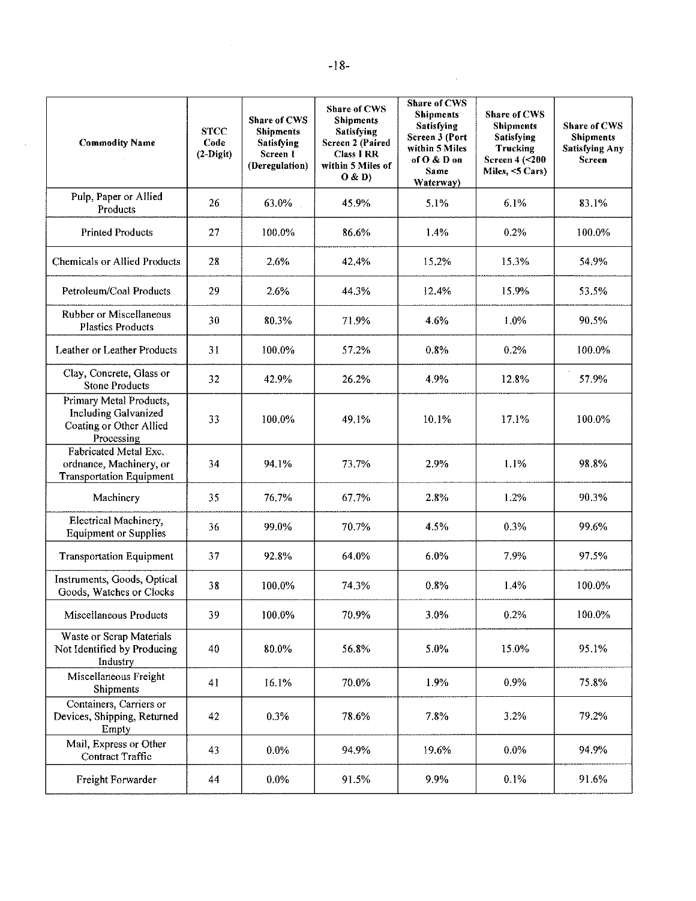| <b>Commodity Name</b>                                                                           | <b>STCC</b><br>Code<br>$(2-Digit)$ | Share of CWS<br><b>Shipments</b><br><b>Satisfying</b><br>Screen 1<br>(Deregulation) | Share of CWS<br><b>Shipments</b><br><b>Satisfying</b><br>Screen 2 (Paired<br><b>Class I RR</b><br>within 5 Miles of<br>O & D | <b>Share of CWS</b><br><b>Shipments</b><br><b>Satisfying</b><br>Screen 3 (Port<br>within 5 Miles<br>of $O & D$ on<br>Same<br>Waterway) | Share of CWS<br><b>Shipments</b><br>Satisfying<br>Trucking<br>Screen 4 (<200<br>Miles, <5 Cars) | Share of CWS<br><b>Shipments</b><br><b>Satisfying Any</b><br>Screen |
|-------------------------------------------------------------------------------------------------|------------------------------------|-------------------------------------------------------------------------------------|------------------------------------------------------------------------------------------------------------------------------|----------------------------------------------------------------------------------------------------------------------------------------|-------------------------------------------------------------------------------------------------|---------------------------------------------------------------------|
| Pulp, Paper or Allied<br>Products                                                               | 26                                 | 63.0%                                                                               | 45.9%                                                                                                                        | 5.1%                                                                                                                                   | 6.1%                                                                                            | 83.1%                                                               |
| <b>Printed Products</b>                                                                         | 27                                 | 100.0%                                                                              | 86.6%                                                                                                                        | 1.4%                                                                                                                                   | 0.2%                                                                                            | 100.0%                                                              |
| <b>Chemicals or Allied Products</b>                                                             | 28                                 | 2.6%                                                                                | 42.4%                                                                                                                        | 15.2%                                                                                                                                  | 15.3%                                                                                           | 54.9%                                                               |
| Petroleum/Coal Products                                                                         | 29                                 | 2.6%                                                                                | 44.3%                                                                                                                        | 12.4%                                                                                                                                  | 15.9%                                                                                           | 53.5%                                                               |
| Rubber or Miscellaneous<br><b>Plastics Products</b>                                             | 30                                 | 80.3%                                                                               | 71.9%                                                                                                                        | 4.6%                                                                                                                                   | 1.0%                                                                                            | 90.5%                                                               |
| Leather or Leather Products                                                                     | 31                                 | 100.0%                                                                              | 57.2%                                                                                                                        | 0.8%                                                                                                                                   | 0.2%                                                                                            | 100.0%                                                              |
| Clay, Concrete, Glass or<br><b>Stone Products</b>                                               | 32                                 | 42.9%                                                                               | 26.2%                                                                                                                        | 4.9%                                                                                                                                   | 12.8%                                                                                           | 57.9%                                                               |
| Primary Metal Products,<br><b>Including Galvanized</b><br>Coating or Other Allied<br>Processing | 33                                 | 100.0%                                                                              | 49.1%                                                                                                                        | 10.1%                                                                                                                                  | 17.1%                                                                                           | 100.0%                                                              |
| Fabricated Metal Exc.<br>ordnance, Machinery, or<br><b>Transportation Equipment</b>             | 34                                 | 94.1%                                                                               | 73.7%                                                                                                                        | 2.9%                                                                                                                                   | 1.1%                                                                                            | 98.8%                                                               |
| Machinery                                                                                       | 35                                 | 76.7%                                                                               | 67.7%                                                                                                                        | 2.8%                                                                                                                                   | 1.2%                                                                                            | 90.3%                                                               |
| Electrical Machinery,<br><b>Equipment or Supplies</b>                                           | 36                                 | 99.0%                                                                               | 70.7%                                                                                                                        | 4.5%                                                                                                                                   | 0.3%                                                                                            | 99.6%                                                               |
| <b>Transportation Equipment</b>                                                                 | 37                                 | 92.8%                                                                               | 64.0%                                                                                                                        | 6.0%                                                                                                                                   | 7.9%                                                                                            | 97.5%                                                               |
| Instruments, Goods, Optical<br>Goods, Watches or Clocks                                         | 38                                 | 100.0%                                                                              | 74.3%                                                                                                                        | 0.8%                                                                                                                                   | 1.4%                                                                                            | 100.0%                                                              |
| Miscellaneous Products                                                                          | 39                                 | 100.0%                                                                              | 70.9%                                                                                                                        | 3.0%                                                                                                                                   | 0.2%                                                                                            | 100.0%                                                              |
| Waste or Scrap Materials<br>Not Identified by Producing<br>Industry                             | 40                                 | 80.0%                                                                               | 56.8%                                                                                                                        | 5.0%                                                                                                                                   | 15.0%                                                                                           | 95.1%                                                               |
| Miscellaneous Freight<br>Shipments                                                              | 41                                 | 16.1%                                                                               | 70.0%                                                                                                                        | 1.9%                                                                                                                                   | 0.9%                                                                                            | 75.8%                                                               |
| Containers, Carriers or<br>Devices, Shipping, Returned<br>Empty                                 | 42                                 | 0.3%                                                                                | 78.6%                                                                                                                        | 7.8%                                                                                                                                   | 3.2%                                                                                            | 79.2%                                                               |
| Mail, Express or Other<br>Contract Traffic                                                      | 43                                 | 0.0%                                                                                | 94.9%                                                                                                                        | 19.6%                                                                                                                                  | $0.0\%$                                                                                         | 94.9%                                                               |
| Freight Forwarder                                                                               | 44                                 | 0.0%                                                                                | 91.5%                                                                                                                        | 9.9%                                                                                                                                   | 0.1%                                                                                            | 91.6%                                                               |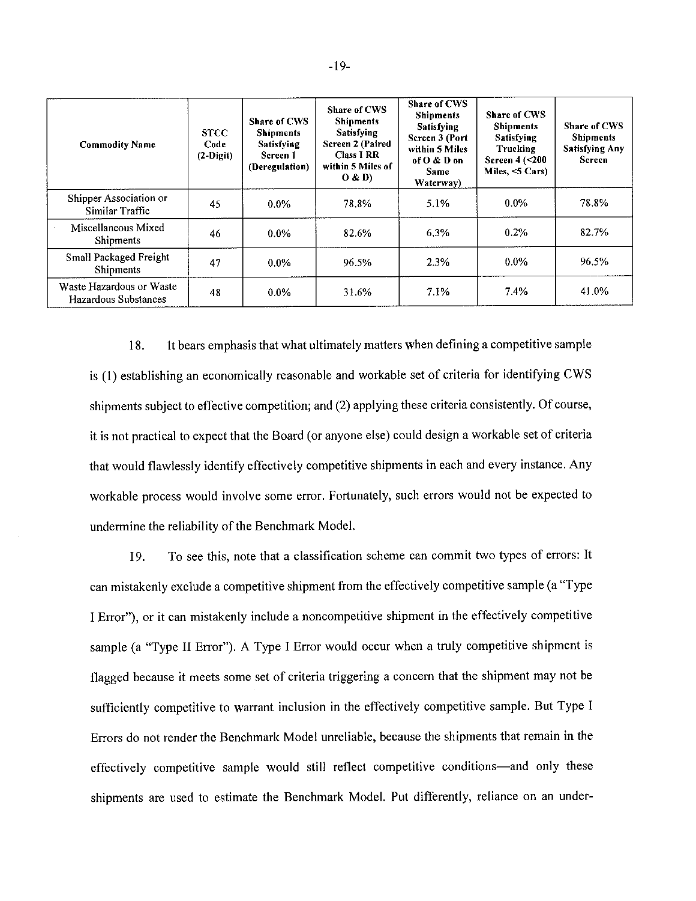| <b>Commodity Name</b>                            | <b>STCC</b><br>Code<br>$(2-Digit)$ | Share of CWS<br><b>Shipments</b><br><b>Satisfying</b><br>Screen 1<br>(Deregulation) | Share of CWS<br><b>Shipments</b><br><b>Satisfying</b><br><b>Screen 2 (Paired</b><br><b>Class I RR</b><br>within 5 Miles of<br>O & D | Share of CWS<br><b>Shipments</b><br>Satisfying<br>Screen 3 (Port<br>within 5 Miles<br>of O & D on<br><b>Same</b><br>Waterway) | <b>Share of CWS</b><br><b>Shipments</b><br><b>Satisfying</b><br>Trucking<br>Screen $4$ ( $<$ 200<br>Miles, $<$ 5 Cars) | Share of CWS<br><b>Shipments</b><br><b>Satisfying Any</b><br>Screen |
|--------------------------------------------------|------------------------------------|-------------------------------------------------------------------------------------|-------------------------------------------------------------------------------------------------------------------------------------|-------------------------------------------------------------------------------------------------------------------------------|------------------------------------------------------------------------------------------------------------------------|---------------------------------------------------------------------|
| Shipper Association or<br>Similar Traffic        | 45                                 | $0.0\%$                                                                             | 78.8%                                                                                                                               | 5.1%                                                                                                                          | $0.0\%$                                                                                                                | 78.8%                                                               |
| Miscellaneous Mixed<br>Shipments                 | 46                                 | $0.0\%$                                                                             | 82.6%                                                                                                                               | 6.3%                                                                                                                          | 0.2%                                                                                                                   | 82.7%                                                               |
| Small Packaged Freight<br>Shipments              | 47                                 | $0.0\%$                                                                             | 96.5%                                                                                                                               | 2.3%                                                                                                                          | $0.0\%$                                                                                                                | 96.5%                                                               |
| Waste Hazardous or Waste<br>Hazardous Substances | 48                                 | $0.0\%$                                                                             | 31.6%                                                                                                                               | 7.1%                                                                                                                          | 7.4%                                                                                                                   | 41.0%                                                               |

It bears emphasis that what ultimately matters when defining a competitive sample 18. is (1) establishing an economically reasonable and workable set of criteria for identifying CWS shipments subject to effective competition; and (2) applying these criteria consistently. Of course, it is not practical to expect that the Board (or anyone else) could design a workable set of criteria that would flawlessly identify effectively competitive shipments in each and every instance. Any workable process would involve some error. Fortunately, such errors would not be expected to undermine the reliability of the Benchmark Model.

To see this, note that a classification scheme can commit two types of errors: It 19. can mistakenly exclude a competitive shipment from the effectively competitive sample (a "Type I Error"), or it can mistakenly include a noncompetitive shipment in the effectively competitive sample (a "Type II Error"). A Type I Error would occur when a truly competitive shipment is flagged because it meets some set of criteria triggering a concern that the shipment may not be sufficiently competitive to warrant inclusion in the effectively competitive sample. But Type I Errors do not render the Benchmark Model unreliable, because the shipments that remain in the effectively competitive sample would still reflect competitive conditions—and only these shipments are used to estimate the Benchmark Model. Put differently, reliance on an under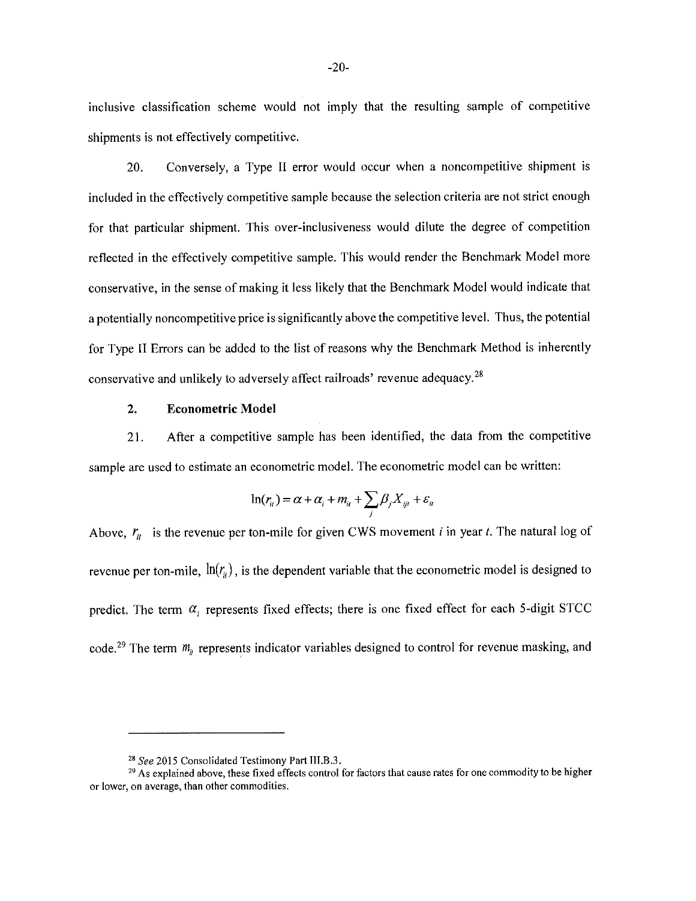inclusive classification scheme would not imply that the resulting sample of competitive shipments is not effectively competitive.

20. Conversely, a Type II error would occur when a noncompetitive shipment is included in the effectively competitive sample because the selection criteria are not strict enough for that particular shipment. This over-inclusiveness would dilute the degree of competition reflected in the effectively competitive sample. This would render the Benchmark Model more conservative, in the sense of making it less likely that the Benchmark Model would indicate that a potentially noncompetitive price is significantly above the competitive level. Thus, the potential for Type II Errors can be added to the list of reasons why the Benchmark Method is inherently conservative and unlikely to adversely affect railroads' revenue adequacy.<sup>28</sup>

#### $2.$ **Econometric Model**

After a competitive sample has been identified, the data from the competitive 21. sample are used to estimate an econometric model. The econometric model can be written:

$$
\ln(r_{ii}) = \alpha + \alpha_i + m_{ii} + \sum_j \beta_j X_{iji} + \varepsilon_{ii}
$$

Above,  $r_{it}$  is the revenue per ton-mile for given CWS movement *i* in year *t*. The natural log of revenue per ton-mile,  $\ln(r_u)$ , is the dependent variable that the econometric model is designed to predict. The term  $\alpha_i$  represents fixed effects; there is one fixed effect for each 5-digit STCC code.<sup>29</sup> The term  $m_{\mu}$  represents indicator variables designed to control for revenue masking, and

<sup>&</sup>lt;sup>28</sup> See 2015 Consolidated Testimony Part III, B.3.

<sup>&</sup>lt;sup>29</sup> As explained above, these fixed effects control for factors that cause rates for one commodity to be higher or lower, on average, than other commodities.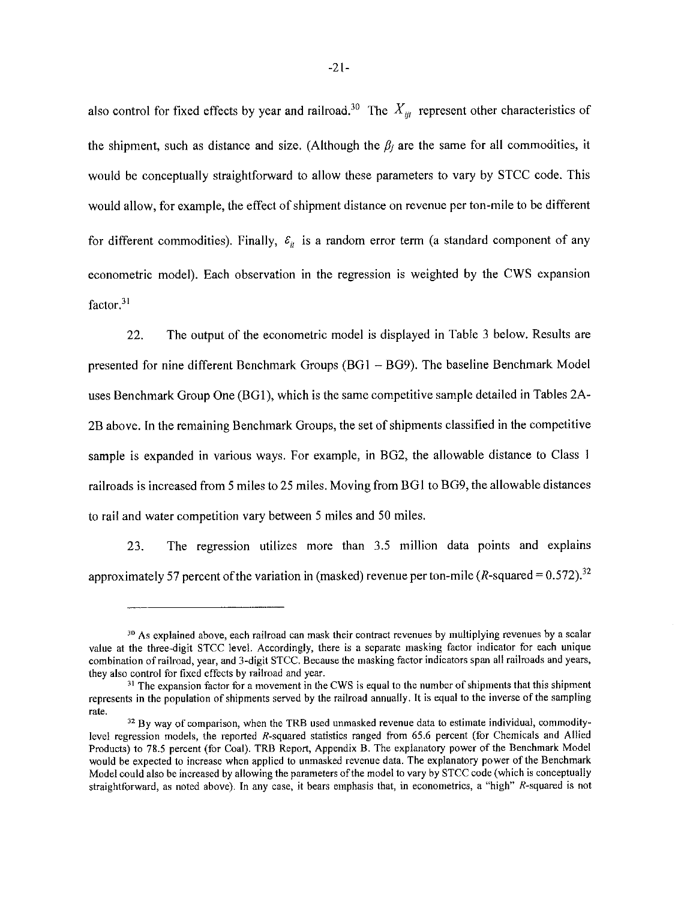also control for fixed effects by year and railroad.<sup>30</sup> The  $X_{ijt}$  represent other characteristics of the shipment, such as distance and size. (Although the  $\beta_j$  are the same for all commodities, it would be conceptually straightforward to allow these parameters to vary by STCC code. This would allow, for example, the effect of shipment distance on revenue per ton-mile to be different for different commodities). Finally,  $\varepsilon_{it}$  is a random error term (a standard component of any econometric model). Each observation in the regression is weighted by the CWS expansion factor.<sup>31</sup>

22. The output of the econometric model is displayed in Table 3 below. Results are presented for nine different Benchmark Groups (BG1 - BG9). The baseline Benchmark Model uses Benchmark Group One (BG1), which is the same competitive sample detailed in Tables 2A-2B above. In the remaining Benchmark Groups, the set of shipments classified in the competitive sample is expanded in various ways. For example, in BG2, the allowable distance to Class 1 railroads is increased from 5 miles to 25 miles. Moving from BG1 to BG9, the allowable distances to rail and water competition vary between 5 miles and 50 miles.

The regression utilizes more than 3.5 million data points and explains 23. approximately 57 percent of the variation in (masked) revenue per ton-mile ( $R$ -squared = 0.572).<sup>32</sup>

<sup>&</sup>lt;sup>30</sup> As explained above, each railroad can mask their contract revenues by multiplying revenues by a scalar value at the three-digit STCC level. Accordingly, there is a separate masking factor indicator for each unique combination of railroad, year, and 3-digit STCC. Because the masking factor indicators span all railroads and years, they also control for fixed effects by railroad and year.

<sup>&</sup>lt;sup>31</sup> The expansion factor for a movement in the CWS is equal to the number of shipments that this shipment represents in the population of shipments served by the railroad annually. It is equal to the inverse of the sampling rate.

 $32$  By way of comparison, when the TRB used unmasked revenue data to estimate individual, commoditylevel regression models, the reported R-squared statistics ranged from 65.6 percent (for Chemicals and Allied Products) to 78.5 percent (for Coal). TRB Report, Appendix B. The explanatory power of the Benchmark Model would be expected to increase when applied to unmasked revenue data. The explanatory power of the Benchmark Model could also be increased by allowing the parameters of the model to vary by STCC code (which is conceptually straightforward, as noted above). In any case, it bears emphasis that, in econometrics, a "high" R-squared is not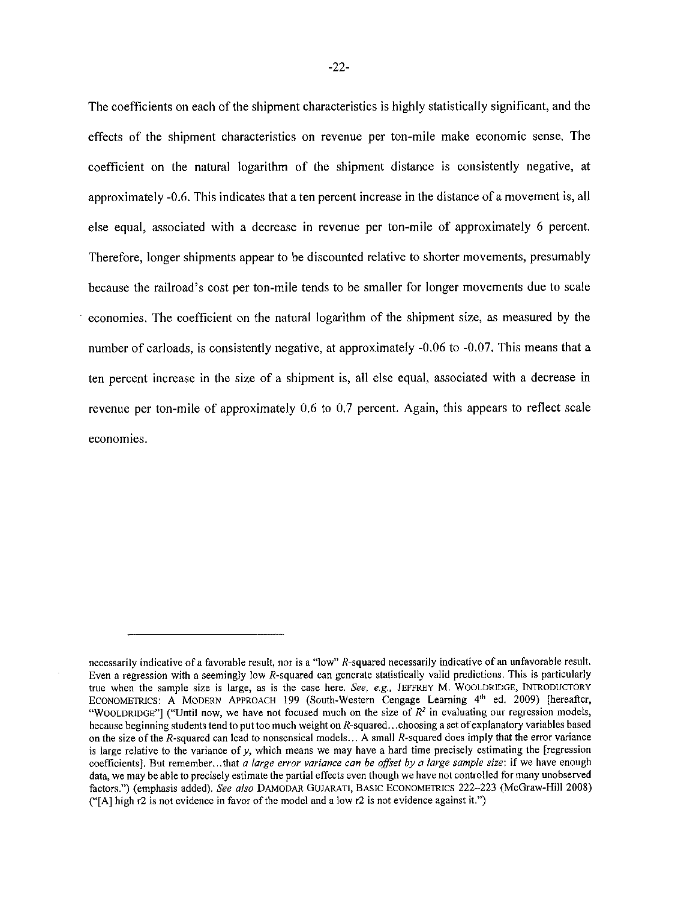The coefficients on each of the shipment characteristics is highly statistically significant, and the effects of the shipment characteristics on revenue per ton-mile make economic sense. The coefficient on the natural logarithm of the shipment distance is consistently negative, at approximately -0.6. This indicates that a ten percent increase in the distance of a movement is, all else equal, associated with a decrease in revenue per ton-mile of approximately 6 percent. Therefore, longer shipments appear to be discounted relative to shorter movements, presumably because the railroad's cost per ton-mile tends to be smaller for longer movements due to scale economies. The coefficient on the natural logarithm of the shipment size, as measured by the number of carloads, is consistently negative, at approximately -0.06 to -0.07. This means that a ten percent increase in the size of a shipment is, all else equal, associated with a decrease in revenue per ton-mile of approximately 0.6 to 0.7 percent. Again, this appears to reflect scale economies.

necessarily indicative of a favorable result, nor is a "low" R-squared necessarily indicative of an unfavorable result. Even a regression with a seemingly low R-squared can generate statistically valid predictions. This is particularly true when the sample size is large, as is the case here. See, e.g., JEFFREY M. WOOLDRIDGE, INTRODUCTORY ECONOMETRICS: A MODERN APPROACH 199 (South-Western Cengage Learning 4th ed. 2009) [hereafter, "WOOLDRIDGE"] ("Until now, we have not focused much on the size of  $R^2$  in evaluating our regression models, because beginning students tend to put too much weight on R-squared...choosing a set of explanatory variables based on the size of the R-squared can lead to nonsensical models... A small R-squared does imply that the error variance is large relative to the variance of  $\gamma$ , which means we may have a hard time precisely estimating the [regression coefficients]. But remember...that a large error variance can be offset by a large sample size: if we have enough data, we may be able to precisely estimate the partial effects even though we have not controlled for many unobserved factors.") (emphasis added). See also DAMODAR GUJARATI, BASIC ECONOMETRICS 222-223 (McGraw-Hill 2008) ("[A] high r2 is not evidence in favor of the model and a low r2 is not evidence against it.")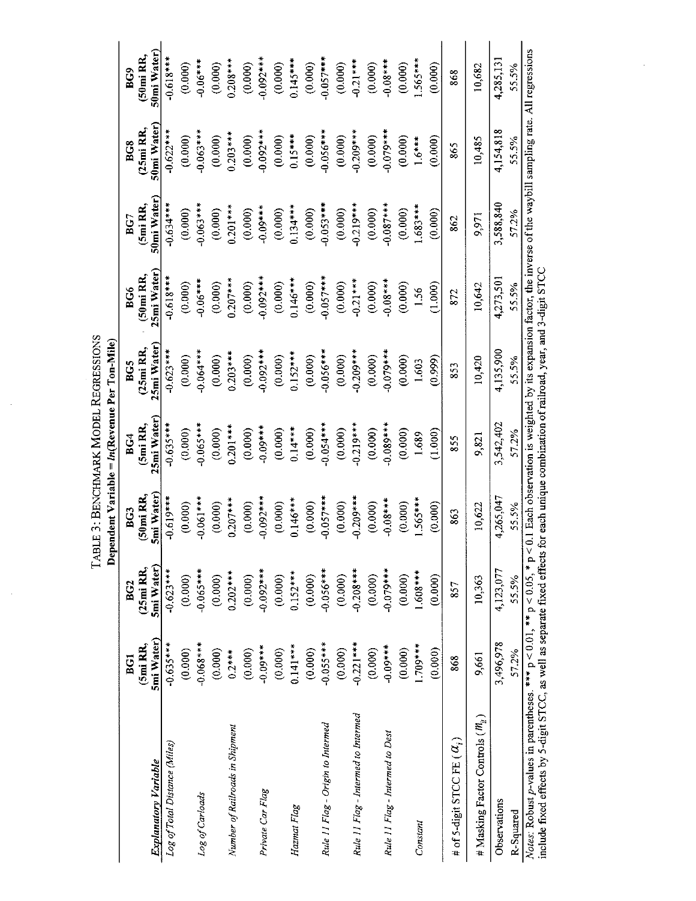TABLE 3: BENCHMARK MODEL REGRESSIONS Dependent Variable = ln(Revenue Per Ton-Mile)

 $\hat{\boldsymbol{\theta}}$ 

 $\hat{\boldsymbol{\beta}}$ 

|                                                                                                                                                                                                             | BG1         | BG <sub>2</sub>       | BG3         | BCA         | BC5                    | BG6                   | BG <sup>-</sup> | BG8         | BG <sub>9</sub> |
|-------------------------------------------------------------------------------------------------------------------------------------------------------------------------------------------------------------|-------------|-----------------------|-------------|-------------|------------------------|-----------------------|-----------------|-------------|-----------------|
|                                                                                                                                                                                                             | $(5m)$ RR,  | (25 <sub>m</sub> ] RR | (50mi RR,   | (5mi RR,    | (25 <sub>m</sub> i RR, | (50 <sub>mi</sub> RR) | (5mi RR,        | $(25m)$ RR, | $(50m)$ RR,     |
| <b>Explanatory Variable</b>                                                                                                                                                                                 | 5mi Water)  | 5mi Water)            | 5mi Water)  | 25mi Water) | 25mi Water             | 25mi Water            | 50mi Water)     | 50mi Water) | 50mi Water)     |
| Log of Total Distance (Miles)                                                                                                                                                                               | $-0.635***$ | $-0.623***$           | $-0.619***$ | $-0.635***$ | $-0.623***$            | $-0.618***$           | $-0.634***$     | $-0.622***$ | $-0.618***$     |
|                                                                                                                                                                                                             | (0.000)     | (0.000)               | (0.000)     | (0.000)     | (0.000)                | (0.000)               | (0.000)         | (0.000)     | (0.000)         |
| Log of Carloads                                                                                                                                                                                             | $***890.0-$ | $-0.065***$           | $-0.061***$ | $-0.065***$ | $-0.064***$            | $-0.06***$            | $-0.063***$     | $-0.063***$ | $-0.06***$      |
|                                                                                                                                                                                                             | (0.000)     | (0.000)               | (0.000)     | (0.000)     | (0.000)                | (0.000)               | (0.000)         | (0.000)     | (0.000)         |
| Number of Railroads in Shipment                                                                                                                                                                             | $0.2***$    | $0.202***$            | $0.207***$  | $0.201***$  | $0.203***$             | $0.207***$            | $0.201***$      | $0.203***$  | $0.208***$      |
|                                                                                                                                                                                                             | (0.000)     | (0.000)               | (0.000)     | (0.000)     | (0.000)                | (0.000)               | (0.000)         | (0.000)     | (0.000)         |
| Private Car Flag                                                                                                                                                                                            | $-0.09***$  | $-0.092***$           | $-0.092***$ | $-0.09***$  | $-0.092***$            | $-0.092***$           | $-0.09***$      | $-0.092***$ | $-0.092***$     |
|                                                                                                                                                                                                             | (0.000)     | (0.000)               | (0.000)     | (0.000)     | (0.000)                | (0.000)               | (0.000)         | (0.000)     | (0.000)         |
| Hazmat Flag                                                                                                                                                                                                 | $0.141***$  | $0.152***$            | $0.146***$  | $0.14***$   | $0.152***$             | $0.146***$            | $0.134***$      | $0.15***$   | $0.145***$      |
|                                                                                                                                                                                                             | (0.000)     | (0.000)               | (0.000)     | (0.000)     | (0.000)                | (0.000)               | (0.000)         | (0.000)     | (0.000)         |
| Rule 11 Flag - Origin to Intermed                                                                                                                                                                           | $-0.055***$ | $-0.056***$           | $-0.057***$ | $-0.054***$ | $-0.056***$            | $-0.057***$           | $-0.053***$     | $-0.056***$ | $-0.057***$     |
|                                                                                                                                                                                                             | (0.000)     | (0.000)               | (0.000)     | (0.000)     | (0.000)                | (0.000)               | (0.000)         | (0.000)     | (0.000)         |
| Rule 11 Flag - Intermed to Intermed                                                                                                                                                                         | $0.221***$  | $-0.208***$           | $0.209***$  | $0.219***$  | $-0.209***$            | $-0.21***$            | $-0.219***$     | $-0.209***$ | $-0.21***$      |
|                                                                                                                                                                                                             | (0.000)     | (0.000)               | (0.000)     | (0.000)     | (0.000)                | (0.000)               | (0.000)         | (0.000)     | (0.000)         |
| Rule 11 Flag - Intermed to Dest                                                                                                                                                                             | $-0.09***$  | $0.079***$            | $-0.08***$  | $0.089***$  | $-0.079***$            | $-0.08***$            | $0.087***$      | $-0.079***$ | $***80.06$      |
|                                                                                                                                                                                                             | (0.000)     | (0.000)               | (0.000)     | (0.000)     | (0.000)                | (0.000)               | (0.000)         | (0.000)     | (0.000)         |
| Constant                                                                                                                                                                                                    | $1709***$   | $1.608***$            | $1.565***$  | 1.689       | 1.603                  | 1.56                  | $583***$        | $1.6***$    | $565***$        |
|                                                                                                                                                                                                             | (0.000)     | (0.000)               | (0.000)     | (1.000)     | (666.0)                | (1.000)               | (0.000)         | (0.000)     | (0.000)         |
| # of 5-digit STCC FE $(\alpha_i)$                                                                                                                                                                           | 868         | 857                   | 863         | 855         | 853                    | 872                   | 862             | 865         | 868             |
| # Masking Factor Controls ( $M_{\rm H}$ )                                                                                                                                                                   | 9,661       | 10,363                | 10,622      | 9,821       | 10,420                 | 10,642                | 9,971           | 10,485      | 10,682          |
| Observations                                                                                                                                                                                                | 3,496,978   | 4,123,077             | 4,265,047   | 3,542,402   | 4,135,900              | 4,273,501             | 3,588,840       | 4.154,818   | 4,285,131       |
| R-Squared                                                                                                                                                                                                   | 57.2%       | 55.5%                 | 55.5%       | 57.2%       | 55.5%                  | 55.5%                 | 57.2%           | 55.5%       | 55.5%           |
| <i>Notes</i> : Robust p-values in parentheses. *** $p < 0.01$ , ** $p < 0.05$ , * $p < 0.1$ Each observation is weighted by its expansion factor, the inverse of the waybill sampling rate. All regressions |             |                       |             |             |                        |                       |                 |             |                 |

Figure 2013, and the property of the separate fixed effects for each unique combination of railroad, year, and 3-digit STCC include fixed effects by 5-digit STCC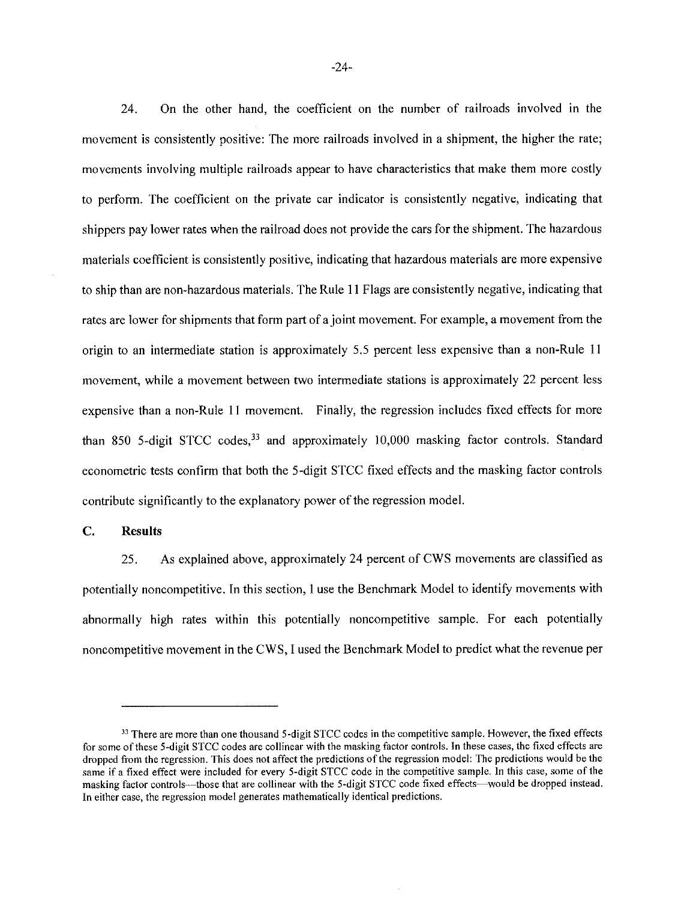On the other hand, the coefficient on the number of railroads involved in the 24. movement is consistently positive: The more railroads involved in a shipment, the higher the rate; movements involving multiple railroads appear to have characteristics that make them more costly to perform. The coefficient on the private car indicator is consistently negative, indicating that shippers pay lower rates when the railroad does not provide the cars for the shipment. The hazardous materials coefficient is consistently positive, indicating that hazardous materials are more expensive to ship than are non-hazardous materials. The Rule 11 Flags are consistently negative, indicating that rates are lower for shipments that form part of a joint movement. For example, a movement from the origin to an intermediate station is approximately 5.5 percent less expensive than a non-Rule 11 movement, while a movement between two intermediate stations is approximately 22 percent less expensive than a non-Rule 11 movement. Finally, the regression includes fixed effects for more than 850 5-digit STCC codes,<sup>33</sup> and approximately 10,000 masking factor controls. Standard econometric tests confirm that both the 5-digit STCC fixed effects and the masking factor controls contribute significantly to the explanatory power of the regression model.

#### $\mathbf{C}$ . **Results**

As explained above, approximately 24 percent of CWS movements are classified as 25. potentially noncompetitive. In this section, 1 use the Benchmark Model to identify movements with abnormally high rates within this potentially noncompetitive sample. For each potentially noncompetitive movement in the CWS, I used the Benchmark Model to predict what the revenue per

<sup>33</sup> There are more than one thousand 5-digit STCC codes in the competitive sample. However, the fixed effects for some of these 5-digit STCC codes are collinear with the masking factor controls. In these cases, the fixed effects are dropped from the regression. This does not affect the predictions of the regression model: The predictions would be the same if a fixed effect were included for every 5-digit STCC code in the competitive sample. In this case, some of the masking factor controls—those that are collinear with the 5-digit STCC code fixed effects—would be dropped instead. In either case, the regression model generates mathematically identical predictions.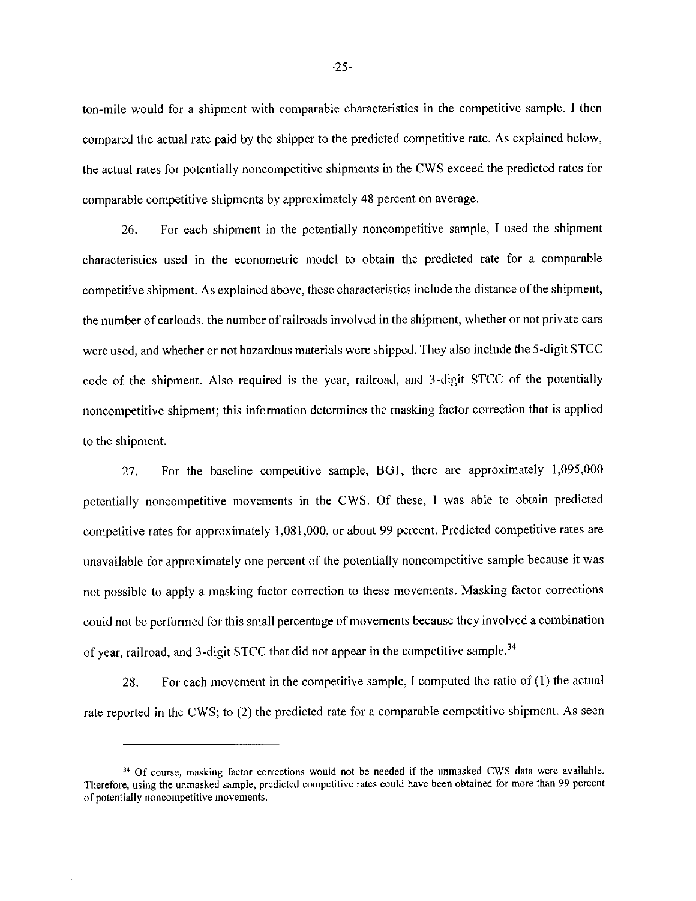ton-mile would for a shipment with comparable characteristics in the competitive sample. I then compared the actual rate paid by the shipper to the predicted competitive rate. As explained below, the actual rates for potentially noncompetitive shipments in the CWS exceed the predicted rates for comparable competitive shipments by approximately 48 percent on average.

For each shipment in the potentially noncompetitive sample, I used the shipment 26. characteristics used in the econometric model to obtain the predicted rate for a comparable competitive shipment. As explained above, these characteristics include the distance of the shipment, the number of carloads, the number of railroads involved in the shipment, whether or not private cars were used, and whether or not hazardous materials were shipped. They also include the 5-digit STCC code of the shipment. Also required is the year, railroad, and 3-digit STCC of the potentially noncompetitive shipment; this information determines the masking factor correction that is applied to the shipment.

27. For the baseline competitive sample, BG1, there are approximately 1,095,000 potentially noncompetitive movements in the CWS. Of these, I was able to obtain predicted competitive rates for approximately 1,081,000, or about 99 percent. Predicted competitive rates are unavailable for approximately one percent of the potentially noncompetitive sample because it was not possible to apply a masking factor correction to these movements. Masking factor corrections could not be performed for this small percentage of movements because they involved a combination of year, railroad, and 3-digit STCC that did not appear in the competitive sample.<sup>34</sup>

For each movement in the competitive sample, I computed the ratio of  $(1)$  the actual 28. rate reported in the CWS; to (2) the predicted rate for a comparable competitive shipment. As seen

<sup>&</sup>lt;sup>34</sup> Of course, masking factor corrections would not be needed if the unmasked CWS data were available. Therefore, using the unmasked sample, predicted competitive rates could have been obtained for more than 99 percent of potentially noncompetitive movements.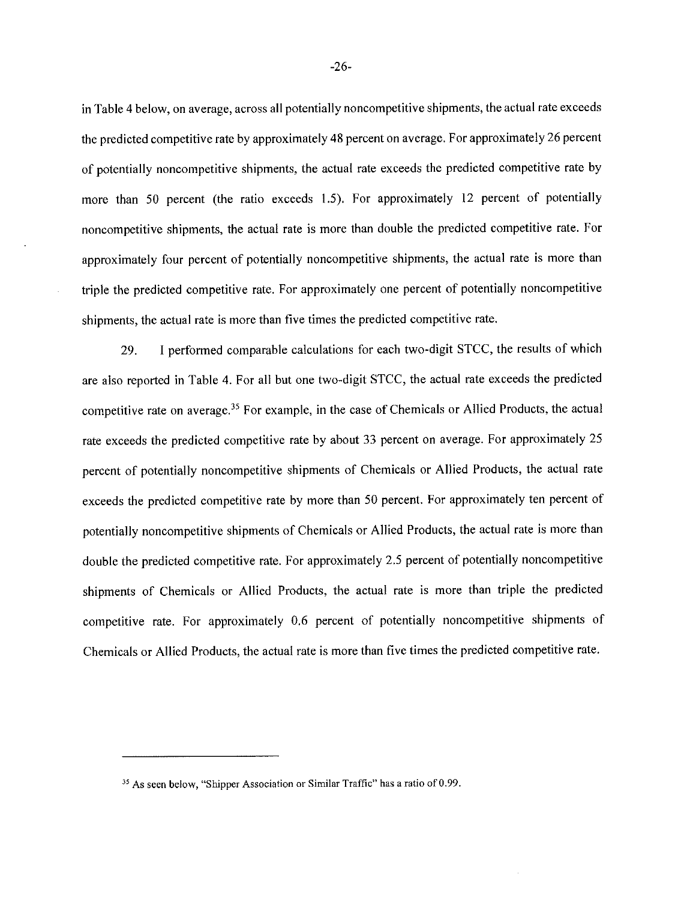in Table 4 below, on average, across all potentially noncompetitive shipments, the actual rate exceeds the predicted competitive rate by approximately 48 percent on average. For approximately 26 percent of potentially noncompetitive shipments, the actual rate exceeds the predicted competitive rate by more than 50 percent (the ratio exceeds 1.5). For approximately 12 percent of potentially noncompetitive shipments, the actual rate is more than double the predicted competitive rate. For approximately four percent of potentially noncompetitive shipments, the actual rate is more than triple the predicted competitive rate. For approximately one percent of potentially noncompetitive shipments, the actual rate is more than five times the predicted competitive rate.

I performed comparable calculations for each two-digit STCC, the results of which 29. are also reported in Table 4. For all but one two-digit STCC, the actual rate exceeds the predicted competitive rate on average.<sup>35</sup> For example, in the case of Chemicals or Allied Products, the actual rate exceeds the predicted competitive rate by about 33 percent on average. For approximately 25 percent of potentially noncompetitive shipments of Chemicals or Allied Products, the actual rate exceeds the predicted competitive rate by more than 50 percent. For approximately ten percent of potentially noncompetitive shipments of Chemicals or Allied Products, the actual rate is more than double the predicted competitive rate. For approximately 2.5 percent of potentially noncompetitive shipments of Chemicals or Allied Products, the actual rate is more than triple the predicted competitive rate. For approximately 0.6 percent of potentially noncompetitive shipments of Chemicals or Allied Products, the actual rate is more than five times the predicted competitive rate.

<sup>&</sup>lt;sup>35</sup> As seen below, "Shipper Association or Similar Traffic" has a ratio of 0.99.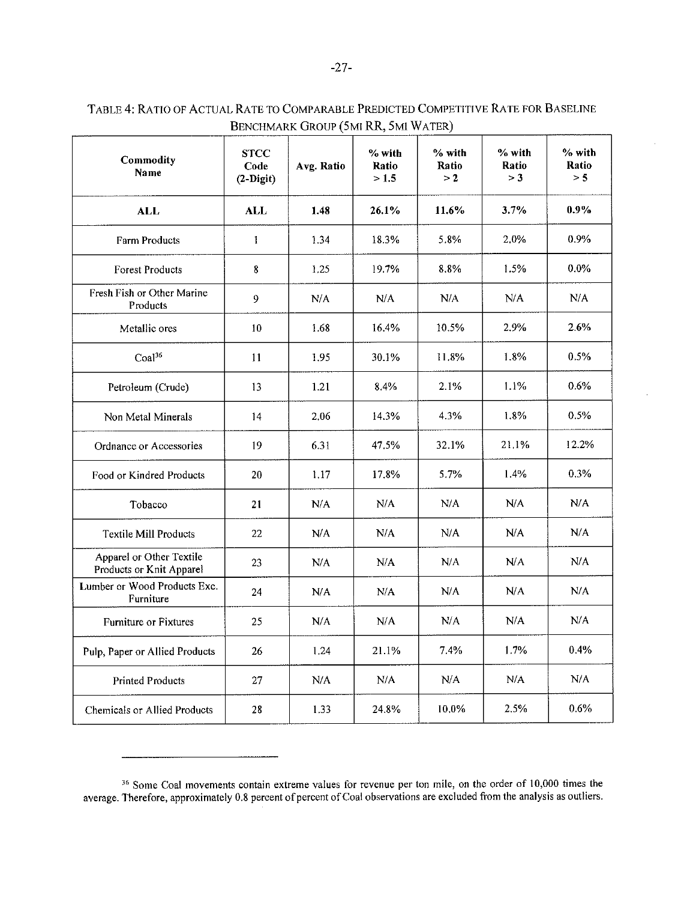| <b>Commodity</b><br>Name                             | <b>STCC</b><br>Code<br>$(2-Digit)$ | Avg. Ratio | % with<br>Ratio<br>> 1.5 | % with<br>Ratio<br>>2 | % with<br>Ratio<br>> 3 | % with<br>Ratio<br>> 5 |
|------------------------------------------------------|------------------------------------|------------|--------------------------|-----------------------|------------------------|------------------------|
| <b>ALL</b>                                           | <b>ALL</b>                         | 1.48       | 26.1%                    | 11.6%                 | 3.7%                   | $0.9\%$                |
| <b>Farm Products</b>                                 | $\mathbf{I}$                       | 1.34       | 18.3%                    | 5.8%                  | 2.0%                   | 0.9%                   |
| <b>Forest Products</b>                               | 8                                  | 1.25       | 19.7%                    | 8.8%                  | 1.5%                   | $0.0\%$                |
| Fresh Fish or Other Marine<br>Products               | 9                                  | N/A        | N/A                      | N/A                   | N/A                    | N/A                    |
| Metallic ores                                        | 10                                 | 1.68       | 16.4%                    | 10.5%                 | 2.9%                   | 2.6%                   |
| Coal <sup>36</sup>                                   | 11                                 | 1.95       | 30.1%                    | 11.8%                 | 1.8%                   | 0.5%                   |
| Petroleum (Crude)                                    | 13                                 | 1.21       | 8.4%                     | 2.1%                  | 1.1%                   | $0.6\%$                |
| Non Metal Minerals                                   | 14                                 | 2.06       | 14.3%                    | 4.3%                  | 1.8%                   | 0.5%                   |
| Ordnance or Accessories                              | 19                                 | 6.31       | 47.5%                    | 32.1%                 | 21.1%                  | 12.2%                  |
| Food or Kindred Products                             | 20                                 | 1.17       | 17.8%                    | 5.7%                  | 1.4%                   | 0.3%                   |
| Tobacco                                              | 21                                 | N/A        | N/A                      | N/A                   | N/A                    | N/A                    |
| Textile Mill Products                                | 22                                 | N/A        | N/A                      | N/A                   | N/A                    | N/A                    |
| Apparel or Other Textile<br>Products or Knit Apparel | 23                                 | N/A        | N/A                      | N/A                   | N/A                    | N/A                    |
| Lumber or Wood Products Exc.<br>Furniture            | 24                                 | N/A        | N/A                      | N/A                   | N/A                    | N/A                    |
| Furniture or Fixtures                                | 25                                 | N/A        | N/A                      | N/A                   | N/A                    | N/A                    |
| Pulp, Paper or Allied Products                       | 26                                 | 1.24       | 21.1%                    | 7.4%                  | 1.7%                   | 0.4%                   |
| <b>Printed Products</b>                              | 27                                 | N/A        | N/A                      | N/A                   | N/A                    | N/A                    |
| Chemicals or Allied Products                         | 28                                 | 1.33       | 24.8%                    | 10.0%                 | 2.5%                   | 0.6%                   |

#### TABLE 4: RATIO OF ACTUAL RATE TO COMPARABLE PREDICTED COMPETITIVE RATE FOR BASELINE BENCHMARK GROUP (5MI RR, 5MI WATER)  $\overline{\phantom{a}}$

<sup>&</sup>lt;sup>36</sup> Some Coal movements contain extreme values for revenue per ton mile, on the order of 10,000 times the average. Therefore, approximately 0.8 percent of percent of Coal observations are excluded from the analysis as ou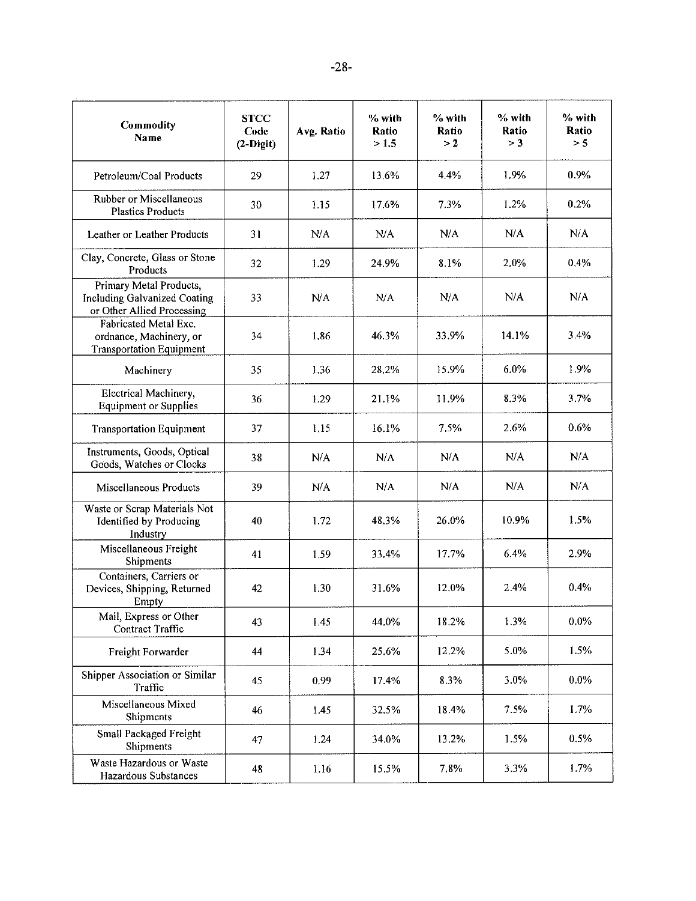| Commodity<br>Name                                                                     | <b>STCC</b><br>Code<br>$(2-Digit)$ | Avg. Ratio | % with<br>Ratio<br>>1.5 | % with<br>Ratio<br>>2 | % with<br>Ratio<br>> 3 | % with<br>Ratio<br>> 5 |
|---------------------------------------------------------------------------------------|------------------------------------|------------|-------------------------|-----------------------|------------------------|------------------------|
| Petroleum/Coal Products                                                               | 29                                 | 1.27       | 13.6%                   | 4.4%                  | 1.9%                   | 0.9%                   |
| Rubber or Miscellaneous<br><b>Plastics Products</b>                                   | 30                                 | 1.15       | 17.6%                   | 7.3%                  | 1.2%                   | 0.2%                   |
| Leather or Leather Products                                                           | 31                                 | N/A        | N/A                     | N/A                   | N/A                    | N/A                    |
| Clay, Concrete, Glass or Stone<br>Products                                            | 32                                 | 1.29       | 24.9%                   | 8.1%                  | 2.0%                   | 0.4%                   |
| Primary Metal Products,<br>Including Galvanized Coating<br>or Other Allied Processing | 33                                 | N/A        | N/A                     | N/A                   | N/A                    | N/A                    |
| Fabricated Metal Exc.<br>ordnance, Machinery, or<br><b>Transportation Equipment</b>   | 34                                 | 1.86       | 46.3%                   | 33.9%                 | 14.1%                  | 3.4%                   |
| Machinery                                                                             | 35                                 | 1.36       | 28,2%                   | 15.9%                 | 6.0%                   | 1.9%                   |
| Electrical Machinery,<br><b>Equipment or Supplies</b>                                 | 36                                 | 1.29       | 21.1%                   | 11.9%                 | 8.3%                   | 3.7%                   |
| <b>Transportation Equipment</b>                                                       | 37                                 | 1.15       | 16.1%                   | 7.5%                  | 2.6%                   | 0.6%                   |
| Instruments, Goods, Optical<br>Goods, Watches or Clocks                               | 38                                 | N/A        | N/A                     | N/A                   | N/A                    | N/A                    |
| Miscellaneous Products                                                                | 39                                 | N/A        | N/A                     | N/A                   | N/A                    | N/A                    |
| Waste or Scrap Materials Not<br>Identified by Producing<br>Industry                   | 40                                 | 1.72       | 48.3%                   | 26.0%                 | 10.9%                  | 1.5%                   |
| Miscellaneous Freight<br>Shipments                                                    | 41                                 | 1.59       | 33.4%                   | 17.7%                 | 6.4%                   | 2.9%                   |
| Containers, Carriers or<br>Devices, Shipping, Returned<br>Empty                       | 42                                 | 1,30       | 31.6%                   | 12.0%                 | 2.4%                   | 0.4%                   |
| Mail, Express or Other<br>Contract Traffic                                            | 43                                 | 1.45       | 44.0%                   | 18.2%                 | 1.3%                   | $0.0\%$                |
| Freight Forwarder                                                                     | 44                                 | 1.34       | 25.6%                   | 12.2%                 | 5.0%                   | 1.5%                   |
| Shipper Association or Similar<br>Traffic                                             | 45                                 | 0.99       | 17.4%                   | 8.3%                  | 3.0%                   | $0.0\%$                |
| Miscellaneous Mixed<br>Shipments                                                      | 46                                 | 1.45       | 32.5%                   | 18.4%                 | 7.5%                   | 1.7%                   |
| Small Packaged Freight<br>Shipments                                                   | 47                                 | 1.24       | 34.0%                   | 13.2%                 | 1.5%                   | 0.5%                   |
| Waste Hazardous or Waste<br>Hazardous Substances                                      | 48                                 | 1.16       | 15.5%                   | 7.8%                  | 3.3%                   | 1.7%                   |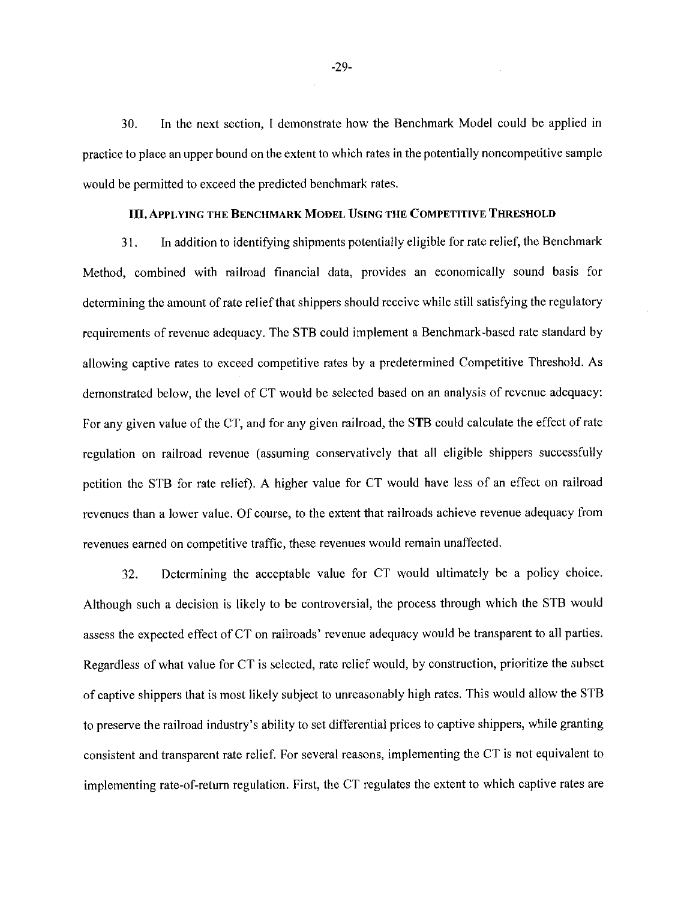In the next section, I demonstrate how the Benchmark Model could be applied in 30. practice to place an upper bound on the extent to which rates in the potentially noncompetitive sample would be permitted to exceed the predicted benchmark rates.

## III. APPLYING THE BENCHMARK MODEL USING THE COMPETITIVE THRESHOLD

In addition to identifying shipments potentially eligible for rate relief, the Benchmark 31. Method, combined with railroad financial data, provides an economically sound basis for determining the amount of rate relief that shippers should receive while still satisfying the regulatory requirements of revenue adequacy. The STB could implement a Benchmark-based rate standard by allowing captive rates to exceed competitive rates by a predetermined Competitive Threshold. As demonstrated below, the level of CT would be selected based on an analysis of revenue adequacy: For any given value of the CT, and for any given railroad, the STB could calculate the effect of rate regulation on railroad revenue (assuming conservatively that all eligible shippers successfully petition the STB for rate relief). A higher value for CT would have less of an effect on railroad revenues than a lower value. Of course, to the extent that railroads achieve revenue adequacy from revenues earned on competitive traffic, these revenues would remain unaffected.

Determining the acceptable value for CT would ultimately be a policy choice. 32. Although such a decision is likely to be controversial, the process through which the STB would assess the expected effect of CT on railroads' revenue adequacy would be transparent to all parties. Regardless of what value for CT is selected, rate relief would, by construction, prioritize the subset of captive shippers that is most likely subject to unreasonably high rates. This would allow the STB to preserve the railroad industry's ability to set differential prices to captive shippers, while granting consistent and transparent rate relief. For several reasons, implementing the CT is not equivalent to implementing rate-of-return regulation. First, the CT regulates the extent to which captive rates are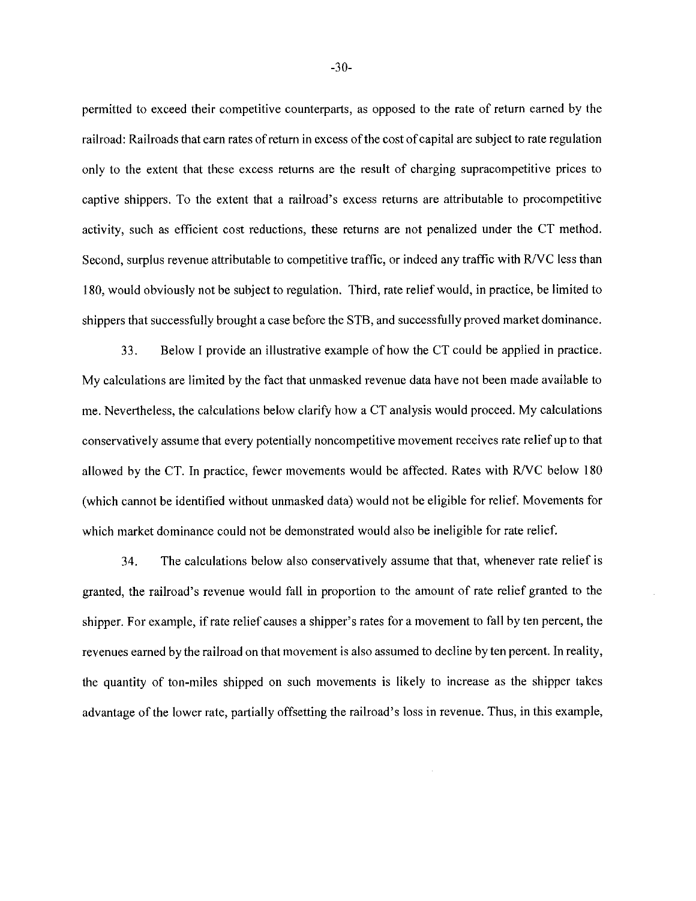permitted to exceed their competitive counterparts, as opposed to the rate of return earned by the railroad: Railroads that earn rates of return in excess of the cost of capital are subject to rate regulation only to the extent that these excess returns are the result of charging supracompetitive prices to captive shippers. To the extent that a railroad's excess returns are attributable to procompetitive activity, such as efficient cost reductions, these returns are not penalized under the CT method. Second, surplus revenue attributable to competitive traffic, or indeed any traffic with R/VC less than 180, would obviously not be subject to regulation. Third, rate relief would, in practice, be limited to shippers that successfully brought a case before the STB, and successfully proved market dominance.

33. Below I provide an illustrative example of how the CT could be applied in practice. My calculations are limited by the fact that unmasked revenue data have not been made available to me. Nevertheless, the calculations below clarify how a CT analysis would proceed. My calculations conservatively assume that every potentially noncompetitive movement receives rate relief up to that allowed by the CT. In practice, fewer movements would be affected. Rates with R/VC below 180 (which cannot be identified without unmasked data) would not be eligible for relief. Movements for which market dominance could not be demonstrated would also be ineligible for rate relief.

34. The calculations below also conservatively assume that that, whenever rate relief is granted, the railroad's revenue would fall in proportion to the amount of rate relief granted to the shipper. For example, if rate relief causes a shipper's rates for a movement to fall by ten percent, the revenues earned by the railroad on that movement is also assumed to decline by ten percent. In reality, the quantity of ton-miles shipped on such movements is likely to increase as the shipper takes advantage of the lower rate, partially offsetting the railroad's loss in revenue. Thus, in this example,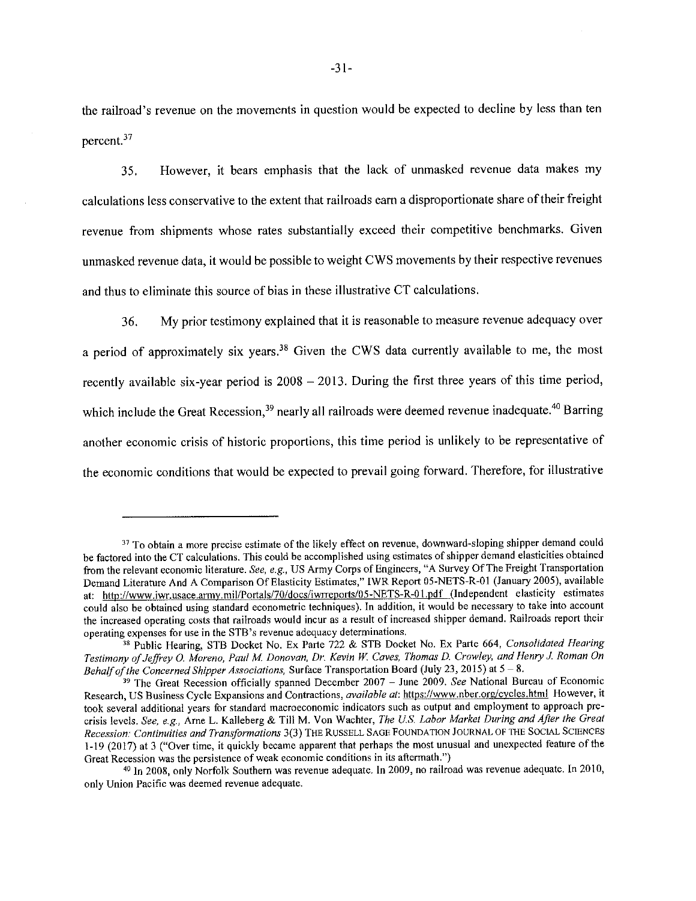the railroad's revenue on the movements in question would be expected to decline by less than ten percent.<sup>37</sup>

However, it bears emphasis that the lack of unmasked revenue data makes my 35. calculations less conservative to the extent that railroads earn a disproportionate share of their freight revenue from shipments whose rates substantially exceed their competitive benchmarks. Given unmasked revenue data, it would be possible to weight CWS movements by their respective revenues and thus to eliminate this source of bias in these illustrative CT calculations.

My prior testimony explained that it is reasonable to measure revenue adequacy over 36. a period of approximately six years.<sup>38</sup> Given the CWS data currently available to me, the most recently available six-year period is 2008 - 2013. During the first three years of this time period, which include the Great Recession,<sup>39</sup> nearly all railroads were deemed revenue inadequate.<sup>40</sup> Barring another economic crisis of historic proportions, this time period is unlikely to be representative of the economic conditions that would be expected to prevail going forward. Therefore, for illustrative

<sup>&</sup>lt;sup>37</sup> To obtain a more precise estimate of the likely effect on revenue, downward-sloping shipper demand could be factored into the CT calculations. This could be accomplished using estimates of shipper demand elasticities obtained from the relevant economic literature. See, e.g., US Army Corps of Engineers, "A Survey Of The Freight Transportation Demand Literature And A Comparison Of Elasticity Estimates," IWR Report 05-NETS-R-01 (January 2005), available at: http://www.iwr.usace.army.mil/Portals/70/docs/iwrreports/05-NETS-R-01.pdf (Independent elasticity estimates could also be obtained using standard econometric techniques). In addition, it would be necessary to take into account the increased operating costs that railroads would incur as a result of increased shipper demand. Railroads report their operating expenses for use in the STB's revenue adequacy determinations.

<sup>&</sup>lt;sup>38</sup> Public Hearing, STB Docket No. Ex Parte 722 & STB Docket No. Ex Parte 664, Consolidated Hearing Testimony of Jeffrey O. Moreno, Paul M. Donovan, Dr. Kevin W. Caves, Thomas D. Crowley, and Henry J. Roman On Behalf of the Concerned Shipper Associations, Surface Transportation Board (July 23, 2015) at  $5-8$ .

<sup>&</sup>lt;sup>39</sup> The Great Recession officially spanned December 2007 – June 2009. See National Bureau of Economic Research, US Business Cycle Expansions and Contractions, available at: https://www.nber.org/cycles.html However, it took several additional years for standard macroeconomic indicators such as output and employment to approach precrisis levels. See, e.g., Arne L. Kalleberg & Till M. Von Wachter, The U.S. Labor Market During and After the Great Recession: Continuities and Transformations 3(3) THE RUSSELL SAGE FOUNDATION JOURNAL OF THE SOCIAL SCIENCES 1-19 (2017) at 3 ("Over time, it quickly became apparent that perhaps the most unusual and unexpected feature of the Great Recession was the persistence of weak economic conditions in its aftermath.")

<sup>&</sup>lt;sup>40</sup> In 2008, only Norfolk Southern was revenue adequate. In 2009, no railroad was revenue adequate. In 2010, only Union Pacific was deemed revenue adequate.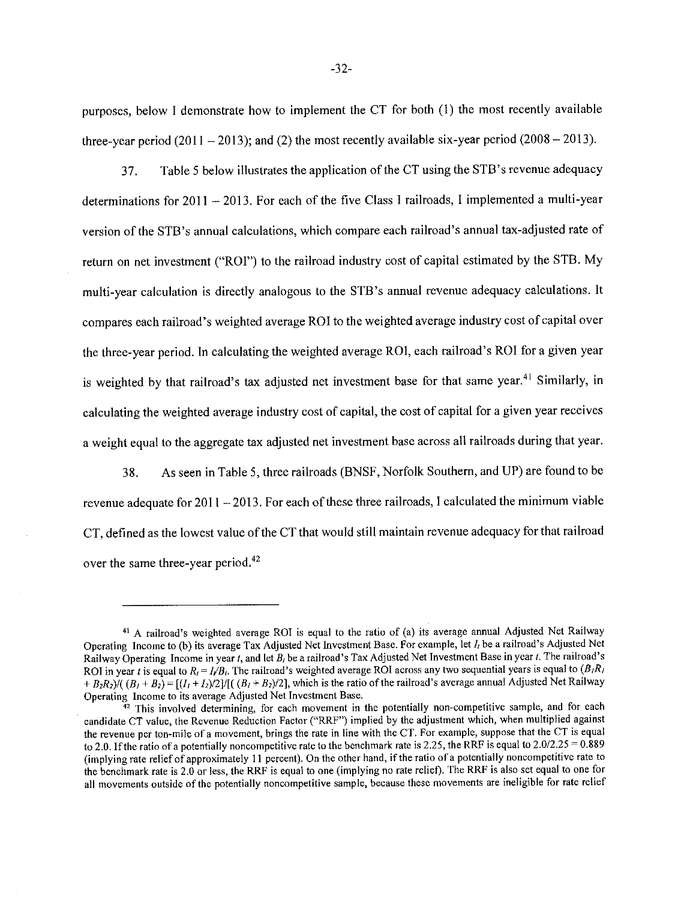purposes, below I demonstrate how to implement the CT for both (1) the most recently available three-year period  $(2011 - 2013)$ ; and  $(2)$  the most recently available six-year period  $(2008 - 2013)$ .

Table 5 below illustrates the application of the CT using the STB's revenue adequacy 37. determinations for 2011 - 2013. For each of the five Class I railroads, I implemented a multi-year version of the STB's annual calculations, which compare each railroad's annual tax-adjusted rate of return on net investment ("ROI") to the railroad industry cost of capital estimated by the STB. My multi-year calculation is directly analogous to the STB's annual revenue adequacy calculations. It compares each railroad's weighted average ROI to the weighted average industry cost of capital over the three-year period. In calculating the weighted average RO1, each railroad's ROI for a given year is weighted by that railroad's tax adjusted net investment base for that same year.<sup>41</sup> Similarly, in calculating the weighted average industry cost of capital, the cost of capital for a given year receives a weight equal to the aggregate tax adjusted net investment base across all railroads during that year.

As seen in Table 5, three railroads (BNSF, Norfolk Southern, and UP) are found to be 38. revenue adequate for  $2011 - 2013$ . For each of these three railroads, I calculated the minimum viable CT, defined as the lowest value of the CT that would still maintain revenue adequacy for that railroad over the same three-year period.<sup>42</sup>

<sup>&</sup>lt;sup>41</sup> A railroad's weighted average ROI is equal to the ratio of (a) its average annual Adjusted Net Railway Operating Income to (b) its average Tax Adjusted Net Investment Base. For example, let I<sub>t</sub> be a railroad's Adjusted Net Railway Operating Income in year t, and let  $B_t$  be a railroad's Tax Adjusted Net Investment Base in year t. The railroad's ROI in year t is equal to  $R_i = I/B_i$ . The railroad's weighted average ROI across any two sequential years is equal to  $(B_iR_i)$ +  $B_2R_2$ )/( $(B_1 + B_2)$  = [ $(I_1 + I_2)/2$ ]/[( $(B_1 + B_2)/2$ ], which is the ratio of the railroad's average annual Adjusted Net Railway Operating Income to its average Adjusted Net Investment Base.

 $\frac{3}{42}$  This involved determining, for each movement in the potentially non-competitive sample, and for each candidate CT value, the Revenue Reduction Factor ("RRF") implied by the adjustment which, when multiplied against the revenue per ton-mile of a movement, brings the rate in line with the CT. For example, suppose that the CT is equal to 2.0. If the ratio of a potentially noncompetitive rate to the benchmark rate is 2.25, the RRF is equal to  $2.0/2.25 = 0.889$ (implying rate relief of approximately 11 percent). On the other hand, if the ratio of a potentially noncompetitive rate to the benchmark rate is 2.0 or less, the RRF is equal to one (implying no rate relief). The RRF is also set equal to one for all movements outside of the potentially noncompetitive sample, because these movements are ineligible for rate relief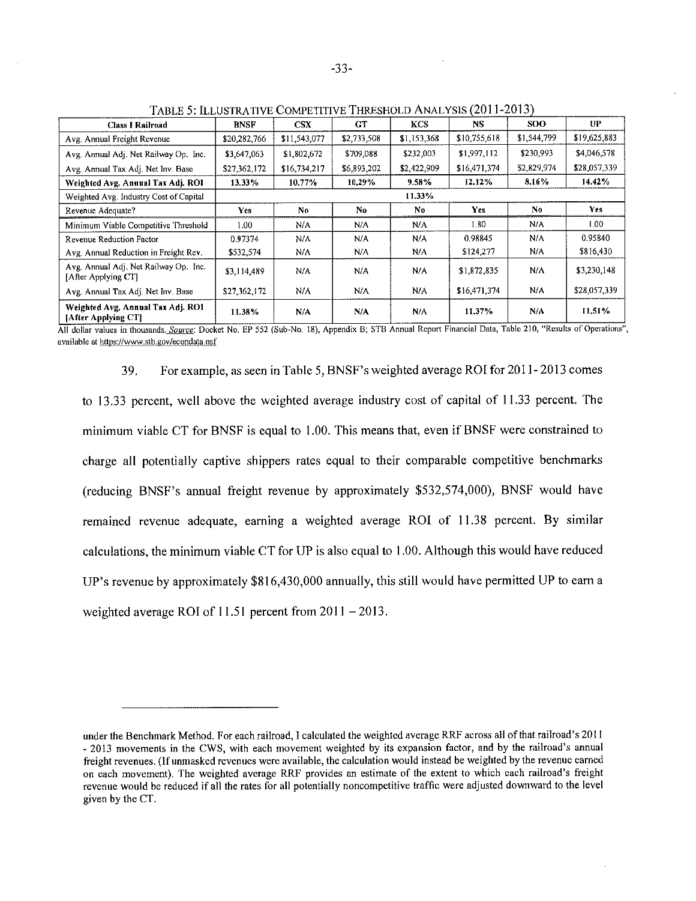| <b>Class I Railroad</b>                                      | <b>BNSF</b>       | CSX          | GT          | <b>KCS</b>     | NS.          | <b>SOO</b>     | UP.          |
|--------------------------------------------------------------|-------------------|--------------|-------------|----------------|--------------|----------------|--------------|
| Avg. Annual Freight Revenue                                  | \$20,282,766      | \$11,543,077 | \$2,733,508 | \$1,153,368    | \$10,755,618 | \$1,544,799    | \$19,625,883 |
| Avg. Annual Adj. Net Railway Op. Inc.                        | \$3,647,063       | \$1,802,672  | \$709,088   | \$232,003      | \$1,997,112  | \$230,993      | \$4,046,578  |
| Avg. Annual Tax Adj. Net Inv. Base                           | \$27,362,172      | \$16,734,217 | \$6,893,202 | \$2,422,909    | \$16,471,374 | \$2,829,974    | \$28,057,339 |
| Weighted Avg. Annual Tax Adj. ROI                            | 13.33%            | 10.77%       | 10,29%      | 9.58%          | 12.12%       | 8.16%          | 14.42%       |
| Weighted Avg. Industry Cost of Capital                       | 11.33%            |              |             |                |              |                |              |
| Revenue Adequate?                                            | Yes               | No           | No.         | N <sub>0</sub> | Yes.         | N <sub>0</sub> | <b>Yes</b>   |
| Minimum Viable Competitive Threshold                         | 1.00 <sub>1</sub> | N/A          | N/A         | N/A            | $1.80 -$     | N/A            | 1.00.        |
| Revenue Reduction Factor                                     | 0.97374           | N/A          | N/A         | N/A            | 0.98845      | N/A            | 0.95840      |
| Avg. Annual Reduction in Freight Rev.                        | \$532,574         | N/A          | N/A         | N/A            | \$124,277    | N/A            | \$816,430    |
| Avg. Annual Adj. Net Railway Op. Inc.<br>[After Applying CT] | \$3,114,489       | N/A          | N/A         | N/A            | \$1,872,835  | N/A            | \$3,230,148  |
| Avg. Annual Tax Adj. Net Inv. Base                           | \$27,362,172      | N/A          | N/A         | N/A            | \$16,471,374 | N/A            | \$28,057,339 |
| Weighted Avg. Annual Tax Adj. ROI<br>[After Applying CT]     | 11.38%            | N/A          | N/A         | N/A            | 11.37%       | N/A            | 11.51%       |

TABLE 5: ILLUSTRATIVE COMPETITIVE THRESHOLD ANALYSIS (2011-2013)

All dollar values in thousands. Source: Docket No. EP 552 (Sub-No. 18), Appendix B; STB Annual Report Financial Data, Table 210, "Results of Operations", available at https://www.stb.gov/econdata.nsf

> For example, as seen in Table 5, BNSF's weighted average ROI for 2011-2013 comes 39.

to 13.33 percent, well above the weighted average industry cost of capital of 11.33 percent. The minimum viable CT for BNSF is equal to 1.00. This means that, even if BNSF were constrained to charge all potentially captive shippers rates equal to their comparable competitive benchmarks (reducing BNSF's annual freight revenue by approximately \$532,574,000), BNSF would have remained revenue adequate, earning a weighted average ROI of 11.38 percent. By similar calculations, the minimum viable CT for UP is also equal to 1.00. Although this would have reduced UP's revenue by approximately \$816,430,000 annually, this still would have permitted UP to earn a weighted average ROI of 11.51 percent from  $2011 - 2013$ .

under the Benchmark Method. For each railroad, I calculated the weighted average RRF across all of that railroad's 2011 - 2013 movements in the CWS, with each movement weighted by its expansion factor, and by the railroad's annual freight revenues. (If unmasked revenues were available, the calculation would instead be weighted by the revenue earned on each movement). The weighted average RRF provides an estimate of the extent to which each railroad's freight revenue would be reduced if all the rates for all potentially noncompetitive traffic were adjusted downward to the level given by the CT.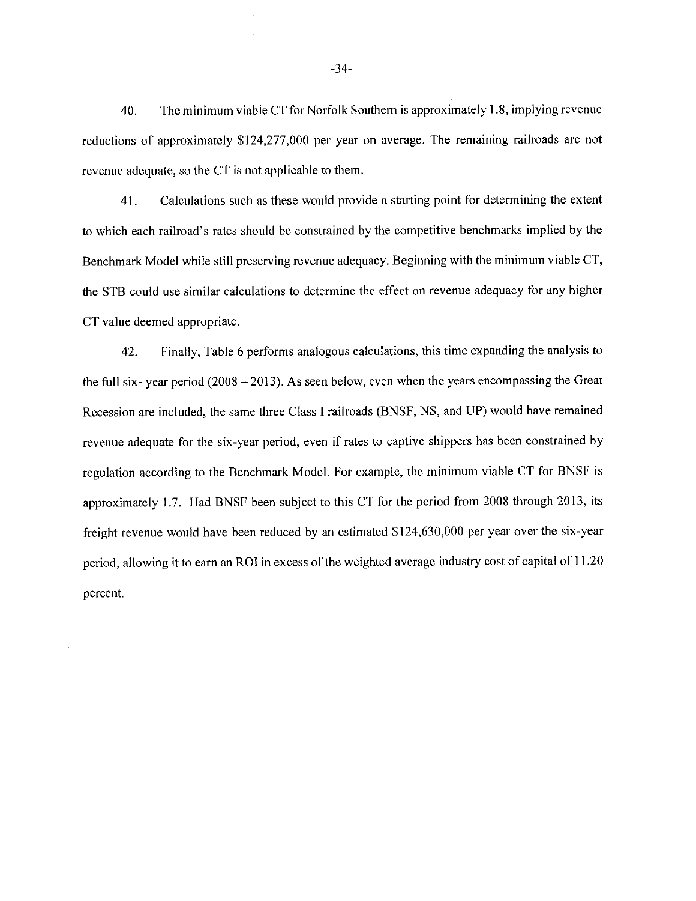The minimum viable CT for Norfolk Southern is approximately 1.8, implying revenue 40. reductions of approximately \$124,277,000 per year on average. The remaining railroads are not revenue adequate, so the CT is not applicable to them.

41. Calculations such as these would provide a starting point for determining the extent to which each railroad's rates should be constrained by the competitive benchmarks implied by the Benchmark Model while still preserving revenue adequacy. Beginning with the minimum viable CT, the STB could use similar calculations to determine the effect on revenue adequacy for any higher CT value deemed appropriate.

42. Finally, Table 6 performs analogous calculations, this time expanding the analysis to the full six-year period  $(2008 - 2013)$ . As seen below, even when the years encompassing the Great Recession are included, the same three Class I railroads (BNSF, NS, and UP) would have remained revenue adequate for the six-year period, even if rates to captive shippers has been constrained by regulation according to the Benchmark Model. For example, the minimum viable CT for BNSF is approximately 1.7. Had BNSF been subject to this CT for the period from 2008 through 2013, its freight revenue would have been reduced by an estimated \$124,630,000 per year over the six-year period, allowing it to earn an ROI in excess of the weighted average industry cost of capital of 11.20 percent.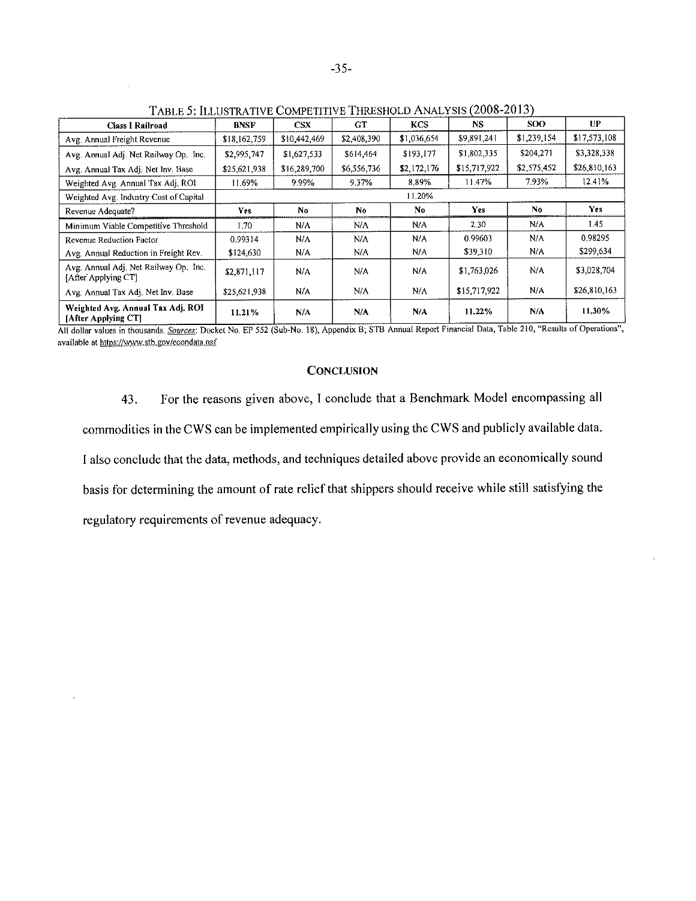| <b>Class I Railroad</b>                                      | BNSF         | <b>CSX</b>   | <b>GT</b>   | <b>KCS</b>     | NS.          | <b>SOO</b>  | <b>UP</b>    |
|--------------------------------------------------------------|--------------|--------------|-------------|----------------|--------------|-------------|--------------|
| Avg. Annual Freight Revenue                                  | \$18,162,759 | \$10,442,469 | \$2,408,390 | \$1,036,654    | \$9,891,241  | \$1,239,154 | \$17,573,108 |
| Avg. Annual Adj. Net Railway Op. Inc.                        | \$2,995,747  | \$1,627,533  | \$614,464   | \$193,177      | \$1,802,335  | \$204,271   | \$3,328,338  |
| Avg. Annual Tax Adj. Net Inv. Base                           | \$25,621,938 | \$16,289,700 | \$6,556,736 | \$2,172,176    | \$15,717,922 | \$2,575,452 | \$26,810,163 |
| Weighted Avg. Annual Tax Adj. ROI                            | 11.69%       | 9.99%        | 9.37%       | 8.89%          | 11.47%       | 7.93%       | 12.41%       |
| Weighted Avg. Industry Cost of Capital                       | 11.20%       |              |             |                |              |             |              |
| Revenue Adequate?                                            | <b>Yes</b>   | No.          | No          | N <sub>0</sub> | Yes          | No.         | Yes          |
| Minimum Viable Competitive Threshold                         | 1.70         | N/A          | N/A         | N/A            | 2.30         | N/A         | 1.45         |
| Revenue Reduction Factor                                     | 0.99314      | N/A          | N/A         | N/A            | 0.99603      | N/A.        | 0.98295      |
| Avg. Annual Reduction in Freight Rev.                        | \$124,630    | N/A          | N/A         | N/A            | \$39,310     | N/A         | \$299,634    |
| Avg. Annual Adi. Net Railway Op. Inc.<br>[After Applying CT] | \$2,871,117  | N/A          | N/A         | N/A            | \$1,763,026  | N/A         | \$3,028,704  |
| Avg. Annual Tax Adj. Net Inv. Base                           | \$25,621,938 | N/A          | N/A         | N/A            | \$15,717,922 | N/A         | \$26,810,163 |
| Weighted Avg. Annual Tax Adj. ROI<br>[After Applying CT]     | 11.21%       | N/A          | N/A         | N/A            | 11.22%       | N/A         | 11.30%       |

TABLE 5: ILLUSTRATIVE COMPETITIVE THRESHOLD ANALYSIS (2008-2013)

All dollar values in thousands. Sources: Docket No. EP 552 (Sub-No. 18), Appendix B, STB Annual Report Financial Data, Table 210, "Results of Operations", available at https://www.stb.gov/econdata.nsf

# **CONCLUSION**

For the reasons given above, I conclude that a Benchmark Model encompassing all 43. commodities in the CWS can be implemented empirically using the CWS and publicly available data. I also conclude that the data, methods, and techniques detailed above provide an economically sound basis for determining the amount of rate relief that shippers should receive while still satisfying the regulatory requirements of revenue adequacy.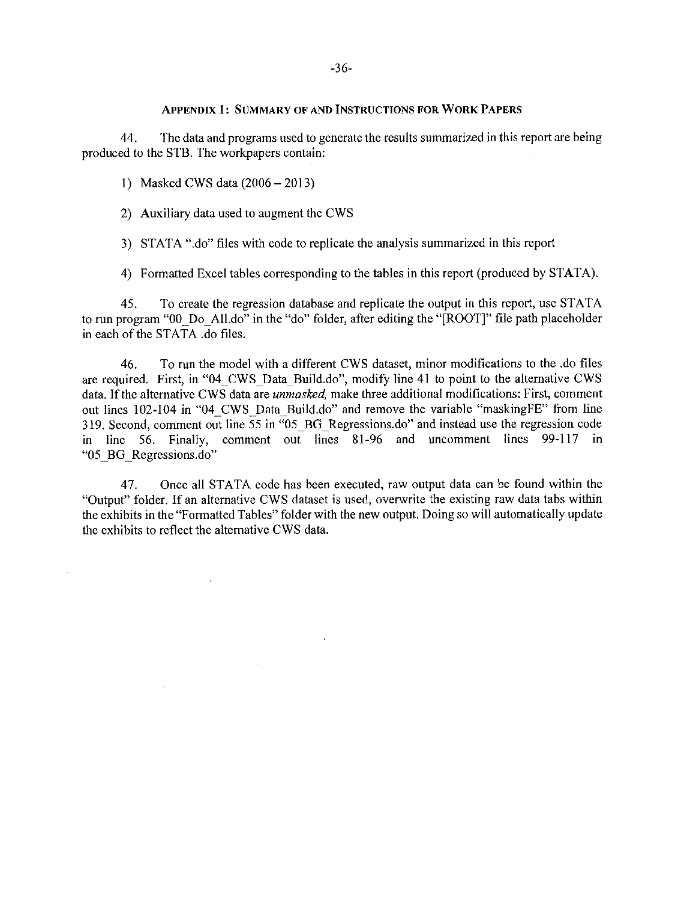## **APPENDIX 1: SUMMARY OF AND INSTRUCTIONS FOR WORK PAPERS**

44. The data and programs used to generate the results summarized in this report are being produced to the STB. The workpapers contain:

1) Masked CWS data  $(2006 - 2013)$ 

2) Auxiliary data used to augment the CWS

3) STATA ".do" files with code to replicate the analysis summarized in this report

4) Formatted Excel tables corresponding to the tables in this report (produced by STATA).

To create the regression database and replicate the output in this report, use STATA 45. to run program "00\_Do\_All.do" in the "do" folder, after editing the "[ROOT]" file path placeholder in each of the STATA .do files.

To run the model with a different CWS dataset, minor modifications to the .do files 46. are required. First, in "04 CWS Data Build.do", modify line 41 to point to the alternative CWS data. If the alternative CWS data are *unmasked*, make three additional modifications: First, comment out lines 102-104 in "04 CWS Data Build.do" and remove the variable "maskingFE" from line 319. Second, comment out line  $\overline{55}$  in  $\overline{95}$  BG Regressions.do" and instead use the regression code in line 56. Finally, comment out lines 81-96 and uncomment lines 99-117 in "05 BG Regressions.do"

Once all STATA code has been executed, raw output data can be found within the 47. "Output" folder. If an alternative CWS dataset is used, overwrite the existing raw data tabs within the exhibits in the "Formatted Tables" folder with the new output. Doing so will automatically update the exhibits to reflect the alternative CWS data.

 $\mathbf{v}$ 

 $\mathcal{A}^{\pm}$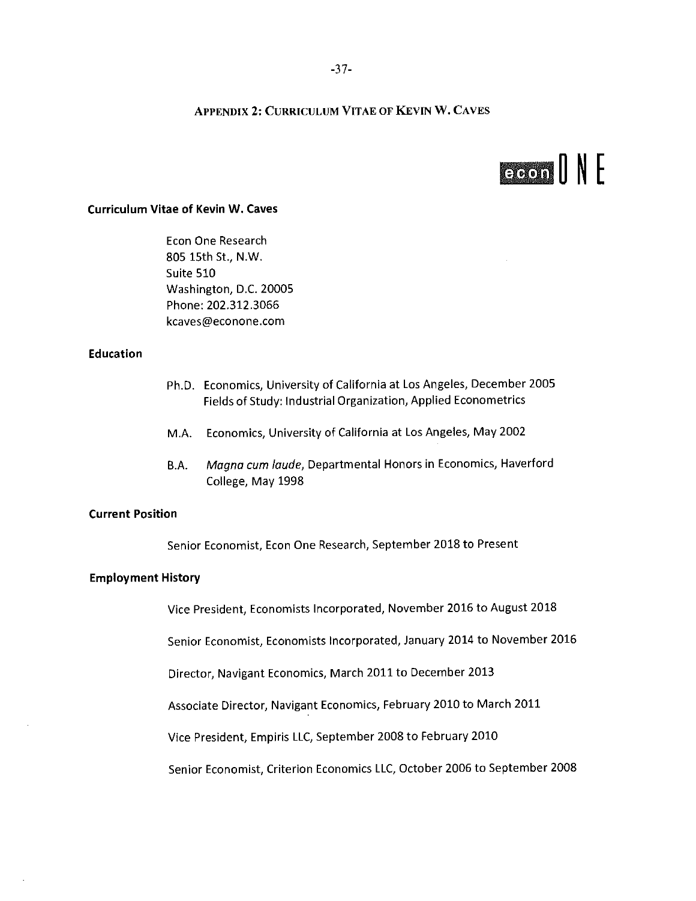# **APPENDIX 2: CURRICULUM VITAE OF KEVIN W. CAVES**

# GOOD NE

# **Curriculum Vitae of Kevin W. Caves**

Econ One Research 805 15th St., N.W. Suite 510 Washington, D.C. 20005 Phone: 202.312.3066 kcaves@econone.com

## **Education**

- Ph.D. Economics, University of California at Los Angeles, December 2005 Fields of Study: Industrial Organization, Applied Econometrics
- M.A. Economics, University of California at Los Angeles, May 2002
- Magna cum laude, Departmental Honors in Economics, Haverford B.A. College, May 1998

## **Current Position**

Senior Economist, Econ One Research, September 2018 to Present

#### **Employment History**

Vice President, Economists Incorporated, November 2016 to August 2018

Senior Economist, Economists Incorporated, January 2014 to November 2016

Director, Navigant Economics, March 2011 to December 2013

Associate Director, Navigant Economics, February 2010 to March 2011

Vice President, Empiris LLC, September 2008 to February 2010

Senior Economist, Criterion Economics LLC, October 2006 to September 2008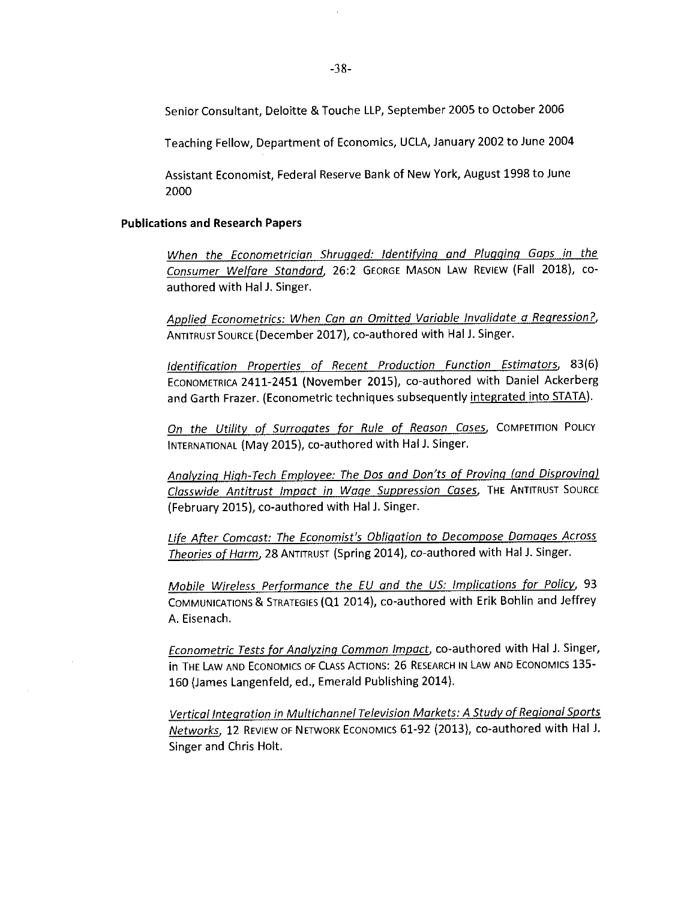Senior Consultant, Deloitte & Touche LLP, September 2005 to October 2006

Teaching Fellow, Department of Economics, UCLA, January 2002 to June 2004

Assistant Economist, Federal Reserve Bank of New York, August 1998 to June 2000

#### **Publications and Research Papers**

When the Econometrician Shrugged: Identifying and Plugging Gaps in the Consumer Welfare Standard, 26:2 GEORGE MASON LAW REVIEW (Fall 2018), coauthored with Hal J. Singer.

Applied Econometrics: When Can an Omitted Variable Invalidate a Regression?, ANTITRUST SOURCE (December 2017), co-authored with Hal J. Singer.

Identification Properties of Recent Production Function Estimators, 83(6) ECONOMETRICA 2411-2451 (November 2015), co-authored with Daniel Ackerberg and Garth Frazer. (Econometric techniques subsequently integrated into STATA).

On the Utility of Surrogates for Rule of Reason Cases, COMPETITION POLICY INTERNATIONAL (May 2015), co-authored with Hal J. Singer.

Analyzing High-Tech Employee: The Dos and Don'ts of Proving (and Disproving) Classwide Antitrust Impact in Wage Suppression Cases, THE ANTITRUST SOURCE (February 2015), co-authored with Hal J. Singer.

Life After Comcast: The Economist's Obligation to Decompose Damages Across Theories of Harm, 28 ANTITRUST (Spring 2014), co-authored with Hal J. Singer.

Mobile Wireless Performance the EU and the US: Implications for Policy, 93 COMMUNICATIONS & STRATEGIES (Q1 2014), co-authored with Erik Bohlin and Jeffrey A. Eisenach.

Econometric Tests for Analyzing Common Impact, co-authored with Hal J. Singer, In THE LAW AND ECONOMICS OF CLASS ACTIONS: 26 RESEARCH IN LAW AND ECONOMICS 135-160 (James Langenfeld, ed., Emerald Publishing 2014).

Vertical Integration in Multichannel Television Markets: A Study of Regional Sports Networks, 12 REVIEW OF NETWORK ECONOMICS 61-92 (2013), co-authored with Hal J. Singer and Chris Holt.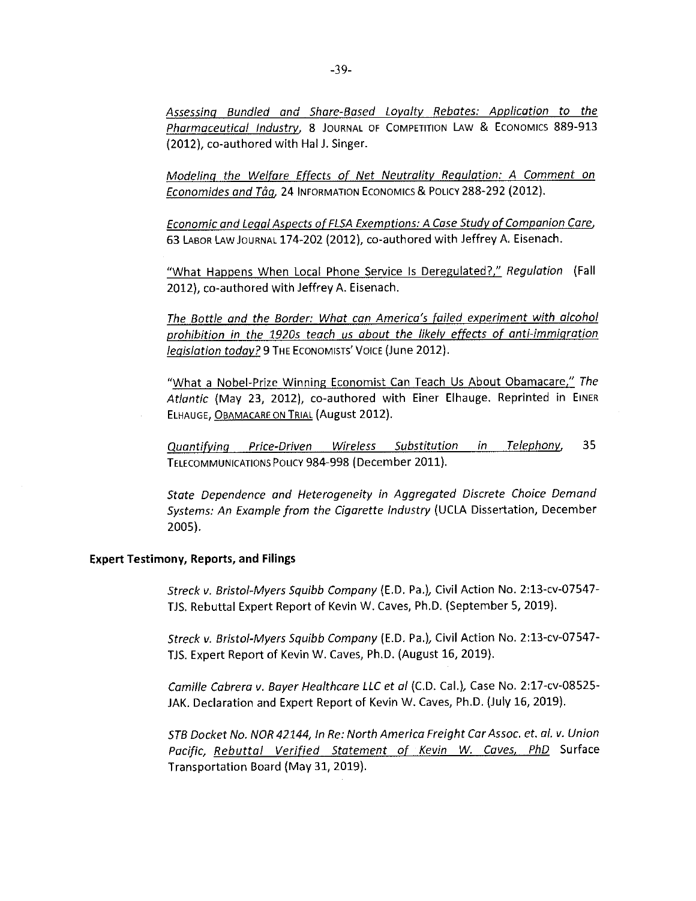Assessing Bundled and Share-Based Loyalty Rebates: Application to the Pharmaceutical Industry, 8 JOURNAL OF COMPETITION LAW & ECONOMICS 889-913 (2012), co-authored with Hal J. Singer.

Modeling the Welfare Effects of Net Neutrality Regulation: A Comment on Economides and Tåg, 24 INFORMATION ECONOMICS & POLICY 288-292 (2012).

Economic and Legal Aspects of FLSA Exemptions: A Case Study of Companion Care, 63 LABOR LAW JOURNAL 174-202 (2012), co-authored with Jeffrey A. Eisenach.

"What Happens When Local Phone Service Is Deregulated?," Regulation (Fall 2012), co-authored with Jeffrey A. Eisenach.

The Bottle and the Border: What can America's failed experiment with alcohol prohibition in the 1920s teach us about the likely effects of anti-immigration legislation today? 9 THE ECONOMISTS' VOICE (June 2012).

"What a Nobel-Prize Winning Economist Can Teach Us About Obamacare," The Atlantic (May 23, 2012), co-authored with Einer Elhauge. Reprinted in EINER ELHAUGE, OBAMACARE ON TRIAL (August 2012).

Telephony, 35 Quantifying Price-Driven Wireless Substitution in TELECOMMUNICATIONS POLICY 984-998 (December 2011).

State Dependence and Heterogeneity in Aggregated Discrete Choice Demand Systems: An Example from the Cigarette Industry (UCLA Dissertation, December 2005).

## **Expert Testimony, Reports, and Filings**

Streck v. Bristol-Myers Squibb Company (E.D. Pa.), Civil Action No. 2:13-cv-07547-TJS. Rebuttal Expert Report of Kevin W. Caves, Ph.D. (September 5, 2019).

Streck v. Bristol-Myers Squibb Company (E.D. Pa.), Civil Action No. 2:13-cv-07547-TJS, Expert Report of Kevin W. Caves, Ph.D. (August 16, 2019).

Camille Cabrera v. Bayer Healthcare LLC et al (C.D. Cal.), Case No. 2:17-cv-08525-JAK, Declaration and Expert Report of Kevin W. Caves, Ph.D. (July 16, 2019).

STB Docket No. NOR 42144, In Re: North America Freight Car Assoc. et. al. v. Union Pacific, Rebuttal Verified Statement of Kevin W. Caves, PhD Surface Transportation Board (May 31, 2019).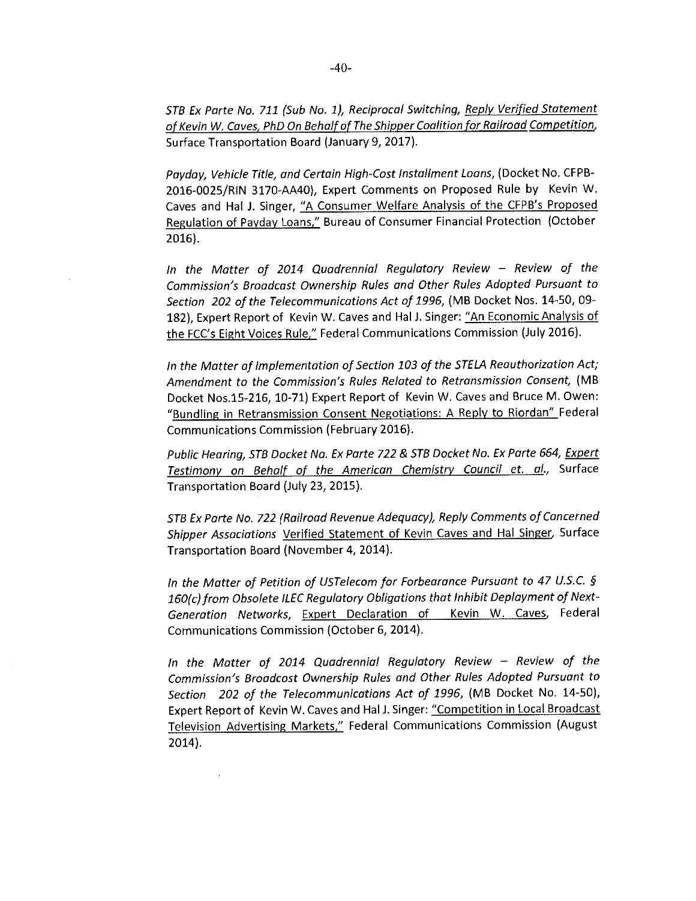STB Ex Parte No. 711 (Sub No. 1), Reciprocal Switching, Reply Verified Statement of Kevin W. Caves, PhD On Behalf of The Shipper Coalition for Railroad Competition, Surface Transportation Board (January 9, 2017).

Payday, Vehicle Title, and Certain High-Cost Installment Loans, (Docket No. CFPB-2016-0025/RIN 3170-AA40), Expert Comments on Proposed Rule by Kevin W. Caves and Hal J. Singer, "A Consumer Welfare Analysis of the CFPB's Proposed Regulation of Payday Loans," Bureau of Consumer Financial Protection (October  $2016$ ).

In the Matter of 2014 Quadrennial Regulatory Review - Review of the Commission's Broadcast Ownership Rules and Other Rules Adopted Pursuant to Section 202 of the Telecommunications Act of 1996, (MB Docket Nos. 14-50, 09-182), Expert Report of Kevin W. Caves and Hal J. Singer: "An Economic Analysis of the FCC's Eight Voices Rule," Federal Communications Commission (July 2016).

In the Matter of Implementation of Section 103 of the STELA Reauthorization Act; Amendment to the Commission's Rules Related to Retransmission Consent, (MB Docket Nos.15-216, 10-71) Expert Report of Kevin W. Caves and Bruce M. Owen: "Bundling in Retransmission Consent Negotiations: A Reply to Riordan" Federal Communications Commission (February 2016).

Public Hearing, STB Docket Na. Ex Parte 722 & STB Docket No. Ex Parte 664, Expert Testimony on Behalf of the American Chemistry Council et. al., Surface Transportation Board (July 23, 2015).

STB Ex Parte No. 722 (Railroad Revenue Adequacy), Reply Comments of Cancerned Shipper Assaciations Verified Statement of Kevin Caves and Hal Singer, Surface Transportation Board (November 4, 2014).

In the Matter of Petition of USTelecom for Forbearance Pursuant to 47 U.S.C. § 160(c) from Obsolete ILEC Regulatory Obligations that Inhibit Deplayment of Next-Generation Networks, Expert Declaration of Kevin W. Caves, Federal Communications Commission (October 6, 2014).

In the Matter of 2014 Quadrennial Regulatory Review - Review of the Commission's Broadcost Ownership Rules and Other Rules Adopted Pursuant to Section 202 of the Telecommunicatians Act of 1996, (MB Docket No. 14-50), Expert Report of Kevin W. Caves and Hal J. Singer: "Competition in Local Broadcast Television Advertising Markets," Federal Communications Commission (August  $2014$ ).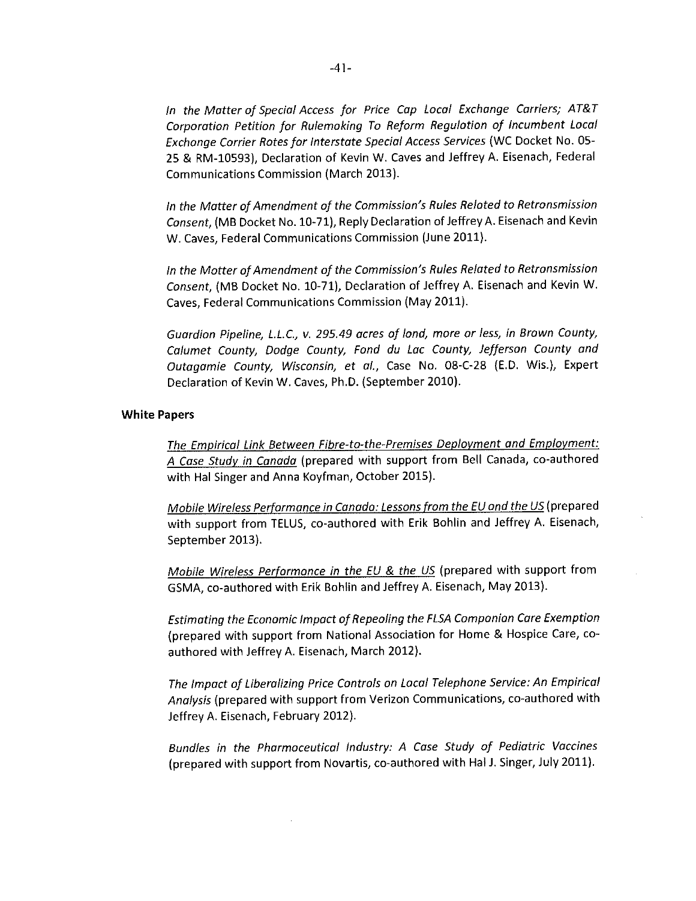In the Matter of Special Access for Price Cap Local Exchange Carriers; AT&T Corporation Petition for Rulemoking To Reform Regulotion of Incumbent Local Exchonge Corrier Rotes for Interstate Special Access Services (WC Docket No. 05-25 & RM-10593), Declaration of Kevin W. Caves and Jeffrey A. Eisenach, Federal Communications Commission (March 2013).

In the Matter of Amendment of the Commission's Rules Reloted to Retronsmission Consent. (MB Docket No. 10-71), Reply Declaration of Jeffrey A. Eisenach and Kevin W. Caves, Federal Communications Commission (June 2011).

In the Motter of Amendment of the Commission's Rules Related to Retronsmission Consent, (MB Docket No. 10-71), Declaration of Jeffrey A. Eisenach and Kevin W. Caves, Federal Communications Commission (May 2011).

Guardion Pipeline, L.L.C., v. 295.49 acres of lond, more or less, in Brown County, Calumet County, Dodge County, Fond du Lac County, Jefferson County and Outgaamie County, Wisconsin, et al., Case No. 08-C-28 (E.D. Wis.), Expert Declaration of Kevin W. Caves, Ph.D. (September 2010).

### **White Papers**

The Empirical Link Between Fibre-to-the-Premises Deployment and Employment: A Case Study in Canada (prepared with support from Bell Canada, co-authored with Hal Singer and Anna Koyfman, October 2015).

Mobile Wireless Performance in Canado: Lessons from the EU ond the US (prepared with support from TELUS, co-authored with Erik Bohlin and Jeffrey A. Eisenach, September 2013).

Mobile Wireless Performonce in the EU & the US (prepared with support from GSMA, co-authored with Erik Bohiin and Jeffrey A. Eisenach, May 2013).

Estimating the Economic Impact of Repeoling the FLSA Componion Care Exemption (prepared with support from National Association for Home & Hospice Care, coauthored with Jeffrey A. Eisenach, March 2012).

The Impact of Liberalizing Price Controls on Local Telephone Service: An Empirical Analysis (prepared with support from Verizon Communications, co-authored with Jeffrey A. Eisenach, February 2012).

Bundles in the Pharmoceutical Industry: A Case Study of Pediatric Vaccines (prepared with support from Novartis, co-authored with Hal J. Singer, July 2011).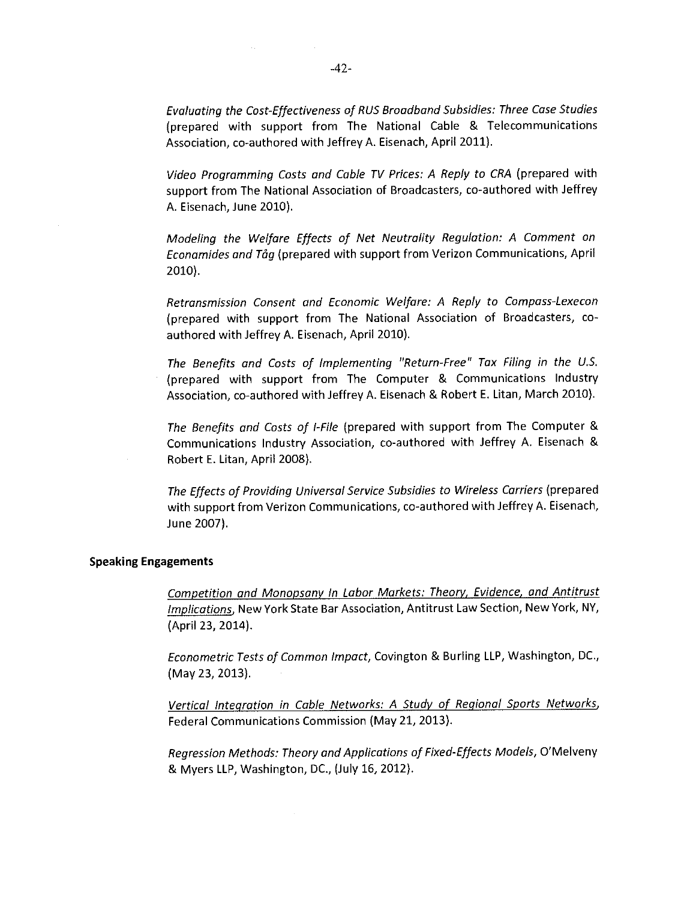Evaluating the Cost-Effectiveness of RUS Broadband Subsidies: Three Case Studies (prepared with support from The National Cable & Telecommunications Association, co-authored with Jeffrey A. Eisenach, April 2011).

Video Programming Costs and Cable TV Prices: A Reply to CRA (prepared with support from The National Association of Broadcasters, co-authored with Jeffrey A. Eisenach, June 2010).

Modeling the Welfare Effects of Net Neutrality Regulation: A Comment on Econamides and Tåg (prepared with support from Verizon Communications, April 2010).

Retransmission Consent and Economic Welfare: A Reply to Compass-Lexecon (prepared with support from The National Association of Broadcasters, coauthored with Jeffrey A. Eisenach, April 2010).

The Benefits and Costs of Implementing "Return-Free" Tax Filing in the U.S. (prepared with support from The Computer & Communications Industry Association, co-authored with Jeffrey A. Eisenach & Robert E. Litan, March 2010).

The Benefits and Costs of I-File (prepared with support from The Computer & Communications Industry Association, co-authored with Jeffrey A. Eisenach & Robert E. Litan, April 2008).

The Effects of Providing Universal Service Subsidies to Wireless Carriers (prepared with support from Verizon Communications, co-authored with Jeffrey A. Eisenach, June 2007).

#### **Speaking Engagements**

Competition and Monopsany In Labor Markets: Theory, Evidence, and Antitrust Implications, New York State Bar Association, Antitrust Law Section, New York, NY, (April 23, 2014).

Econometric Tests of Common Impact, Covington & Burling LLP, Washington, DC., (May 23, 2013).

Vertical Integration in Cable Networks: A Study of Regional Sports Networks, Federal Communications Commission (May 21, 2013).

Rearession Methods: Theory and Applications of Fixed-Effects Models, O'Melveny & Myers LLP, Washington, DC., (July 16, 2012).